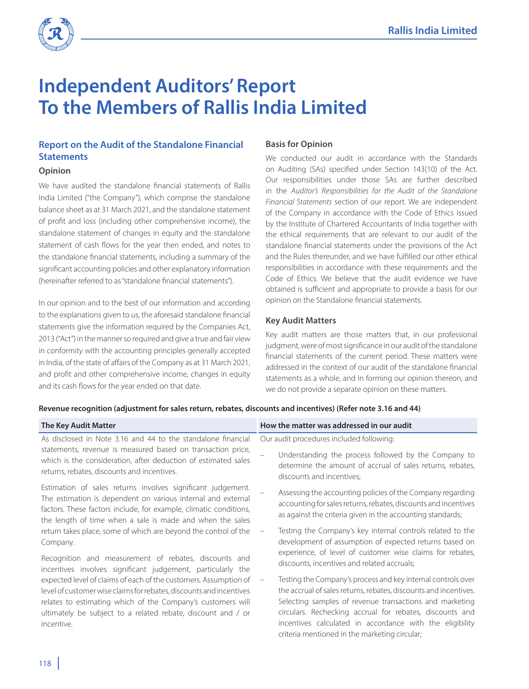

# **Independent Auditors' Report To the Members of Rallis India Limited**

# **Report on the Audit of the Standalone Financial Statements**

# **Opinion**

We have audited the standalone financial statements of Rallis India Limited ("the Company"), which comprise the standalone balance sheet as at 31 March 2021, and the standalone statement of profit and loss (including other comprehensive income), the standalone statement of changes in equity and the standalone statement of cash flows for the year then ended, and notes to the standalone financial statements, including a summary of the significant accounting policies and other explanatory information (hereinafter referred to as "standalone financial statements").

In our opinion and to the best of our information and according to the explanations given to us, the aforesaid standalone financial statements give the information required by the Companies Act, 2013 ("Act") in the manner so required and give a true and fair view in conformity with the accounting principles generally accepted in India, of the state of affairs of the Company as at 31 March 2021, and profit and other comprehensive income, changes in equity and its cash flows for the year ended on that date.

# **Basis for Opinion**

We conducted our audit in accordance with the Standards on Auditing (SAs) specified under Section 143(10) of the Act. Our responsibilities under those SAs are further described in the *Auditor's Responsibilities for the Audit of the Standalone Financial Statements* section of our report. We are independent of the Company in accordance with the Code of Ethics issued by the Institute of Chartered Accountants of India together with the ethical requirements that are relevant to our audit of the standalone financial statements under the provisions of the Act and the Rules thereunder, and we have fulfilled our other ethical responsibilities in accordance with these requirements and the Code of Ethics. We believe that the audit evidence we have obtained is sufficient and appropriate to provide a basis for our opinion on the Standalone financial statements.

# **Key Audit Matters**

Key audit matters are those matters that, in our professional judgment, were of most significance in our audit of the standalone financial statements of the current period. These matters were addressed in the context of our audit of the standalone financial statements as a whole, and in forming our opinion thereon, and we do not provide a separate opinion on these matters.

# **Revenue recognition (adjustment for sales return, rebates, discounts and incentives) (Refer note 3.16 and 44)**

| <b>The Key Audit Matter</b>                                                                                                                                                                                                                                                          | How the matter was addressed in our audit                                                                                                                                                                                                                                                                                                                            |  |  |  |
|--------------------------------------------------------------------------------------------------------------------------------------------------------------------------------------------------------------------------------------------------------------------------------------|----------------------------------------------------------------------------------------------------------------------------------------------------------------------------------------------------------------------------------------------------------------------------------------------------------------------------------------------------------------------|--|--|--|
| As disclosed in Note 3.16 and 44 to the standalone financial                                                                                                                                                                                                                         | Our audit procedures included following:                                                                                                                                                                                                                                                                                                                             |  |  |  |
| statements, revenue is measured based on transaction price,<br>which is the consideration, after deduction of estimated sales<br>returns, rebates, discounts and incentives.                                                                                                         | Understanding the process followed by the Company to<br>determine the amount of accrual of sales returns, rebates,<br>discounts and incentives;                                                                                                                                                                                                                      |  |  |  |
| Estimation of sales returns involves significant judgement.<br>The estimation is dependent on various internal and external<br>factors. These factors include, for example, climatic conditions,<br>the length of time when a sale is made and when the sales                        | Assessing the accounting policies of the Company regarding<br>accounting for sales returns, rebates, discounts and incentives<br>as against the criteria given in the accounting standards;                                                                                                                                                                          |  |  |  |
| return takes place, some of which are beyond the control of the<br>Company.                                                                                                                                                                                                          | Testing the Company's key internal controls related to the<br>development of assumption of expected returns based on                                                                                                                                                                                                                                                 |  |  |  |
| Recognition and measurement of rebates, discounts and<br>incentives involves significant judgement, particularly the                                                                                                                                                                 | experience, of level of customer wise claims for rebates,<br>discounts, incentives and related accruals;                                                                                                                                                                                                                                                             |  |  |  |
| expected level of claims of each of the customers. Assumption of<br>level of customer wise claims for rebates, discounts and incentives<br>relates to estimating which of the Company's customers will<br>ultimately be subject to a related rebate, discount and / or<br>incentive. | Testing the Company's process and key internal controls over<br>the accrual of sales returns, rebates, discounts and incentives.<br>Selecting samples of revenue transactions and marketing<br>circulars. Rechecking accrual for rebates, discounts and<br>incentives calculated in accordance with the eligibility<br>criteria mentioned in the marketing circular; |  |  |  |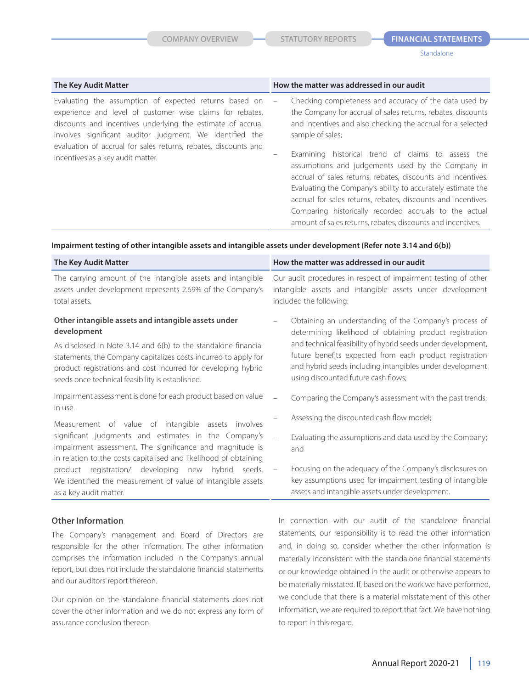| The Key Audit Matter                                                                                                                                                                                                                           | How the matter was addressed in our audit                                                                                                                                                                                                                                                                                                                                                                                        |
|------------------------------------------------------------------------------------------------------------------------------------------------------------------------------------------------------------------------------------------------|----------------------------------------------------------------------------------------------------------------------------------------------------------------------------------------------------------------------------------------------------------------------------------------------------------------------------------------------------------------------------------------------------------------------------------|
| Evaluating the assumption of expected returns based on<br>experience and level of customer wise claims for rebates,<br>discounts and incentives underlying the estimate of accrual<br>involves significant auditor judgment. We identified the | Checking completeness and accuracy of the data used by<br>$\overline{\phantom{a}}$<br>the Company for accrual of sales returns, rebates, discounts<br>and incentives and also checking the accrual for a selected<br>sample of sales;                                                                                                                                                                                            |
| evaluation of accrual for sales returns, rebates, discounts and<br>incentives as a key audit matter.                                                                                                                                           | Examining historical trend of claims to assess the<br>assumptions and judgements used by the Company in<br>accrual of sales returns, rebates, discounts and incentives.<br>Evaluating the Company's ability to accurately estimate the<br>accrual for sales returns, rebates, discounts and incentives.<br>Comparing historically recorded accruals to the actual<br>amount of sales returns, rebates, discounts and incentives. |

#### **Impairment testing of other intangible assets and intangible assets under development (Refer note 3.14 and 6(b))**

| <b>The Key Audit Matter</b>                                                                                                                                                                                                                                                                                                  | How the matter was addressed in our audit                                                                                                                                                                                                                                                                                                        |
|------------------------------------------------------------------------------------------------------------------------------------------------------------------------------------------------------------------------------------------------------------------------------------------------------------------------------|--------------------------------------------------------------------------------------------------------------------------------------------------------------------------------------------------------------------------------------------------------------------------------------------------------------------------------------------------|
| The carrying amount of the intangible assets and intangible<br>assets under development represents 2.69% of the Company's<br>total assets.                                                                                                                                                                                   | Our audit procedures in respect of impairment testing of other<br>intangible assets and intangible assets under development<br>included the following:                                                                                                                                                                                           |
| Other intangible assets and intangible assets under<br>development<br>As disclosed in Note 3.14 and 6(b) to the standalone financial<br>statements, the Company capitalizes costs incurred to apply for<br>product registrations and cost incurred for developing hybrid<br>seeds once technical feasibility is established. | Obtaining an understanding of the Company's process of<br>determining likelihood of obtaining product registration<br>and technical feasibility of hybrid seeds under development,<br>future benefits expected from each product registration<br>and hybrid seeds including intangibles under development<br>using discounted future cash flows; |
| Impairment assessment is done for each product based on value<br>in use.                                                                                                                                                                                                                                                     | Comparing the Company's assessment with the past trends;                                                                                                                                                                                                                                                                                         |
| Measurement of value of intangible assets involves                                                                                                                                                                                                                                                                           | Assessing the discounted cash flow model;                                                                                                                                                                                                                                                                                                        |
| significant judgments and estimates in the Company's<br>impairment assessment. The significance and magnitude is<br>in relation to the costs capitalised and likelihood of obtaining                                                                                                                                         | Evaluating the assumptions and data used by the Company;<br>and                                                                                                                                                                                                                                                                                  |
| product registration/ developing new hybrid seeds.<br>We identified the measurement of value of intangible assets<br>as a key audit matter.                                                                                                                                                                                  | Focusing on the adequacy of the Company's disclosures on<br>key assumptions used for impairment testing of intangible<br>assets and intangible assets under development.                                                                                                                                                                         |

#### **Other Information**

The Company's management and Board of Directors are responsible for the other information. The other information comprises the information included in the Company's annual report, but does not include the standalone financial statements and our auditors' report thereon.

Our opinion on the standalone financial statements does not cover the other information and we do not express any form of assurance conclusion thereon.

In connection with our audit of the standalone financial statements, our responsibility is to read the other information and, in doing so, consider whether the other information is materially inconsistent with the standalone financial statements or our knowledge obtained in the audit or otherwise appears to be materially misstated. If, based on the work we have performed, we conclude that there is a material misstatement of this other information, we are required to report that fact. We have nothing to report in this regard.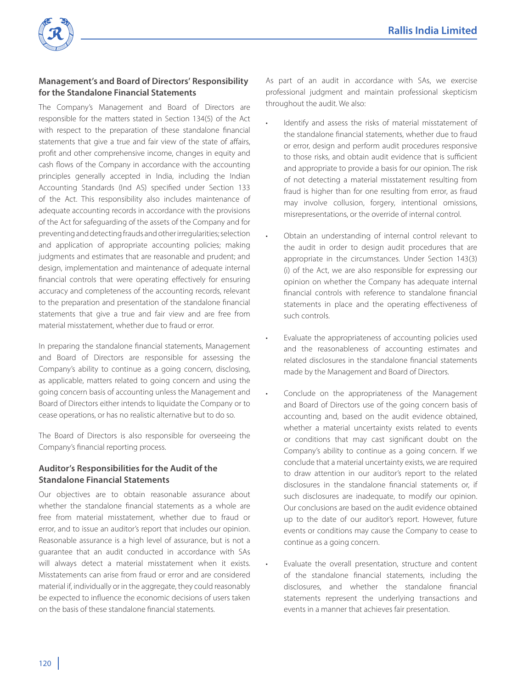

# **Management's and Board of Directors' Responsibility for the Standalone Financial Statements**

The Company's Management and Board of Directors are responsible for the matters stated in Section 134(5) of the Act with respect to the preparation of these standalone financial statements that give a true and fair view of the state of affairs, profit and other comprehensive income, changes in equity and cash flows of the Company in accordance with the accounting principles generally accepted in India, including the Indian Accounting Standards (Ind AS) specified under Section 133 of the Act. This responsibility also includes maintenance of adequate accounting records in accordance with the provisions of the Act for safeguarding of the assets of the Company and for preventing and detecting frauds and other irregularities; selection and application of appropriate accounting policies; making judgments and estimates that are reasonable and prudent; and design, implementation and maintenance of adequate internal financial controls that were operating effectively for ensuring accuracy and completeness of the accounting records, relevant to the preparation and presentation of the standalone financial statements that give a true and fair view and are free from material misstatement, whether due to fraud or error.

In preparing the standalone financial statements, Management and Board of Directors are responsible for assessing the Company's ability to continue as a going concern, disclosing, as applicable, matters related to going concern and using the going concern basis of accounting unless the Management and Board of Directors either intends to liquidate the Company or to cease operations, or has no realistic alternative but to do so.

The Board of Directors is also responsible for overseeing the Company's financial reporting process.

# **Auditor's Responsibilities for the Audit of the Standalone Financial Statements**

Our objectives are to obtain reasonable assurance about whether the standalone financial statements as a whole are free from material misstatement, whether due to fraud or error, and to issue an auditor's report that includes our opinion. Reasonable assurance is a high level of assurance, but is not a guarantee that an audit conducted in accordance with SAs will always detect a material misstatement when it exists. Misstatements can arise from fraud or error and are considered material if, individually or in the aggregate, they could reasonably be expected to influence the economic decisions of users taken on the basis of these standalone financial statements.

As part of an audit in accordance with SAs, we exercise professional judgment and maintain professional skepticism throughout the audit. We also:

- Identify and assess the risks of material misstatement of the standalone financial statements, whether due to fraud or error, design and perform audit procedures responsive to those risks, and obtain audit evidence that is sufficient and appropriate to provide a basis for our opinion. The risk of not detecting a material misstatement resulting from fraud is higher than for one resulting from error, as fraud may involve collusion, forgery, intentional omissions, misrepresentations, or the override of internal control.
- Obtain an understanding of internal control relevant to the audit in order to design audit procedures that are appropriate in the circumstances. Under Section 143(3) (i) of the Act, we are also responsible for expressing our opinion on whether the Company has adequate internal financial controls with reference to standalone financial statements in place and the operating effectiveness of such controls.
- Evaluate the appropriateness of accounting policies used and the reasonableness of accounting estimates and related disclosures in the standalone financial statements made by the Management and Board of Directors.
- Conclude on the appropriateness of the Management and Board of Directors use of the going concern basis of accounting and, based on the audit evidence obtained, whether a material uncertainty exists related to events or conditions that may cast significant doubt on the Company's ability to continue as a going concern. If we conclude that a material uncertainty exists, we are required to draw attention in our auditor's report to the related disclosures in the standalone financial statements or, if such disclosures are inadequate, to modify our opinion. Our conclusions are based on the audit evidence obtained up to the date of our auditor's report. However, future events or conditions may cause the Company to cease to continue as a going concern.
- Evaluate the overall presentation, structure and content of the standalone financial statements, including the disclosures, and whether the standalone financial statements represent the underlying transactions and events in a manner that achieves fair presentation.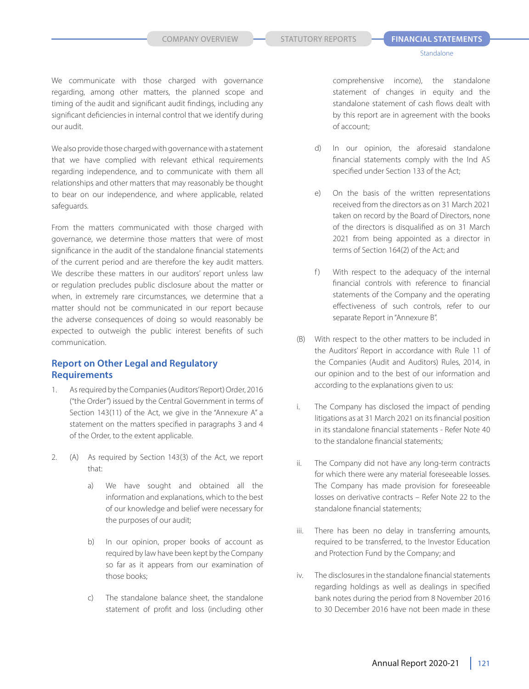We communicate with those charged with governance regarding, among other matters, the planned scope and timing of the audit and significant audit findings, including any significant deficiencies in internal control that we identify during our audit.

We also provide those charged with governance with a statement that we have complied with relevant ethical requirements regarding independence, and to communicate with them all relationships and other matters that may reasonably be thought to bear on our independence, and where applicable, related safeguards.

From the matters communicated with those charged with governance, we determine those matters that were of most significance in the audit of the standalone financial statements of the current period and are therefore the key audit matters. We describe these matters in our auditors' report unless law or regulation precludes public disclosure about the matter or when, in extremely rare circumstances, we determine that a matter should not be communicated in our report because the adverse consequences of doing so would reasonably be expected to outweigh the public interest benefits of such communication.

# **Report on Other Legal and Regulatory Requirements**

- 1. As required by the Companies (Auditors' Report) Order, 2016 ("the Order") issued by the Central Government in terms of Section 143(11) of the Act, we give in the "Annexure A" a statement on the matters specified in paragraphs 3 and 4 of the Order, to the extent applicable.
- 2. (A) As required by Section 143(3) of the Act, we report that:
	- a) We have sought and obtained all the information and explanations, which to the best of our knowledge and belief were necessary for the purposes of our audit;
	- b) In our opinion, proper books of account as required by law have been kept by the Company so far as it appears from our examination of those books;
	- c) The standalone balance sheet, the standalone statement of profit and loss (including other

comprehensive income), the standalone statement of changes in equity and the standalone statement of cash flows dealt with by this report are in agreement with the books of account;

- d) In our opinion, the aforesaid standalone financial statements comply with the Ind AS specified under Section 133 of the Act;
- e) On the basis of the written representations received from the directors as on 31 March 2021 taken on record by the Board of Directors, none of the directors is disqualified as on 31 March 2021 from being appointed as a director in terms of Section 164(2) of the Act; and
- f) With respect to the adequacy of the internal financial controls with reference to financial statements of the Company and the operating effectiveness of such controls, refer to our separate Report in "Annexure B".
- (B) With respect to the other matters to be included in the Auditors' Report in accordance with Rule 11 of the Companies (Audit and Auditors) Rules, 2014, in our opinion and to the best of our information and according to the explanations given to us:
- i. The Company has disclosed the impact of pending litigations as at 31 March 2021 on its financial position in its standalone financial statements - Refer Note 40 to the standalone financial statements;
- ii. The Company did not have any long-term contracts for which there were any material foreseeable losses. The Company has made provision for foreseeable losses on derivative contracts – Refer Note 22 to the standalone financial statements;
- iii. There has been no delay in transferring amounts, required to be transferred, to the Investor Education and Protection Fund by the Company; and
- iv. The disclosures in the standalone financial statements regarding holdings as well as dealings in specified bank notes during the period from 8 November 2016 to 30 December 2016 have not been made in these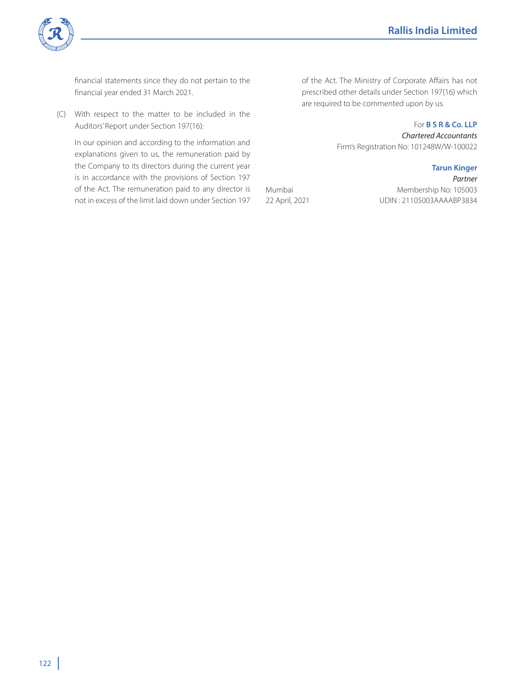

financial statements since they do not pertain to the financial year ended 31 March 2021.

(C) With respect to the matter to be included in the Auditors' Report under Section 197(16):

 In our opinion and according to the information and explanations given to us, the remuneration paid by the Company to its directors during the current year is in accordance with the provisions of Section 197 of the Act. The remuneration paid to any director is not in excess of the limit laid down under Section 197 of the Act. The Ministry of Corporate Affairs has not prescribed other details under Section 197(16) which are required to be commented upon by us.

#### For **B S R & Co. LLP**

*Chartered Accountants* Firm's Registration No: 101248W/W-100022

#### **Tarun Kinger**

*Partner* Mumbai Membership No: 105003 22 April, 2021 UDIN : 21105003AAAABP3834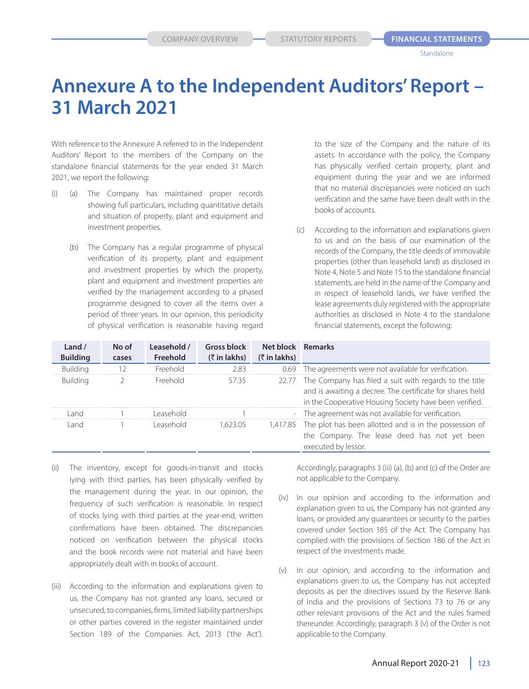# **Annexure A to the Independent Auditors' Report – 31 March 2021**

With reference to the Annexure A referred to in the Independent Auditors' Report to the members of the Company on the standalone financial statements for the year ended 31 March 2021, we report the following:

- (i) (a) The Company has maintained proper records showing full particulars, including quantitative details and situation of property, plant and equipment and investment properties.
	- (b) The Company has a regular programme of physical verification of its property, plant and equipment and investment properties by which the property, plant and equipment and investment properties are verified by the management according to a phased programme designed to cover all the items over a period of three years. In our opinion, this periodicity of physical verification is reasonable having regard

to the size of the Company and the nature of its assets. In accordance with the policy, the Company has physically verified certain property, plant and equipment during the year and we are informed that no material discrepancies were noticed on such verification and the same have been dealt with in the books of accounts.

(c) According to the information and explanations given to us and on the basis of our examination of the records of the Company, the title deeds of immovable properties (other than leasehold land) as disclosed in Note 4, Note 5 and Note 15 to the standalone financial statements, are held in the name of the Company and in respect of leasehold lands, we have verified the lease agreements duly registered with the appropriate authorities as disclosed in Note 4 to the standalone financial statements, except the following:

| Land $/$<br><b>Building</b> | No of<br>cases | Leasehold /<br>Freehold | <b>Gross block</b><br>$(3\overline{5})$ in lakhs) | Net block Remarks<br>(₹ in lakhs) |                                                                                                                                                                               |
|-----------------------------|----------------|-------------------------|---------------------------------------------------|-----------------------------------|-------------------------------------------------------------------------------------------------------------------------------------------------------------------------------|
| <b>Building</b>             | 12             | Freehold                | 283                                               | 0.69                              | The agreements were not available for verification.                                                                                                                           |
| Building                    |                | Freehold                | 5735                                              | 22.77                             | The Company has filed a suit with regards to the title<br>and is awaiting a decree. The certificate for shares held<br>in the Cooperative Housing Society have been verified. |
| and                         |                | blodesse                |                                                   |                                   | - The agreement was not available for verification.                                                                                                                           |
| l and                       |                | Leasehold               | 623.05                                            |                                   | 1,417.85 The plot has been allotted and is in the possession of<br>the Company. The lease deed has not yet been<br>executed by lessor.                                        |

- (ii) The inventory, except for goods-in-transit and stocks lying with third parties, has been physically verified by the management during the year. In our opinion, the frequency of such verification is reasonable. In respect of stocks lying with third parties at the year-end, written confirmations have been obtained. The discrepancies noticed on verification between the physical stocks and the book records were not material and have been appropriately dealt with in books of account.
- (iii) According to the information and explanations given to us, the Company has not granted any loans, secured or unsecured, to companies, firms, limited liability partnerships or other parties covered in the register maintained under Section 189 of the Companies Act, 2013 ('the Act').

Accordingly, paragraphs 3 (iii) (a), (b) and (c) of the Order are not applicable to the Company.

- (iv) In our opinion and according to the information and explanation given to us, the Company has not granted any loans, or provided any guarantees or security to the parties covered under Section 185 of the Act. The Company has complied with the provisions of Section 186 of the Act in respect of the investments made.
- (v) In our opinion, and according to the information and explanations given to us, the Company has not accepted deposits as per the directives issued by the Reserve Bank of India and the provisions of Sections 73 to 76 or any other relevant provisions of the Act and the rules framed thereunder. Accordingly, paragraph 3 (v) of the Order is not applicable to the Company.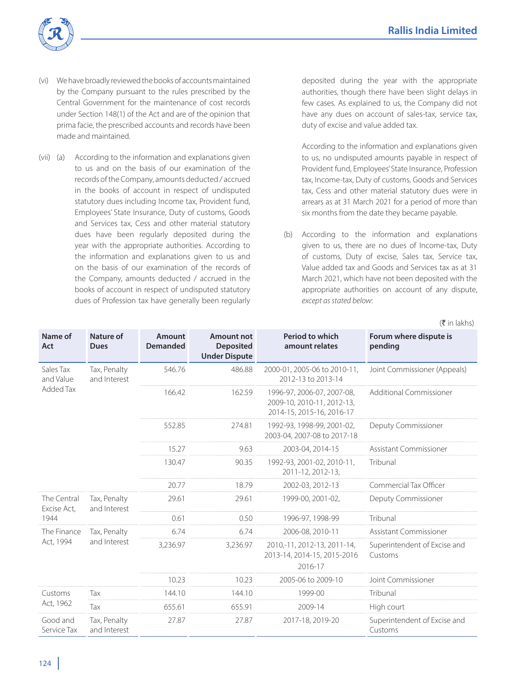

- (vi) We have broadly reviewed the books of accounts maintained by the Company pursuant to the rules prescribed by the Central Government for the maintenance of cost records under Section 148(1) of the Act and are of the opinion that prima facie, the prescribed accounts and records have been made and maintained.
- (vii) (a) According to the information and explanations given to us and on the basis of our examination of the records of the Company, amounts deducted / accrued in the books of account in respect of undisputed statutory dues including Income tax, Provident fund, Employees' State Insurance, Duty of customs, Goods and Services tax, Cess and other material statutory dues have been regularly deposited during the year with the appropriate authorities. According to the information and explanations given to us and on the basis of our examination of the records of the Company, amounts deducted / accrued in the books of account in respect of undisputed statutory dues of Profession tax have generally been regularly

deposited during the year with the appropriate authorities, though there have been slight delays in few cases. As explained to us, the Company did not have any dues on account of sales-tax, service tax, duty of excise and value added tax.

 According to the information and explanations given to us, no undisputed amounts payable in respect of Provident fund, Employees' State Insurance, Profession tax, Income-tax, Duty of customs, Goods and Services tax, Cess and other material statutory dues were in arrears as at 31 March 2021 for a period of more than six months from the date they became payable.

(b) According to the information and explanations given to us, there are no dues of Income-tax, Duty of customs, Duty of excise, Sales tax, Service tax, Value added tax and Goods and Services tax as at 31 March 2021, which have not been deposited with the appropriate authorities on account of any dispute, *except as stated below*:

| Name of<br>Act             | Nature of<br><b>Dues</b>     | <b>Amount</b><br>Demanded | <b>Amount not</b><br><b>Deposited</b><br><b>Under Dispute</b> | <b>Period to which</b><br>amount relates                                              | Forum where dispute is<br>pending       |
|----------------------------|------------------------------|---------------------------|---------------------------------------------------------------|---------------------------------------------------------------------------------------|-----------------------------------------|
| Sales Tax<br>and Value     | Tax, Penalty<br>and Interest | 546.76                    | 486.88                                                        | 2000-01, 2005-06 to 2010-11,<br>2012-13 to 2013-14                                    | Joint Commissioner (Appeals)            |
| Added Tax                  |                              | 166.42                    | 162.59                                                        | 1996-97, 2006-07, 2007-08,<br>2009-10, 2010-11, 2012-13,<br>2014-15, 2015-16, 2016-17 | Additional Commissioner                 |
|                            |                              | 552.85                    | 274.81                                                        | 1992-93, 1998-99, 2001-02,<br>2003-04, 2007-08 to 2017-18                             | Deputy Commissioner                     |
|                            |                              | 15.27                     | 9.63                                                          | 2003-04, 2014-15                                                                      | Assistant Commissioner                  |
|                            |                              | 130.47                    | 90.35                                                         | 1992-93, 2001-02, 2010-11,<br>2011-12, 2012-13,                                       | Tribunal                                |
|                            |                              | 20.77                     | 18.79                                                         | 2002-03, 2012-13                                                                      | Commercial Tax Officer                  |
| The Central<br>Excise Act, | Tax, Penalty<br>and Interest | 29.61                     | 29.61                                                         | 1999-00, 2001-02,                                                                     | Deputy Commissioner                     |
| 1944                       |                              | 0.61                      | 0.50                                                          | 1996-97, 1998-99                                                                      | Tribunal                                |
| The Finance                | Tax, Penalty                 | 6.74                      | 6.74                                                          | 2006-08, 2010-11                                                                      | Assistant Commissioner                  |
| Act, 1994                  | and Interest                 | 3,236.97                  | 3,236.97                                                      | 2010, -11, 2012 -13, 2011 -14,<br>2013-14, 2014-15, 2015-2016<br>2016-17              | Superintendent of Excise and<br>Customs |
|                            |                              | 10.23                     | 10.23                                                         | 2005-06 to 2009-10                                                                    | Joint Commissioner                      |
| Customs                    | Tax                          | 144.10                    | 144.10                                                        | 1999-00                                                                               | Tribunal                                |
| Act, 1962                  | Tax                          | 655.61                    | 655.91                                                        | 2009-14                                                                               | High court                              |
| Good and<br>Service Tax    | Tax, Penalty<br>and Interest | 27.87                     | 27.87                                                         | 2017-18, 2019-20                                                                      | Superintendent of Excise and<br>Customs |

#### $(5$  in lakhs)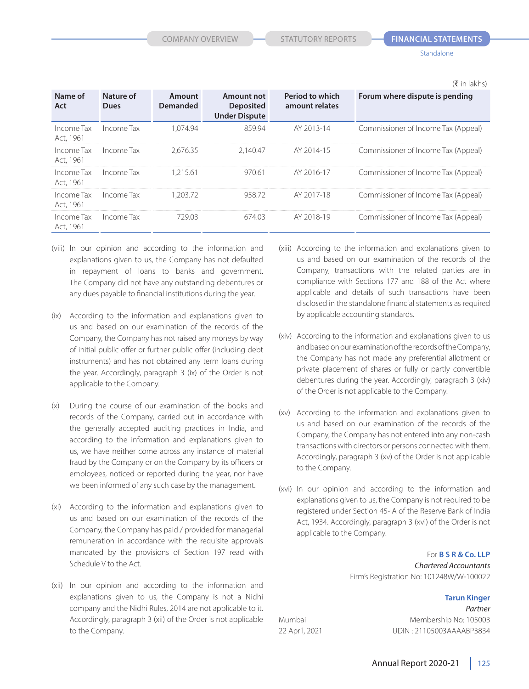$(\bar{\bar{\tau}}$  in lakhs)

| Name of<br>Act          | Nature of<br><b>Dues</b> | Amount<br>Demanded | Amount not<br><b>Deposited</b><br><b>Under Dispute</b> | Period to which<br>amount relates | Forum where dispute is pending      |
|-------------------------|--------------------------|--------------------|--------------------------------------------------------|-----------------------------------|-------------------------------------|
| Income Tax<br>Act, 1961 | Income Tax               | 1.074.94           | 859.94                                                 | AY 2013-14                        | Commissioner of Income Tax (Appeal) |
| Income Tax<br>Act, 1961 | Income Tax               | 2.676.35           | 2.140.47                                               | AY 2014-15                        | Commissioner of Income Tax (Appeal) |
| Income Tax<br>Act, 1961 | Income Tax               | 1.215.61           | 970.61                                                 | AY 2016-17                        | Commissioner of Income Tax (Appeal) |
| Income Tax<br>Act, 1961 | Income Tax               | 1.203.72           | 958.72                                                 | AY 2017-18                        | Commissioner of Income Tax (Appeal) |
| Income Tax<br>Act, 1961 | Income Tax               | 729.03             | 67403                                                  | AY 2018-19                        | Commissioner of Income Tax (Appeal) |
|                         |                          |                    |                                                        |                                   |                                     |

- (viii) In our opinion and according to the information and explanations given to us, the Company has not defaulted in repayment of loans to banks and government. The Company did not have any outstanding debentures or any dues payable to financial institutions during the year.
- (ix) According to the information and explanations given to us and based on our examination of the records of the Company, the Company has not raised any moneys by way of initial public offer or further public offer (including debt instruments) and has not obtained any term loans during the year. Accordingly, paragraph 3 (ix) of the Order is not applicable to the Company.
- (x) During the course of our examination of the books and records of the Company, carried out in accordance with the generally accepted auditing practices in India, and according to the information and explanations given to us, we have neither come across any instance of material fraud by the Company or on the Company by its officers or employees, noticed or reported during the year, nor have we been informed of any such case by the management.
- (xi) According to the information and explanations given to us and based on our examination of the records of the Company, the Company has paid / provided for managerial remuneration in accordance with the requisite approvals mandated by the provisions of Section 197 read with Schedule V to the Act.
- (xii) In our opinion and according to the information and explanations given to us, the Company is not a Nidhi company and the Nidhi Rules, 2014 are not applicable to it. Accordingly, paragraph 3 (xii) of the Order is not applicable to the Company.
- (xiii) According to the information and explanations given to us and based on our examination of the records of the Company, transactions with the related parties are in compliance with Sections 177 and 188 of the Act where applicable and details of such transactions have been disclosed in the standalone financial statements as required by applicable accounting standards.
- (xiv) According to the information and explanations given to us and based on our examination of the records of the Company, the Company has not made any preferential allotment or private placement of shares or fully or partly convertible debentures during the year. Accordingly, paragraph 3 (xiv) of the Order is not applicable to the Company.
- (xv) According to the information and explanations given to us and based on our examination of the records of the Company, the Company has not entered into any non-cash transactions with directors or persons connected with them. Accordingly, paragraph 3 (xv) of the Order is not applicable to the Company.
- (xvi) In our opinion and according to the information and explanations given to us, the Company is not required to be registered under Section 45-IA of the Reserve Bank of India Act, 1934. Accordingly, paragraph 3 (xvi) of the Order is not applicable to the Company.

## For **B S R & Co. LLP**

*Chartered Accountants* Firm's Registration No: 101248W/W-100022

#### **Tarun Kinger**

*Partner* Mumbai Membership No: 105003 22 April, 2021 UDIN : 21105003AAAABP3834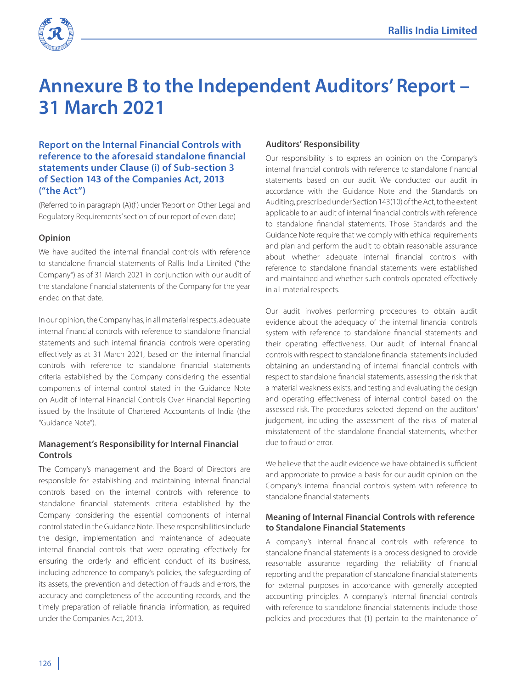

# **Annexure B to the Independent Auditors' Report – 31 March 2021**

# **Report on the Internal Financial Controls with reference to the aforesaid standalone financial statements under Clause (i) of Sub-section 3 of Section 143 of the Companies Act, 2013 ("the Act")**

(Referred to in paragraph (A)(f) under 'Report on Other Legal and Regulatory Requirements' section of our report of even date)

# **Opinion**

We have audited the internal financial controls with reference to standalone financial statements of Rallis India Limited ("the Company") as of 31 March 2021 in conjunction with our audit of the standalone financial statements of the Company for the year ended on that date.

In our opinion, the Company has, in all material respects, adequate internal financial controls with reference to standalone financial statements and such internal financial controls were operating effectively as at 31 March 2021, based on the internal financial controls with reference to standalone financial statements criteria established by the Company considering the essential components of internal control stated in the Guidance Note on Audit of Internal Financial Controls Over Financial Reporting issued by the Institute of Chartered Accountants of India (the "Guidance Note").

# **Management's Responsibility for Internal Financial Controls**

The Company's management and the Board of Directors are responsible for establishing and maintaining internal financial controls based on the internal controls with reference to standalone financial statements criteria established by the Company considering the essential components of internal control stated in the Guidance Note. These responsibilities include the design, implementation and maintenance of adequate internal financial controls that were operating effectively for ensuring the orderly and efficient conduct of its business, including adherence to company's policies, the safeguarding of its assets, the prevention and detection of frauds and errors, the accuracy and completeness of the accounting records, and the timely preparation of reliable financial information, as required under the Companies Act, 2013.

# **Auditors' Responsibility**

Our responsibility is to express an opinion on the Company's internal financial controls with reference to standalone financial statements based on our audit. We conducted our audit in accordance with the Guidance Note and the Standards on Auditing, prescribed under Section 143(10) of the Act, to the extent applicable to an audit of internal financial controls with reference to standalone financial statements. Those Standards and the Guidance Note require that we comply with ethical requirements and plan and perform the audit to obtain reasonable assurance about whether adequate internal financial controls with reference to standalone financial statements were established and maintained and whether such controls operated effectively in all material respects.

Our audit involves performing procedures to obtain audit evidence about the adequacy of the internal financial controls system with reference to standalone financial statements and their operating effectiveness. Our audit of internal financial controls with respect to standalone financial statements included obtaining an understanding of internal financial controls with respect to standalone financial statements, assessing the risk that a material weakness exists, and testing and evaluating the design and operating effectiveness of internal control based on the assessed risk. The procedures selected depend on the auditors' judgement, including the assessment of the risks of material misstatement of the standalone financial statements, whether due to fraud or error.

We believe that the audit evidence we have obtained is sufficient and appropriate to provide a basis for our audit opinion on the Company's internal financial controls system with reference to standalone financial statements.

# **Meaning of Internal Financial Controls with reference to Standalone Financial Statements**

A company's internal financial controls with reference to standalone financial statements is a process designed to provide reasonable assurance regarding the reliability of financial reporting and the preparation of standalone financial statements for external purposes in accordance with generally accepted accounting principles. A company's internal financial controls with reference to standalone financial statements include those policies and procedures that (1) pertain to the maintenance of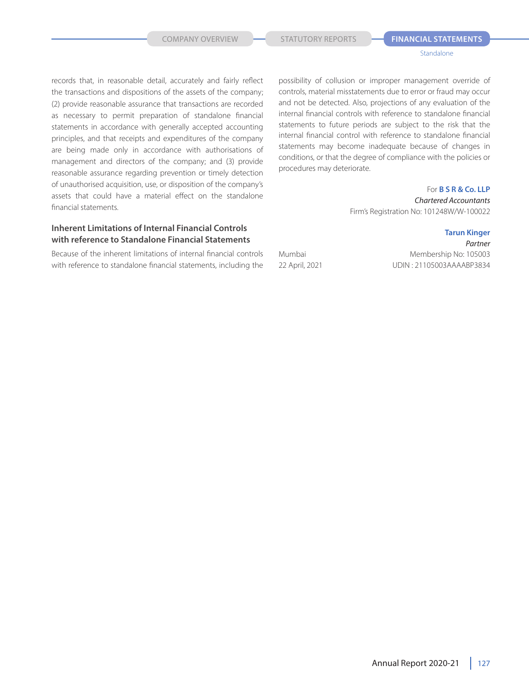records that, in reasonable detail, accurately and fairly reflect the transactions and dispositions of the assets of the company; (2) provide reasonable assurance that transactions are recorded as necessary to permit preparation of standalone financial statements in accordance with generally accepted accounting principles, and that receipts and expenditures of the company are being made only in accordance with authorisations of management and directors of the company; and (3) provide reasonable assurance regarding prevention or timely detection of unauthorised acquisition, use, or disposition of the company's assets that could have a material effect on the standalone financial statements.

# **Inherent Limitations of Internal Financial Controls with reference to Standalone Financial Statements**

Because of the inherent limitations of internal financial controls with reference to standalone financial statements, including the possibility of collusion or improper management override of controls, material misstatements due to error or fraud may occur and not be detected. Also, projections of any evaluation of the internal financial controls with reference to standalone financial statements to future periods are subject to the risk that the internal financial control with reference to standalone financial statements may become inadequate because of changes in conditions, or that the degree of compliance with the policies or procedures may deteriorate.

#### For **B S R & Co. LLP**

*Chartered Accountants* Firm's Registration No: 101248W/W-100022

#### **Tarun Kinger**

*Partner* Mumbai Membership No: 105003 22 April, 2021 UDIN : 21105003AAAABP3834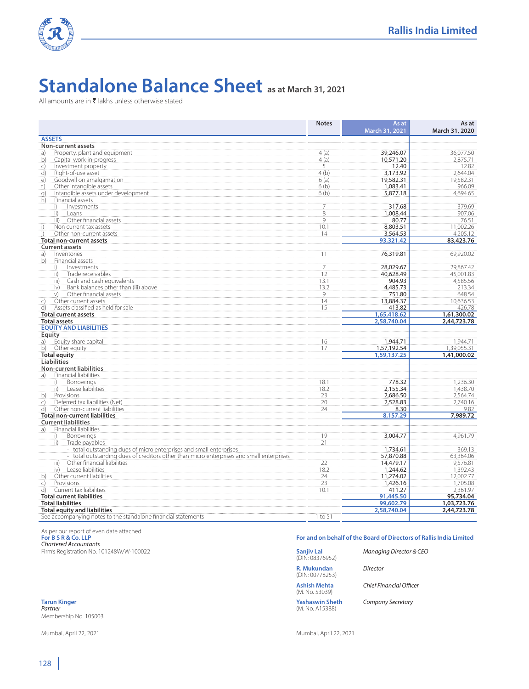

# **Standalone Balance Sheet as at March 31, 2021**

All amounts are in  $\bar{\tau}$  lakhs unless otherwise stated

|                                                                                          | <b>Notes</b>    | As at<br>March 31, 2021 | As at<br>March 31, 2020 |
|------------------------------------------------------------------------------------------|-----------------|-------------------------|-------------------------|
| <b>ASSETS</b>                                                                            |                 |                         |                         |
| Non-current assets                                                                       |                 |                         |                         |
| Property, plant and equipment<br>a)                                                      | 4(a)            | 39,246.07               | 36,077.50               |
| Capital work-in-progress<br>b)                                                           | 4(a)            | 10,571.20               | 2.875.71                |
| Investment property<br>$\mathsf{C}$                                                      | 5               | 12.40                   | 12.82                   |
| d)<br>Right-of-use asset                                                                 | 4(b)            | 3,173.92                | 2.644.04                |
| Goodwill on amalgamation<br>e)                                                           | 6(a)            | 19,582.31               | 19,582.31               |
| Other intangible assets<br>f)                                                            | 6(b)            | 1.083.41                | 966.09                  |
| Intangible assets under development<br>q)                                                | 6(b)            | 5,877.18                | 4,694.65                |
| h)<br>Financial assets                                                                   |                 |                         |                         |
| Investments<br>i)                                                                        | $\overline{7}$  | 317.68                  | 379.69                  |
| $\mathsf{ii}$<br>Loans                                                                   | $\,8\,$         | 1.008.44                | 907.06                  |
| Other financial assets<br>iii)                                                           | 9               | 80.77                   | 76.51                   |
| i)<br>Non current tax assets                                                             | 10.1            | 8.803.51                | 11.002.26               |
| Other non-current assets<br> )                                                           | 14              | 3.564.53                | 4.205.12                |
| <b>Total non-current assets</b>                                                          |                 | 93,321.42               | 83,423.76               |
| <b>Current assets</b>                                                                    |                 |                         |                         |
| Inventories<br>a)                                                                        | 11              | 76,319.81               | 69,920.02               |
| Financial assets<br>b)                                                                   |                 |                         |                         |
| Investments<br>i)                                                                        | $\overline{7}$  | 28.029.67               | 29,867.42               |
| Trade receivables<br>ii)                                                                 | 12              | 40.628.49               | 45,001.83               |
| $\overline{\mathsf{iii}}$<br>Cash and cash equivalents                                   | 13.1            | 904.93                  | 4.585.56                |
| Bank balances other than (iii) above<br>iv)                                              | 13.2            | 4,485.73                | 213.34                  |
| Other financial assets<br>V)                                                             | 9               | 751.80                  | 648.54                  |
| Other current assets<br>$\mathsf{C}$                                                     | $\overline{14}$ | 13,884.37               | 10.636.53               |
| Assets classified as held for sale<br>d)                                                 | 15              | 413.82                  | 426.78                  |
| <b>Total current assets</b>                                                              |                 | 1,65,418.62             | 1,61,300.02             |
| <b>Total assets</b>                                                                      |                 | 2,58,740.04             | 2,44,723.78             |
| <b>EQUITY AND LIABILITIES</b>                                                            |                 |                         |                         |
| Equity                                                                                   |                 |                         |                         |
| Equity share capital<br>a)                                                               | 16<br>17        | 1.944.71<br>1,57,192.54 | 1.944.71<br>1,39,055.31 |
| Other equity<br>b)                                                                       |                 | 1,59,137.25             | 1,41,000.02             |
| <b>Total equity</b><br><b>Liabilities</b>                                                |                 |                         |                         |
| Non-current liabilities                                                                  |                 |                         |                         |
| Financial liabilities<br>a)                                                              |                 |                         |                         |
| <b>Borrowings</b><br>$\overline{1}$                                                      | 18.1            | 778.32                  | 1,236.30                |
| Lease liabilities<br>$\mathsf{ii}$                                                       | 18.2            | 2.155.34                | 1,438.70                |
| Provisions<br>b)                                                                         | 23              | 2.686.50                | 2,564.74                |
| Deferred tax liabilities (Net)<br>$\mathsf{C}$                                           | 20              | 2,528.83                | 2,740.16                |
| Other non-current liabilities<br>d)                                                      | 24              | 8.30                    | 9.82                    |
| <b>Total non-current liabilities</b>                                                     |                 | 8,157.29                | 7,989.72                |
| <b>Current liabilities</b>                                                               |                 |                         |                         |
| Financial liabilities<br>a)                                                              |                 |                         |                         |
| Borrowings<br>i)                                                                         | 19              | 3.004.77                | 4,961.79                |
| ii) Trade payables                                                                       | 21              |                         |                         |
| - total outstanding dues of micro enterprises and small enterprises                      |                 | 1,734.61                | 369.13                  |
| - total outstanding dues of creditors other than micro enterprises and small enterprises |                 | 57.870.88               | 63.364.06               |
| Other financial liabilities<br>iii)                                                      | 22              | 14,479.17               | 9,576.81                |
| Lease liabilities<br>iv)                                                                 | 18.2            | 1,244.62                | 1,392.43                |
| Other current liabilities<br>b)                                                          | 24              | 11.274.02               | 12.002.77               |
| Provisions<br>$\mathsf{C}$                                                               | 23              | 1,426.16                | 1,705.08                |
| Current tax liabilities<br>d)                                                            | 10.1            | 411.27                  | 2,361.97                |
| <b>Total current liabilities</b>                                                         |                 | 91,445.50               | 95,734.04               |
| <b>Total liabilities</b>                                                                 |                 | 99,602.79               | 1.03.723.76             |
| <b>Total equity and liabilities</b>                                                      |                 | 2,58,740.04             | 2,44,723.78             |
| See accompanying notes to the standalone financial statements                            | 1 to 51         |                         |                         |

As per our report of even date attached<br>For B S R & Co. LLP

#### *Chartered Accountants*

**Sanjian** Registration No. 101248W/W-100022 **Sanding Director & CEO**<br>Managing Director & CEO

# For and on behalf of the Board of Directors of Rallis India Limited

| Firm's Registration No. 101248W/W-100022 | <b>Sanjiy Lal</b><br>Managing Director & CEO<br>(DIN: 08376952) |                                |  |
|------------------------------------------|-----------------------------------------------------------------|--------------------------------|--|
|                                          | R. Mukundan<br>(DIN: 00778253)                                  | <b>Director</b>                |  |
|                                          | <b>Ashish Mehta</b><br>(M. No. 53039)                           | <b>Chief Financial Officer</b> |  |
| <b>Tarun Kinger</b><br>$D$ artnar        | <b>Yashaswin Sheth</b><br>(MA N <sub>0</sub> , A1F200)          | <b>Company Secretary</b>       |  |

*Partner* (M. No. A15388) Membership No. 105003

Mumbai, April 22, 2021 Mumbai, April 22, 2021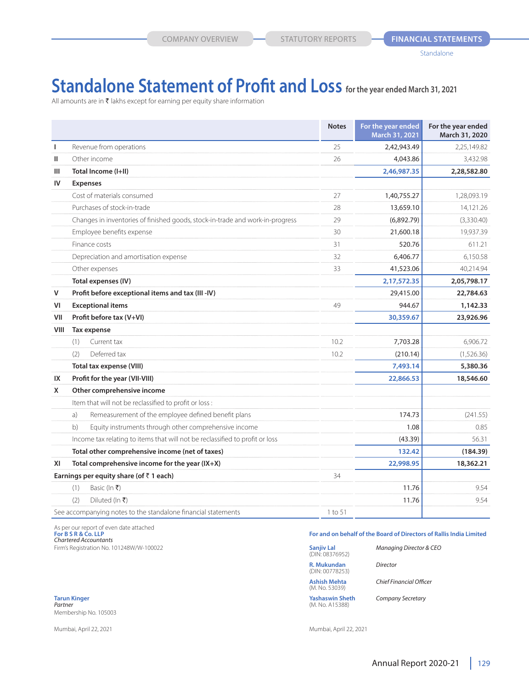# **Standalone Statement of Profit and Loss for the year ended March 31, 2021**

All amounts are in  $\bar{\tau}$  lakhs except for earning per equity share information

|      |                                                                               | <b>Notes</b> | For the year ended<br><b>March 31, 2021</b> | For the year ended<br>March 31, 2020 |
|------|-------------------------------------------------------------------------------|--------------|---------------------------------------------|--------------------------------------|
| т    | Revenue from operations                                                       | 25           | 2,42,943.49                                 | 2.25.149.82                          |
| Ш    | Other income                                                                  | 26           | 4,043.86                                    | 3,432.98                             |
| Ш    | Total Income (I+II)                                                           |              | 2,46,987.35                                 | 2,28,582.80                          |
| IV   | <b>Expenses</b>                                                               |              |                                             |                                      |
|      | Cost of materials consumed                                                    | 27           | 1,40,755.27                                 | 1,28,093.19                          |
|      | Purchases of stock-in-trade                                                   | 28           | 13,659.10                                   | 14,121.26                            |
|      | Changes in inventories of finished goods, stock-in-trade and work-in-progress | 29           | (6,892.79)                                  | (3,330.40)                           |
|      | Employee benefits expense                                                     | 30           | 21,600.18                                   | 19,937.39                            |
|      | Finance costs                                                                 | 31           | 520.76                                      | 611.21                               |
|      | Depreciation and amortisation expense                                         | 32           | 6,406.77                                    | 6,150.58                             |
|      | Other expenses                                                                | 33           | 41,523.06                                   | 40,214.94                            |
|      | Total expenses (IV)                                                           |              | 2,17,572.35                                 | 2,05,798.17                          |
| v    | Profit before exceptional items and tax (III -IV)                             |              | 29,415.00                                   | 22,784.63                            |
| VI   | <b>Exceptional items</b>                                                      | 49           | 944.67                                      | 1,142.33                             |
| VII  | Profit before tax (V+VI)                                                      |              | 30,359.67                                   | 23,926.96                            |
| VIII | <b>Tax expense</b>                                                            |              |                                             |                                      |
|      | Current tax<br>(1)                                                            | 10.2         | 7,703.28                                    | 6,906.72                             |
|      | Deferred tax<br>(2)                                                           | 10.2         | (210.14)                                    | (1,526.36)                           |
|      | Total tax expense (VIII)                                                      |              | 7,493.14                                    | 5,380.36                             |
| IX   | Profit for the year (VII-VIII)                                                |              | 22,866.53                                   | 18,546.60                            |
| x    | Other comprehensive income                                                    |              |                                             |                                      |
|      | Item that will not be reclassified to profit or loss:                         |              |                                             |                                      |
|      | Remeasurement of the employee defined benefit plans<br>a)                     |              | 174.73                                      | (241.55)                             |
|      | Equity instruments through other comprehensive income<br>b)                   |              | 1.08                                        | 0.85                                 |
|      | Income tax relating to items that will not be reclassified to profit or loss  |              | (43.39)                                     | 56.31                                |
|      | Total other comprehensive income (net of taxes)                               |              | 132.42                                      | (184.39)                             |
| XI   | Total comprehensive income for the year (IX+X)                                |              | 22,998.95                                   | 18,362.21                            |
|      | Earnings per equity share (of $\bar{z}$ 1 each)                               | 34           |                                             |                                      |
|      | Basic (In ₹)<br>(1)                                                           |              | 11.76                                       | 9.54                                 |
|      | (2)<br>Diluted (In ₹)                                                         |              | 11.76                                       | 9.54                                 |
|      | See accompanying notes to the standalone financial statements                 | 1 to 51      |                                             |                                      |

As per our report of even date attached *Chartered Accountants*

Firm's Registration No. 101248W/W-100022 **Sanjiv Lal** *Managing Director & CEO*

**Tarun Kinger Yashaswin Sheth** *Company Secretary Partner* (M. No. A15388) Membership No. 105003

Mumbai, April 22, 2021 Mumbai, April 22, 2021

For and on behalf of the Board of Directors of Rallis India Limited

| <b>Sanjiv Lal</b><br>(DIN: 08376952)  | Managing Director & C    |  |  |  |
|---------------------------------------|--------------------------|--|--|--|
| R. Mukundan<br>(DIN: 00778253)        | Director                 |  |  |  |
| <b>Ashish Mehta</b><br>(M. No. 53039) | Chief Financial Officer  |  |  |  |
| <b>Yashaswin Sheth</b>                | <b>Company Secretary</b> |  |  |  |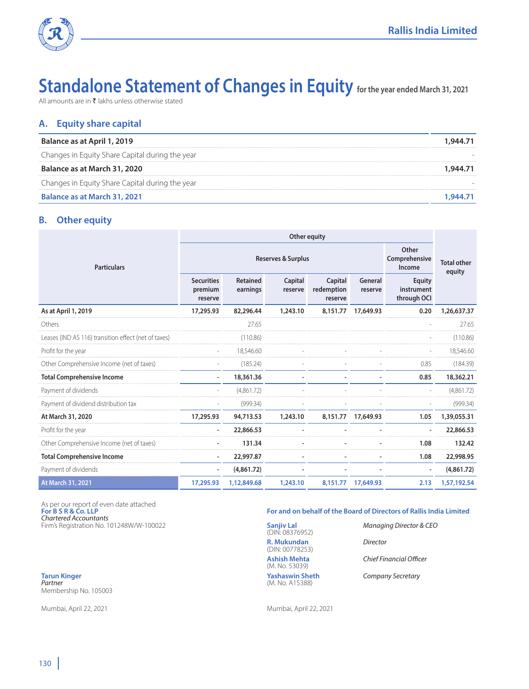

# Standalone Statement of Changes in Equity for the year ended March 31, 2021

All amounts are in  $\bar{\tau}$  lakhs unless otherwise stated

# **A. Equity share capital**

| Balance as at April 1, 2019                     |  |
|-------------------------------------------------|--|
| Changes in Equity Share Capital during the year |  |
| Balance as at March 31, 2020                    |  |
| Changes in Equity Share Capital during the year |  |
| Balance as at March 31, 2021                    |  |

# **B. Other equity**

|                                                      | Other equity                            |                               |                                  |                                  |                    |                                     |             |
|------------------------------------------------------|-----------------------------------------|-------------------------------|----------------------------------|----------------------------------|--------------------|-------------------------------------|-------------|
| <b>Particulars</b>                                   |                                         | <b>Reserves &amp; Surplus</b> | Other<br>Comprehensive<br>Income | <b>Total other</b><br>equity     |                    |                                     |             |
|                                                      | <b>Securities</b><br>premium<br>reserve | Retained<br>earnings          | Capital<br>reserve               | Capital<br>redemption<br>reserve | General<br>reserve | Equity<br>instrument<br>through OCI |             |
| As at April 1, 2019                                  | 17,295.93                               | 82,296.44                     | 1,243.10                         | 8,151.77                         | 17,649.93          | 0.20                                | 1,26,637.37 |
| Others                                               |                                         | 27.65                         |                                  |                                  |                    |                                     | 27.65       |
| Leases (IND AS 116) transition effect (net of taxes) |                                         | (110.86)                      |                                  |                                  |                    |                                     | (110.86)    |
| Profit for the year                                  |                                         | 18.546.60                     |                                  |                                  |                    |                                     | 18,546,60   |
| Other Comprehensive Income (net of taxes)            |                                         | (185.24)                      |                                  |                                  |                    | 0.85                                | (184.39)    |
| <b>Total Comprehensive Income</b>                    | ٠                                       | 18,361.36                     |                                  |                                  |                    | 0.85                                | 18,362.21   |
| Payment of dividends                                 |                                         | (4,861.72)                    |                                  |                                  |                    |                                     | (4,861.72)  |
| Payment of dividend distribution tax                 |                                         | (999.34)                      |                                  |                                  |                    |                                     | (999.34)    |
| At March 31, 2020                                    | 17,295.93                               | 94,713.53                     | 1,243.10                         | 8,151.77                         | 17,649.93          | 1.05                                | 1,39,055.31 |
| Profit for the year                                  |                                         | 22,866.53                     |                                  |                                  |                    |                                     | 22,866.53   |
| Other Comprehensive Income (net of taxes)            |                                         | 131.34                        |                                  |                                  |                    | 1.08                                | 132.42      |
| <b>Total Comprehensive Income</b>                    | ٠                                       | 22,997.87                     |                                  |                                  |                    | 1.08                                | 22,998.95   |
| Payment of dividends                                 |                                         | (4,861.72)                    |                                  |                                  |                    |                                     | (4,861.72)  |
| At March 31, 2021                                    | 17,295.93                               | 1,12,849.68                   | 1,243.10                         | 8.151.77                         | 17,649.93          | 2.13                                | 1,57,192.54 |

As per our report of even date attached<br>For B S R & Co. LLP *Chartered Accountants* Firm's Registration No. 101248W/W-100022 **Sanjiv Lal** *Managing Director & CEO*

**Tarun Kinger Yashaswin Sheth** *Company Secretary* Membership No. 105003

#### For and on behalf of the Board of Directors of Rallis India Limited

**Sanjiv Lal**<br>(DIN: 08376952) **R. Mukundan** *Director* (DIN: 00778253) (M. No. 53039) *(M. No. A15388)* 

**Ashish Mehta** *Chief Financial Officer*

Mumbai, April 22, 2021 Mumbai, April 22, 2021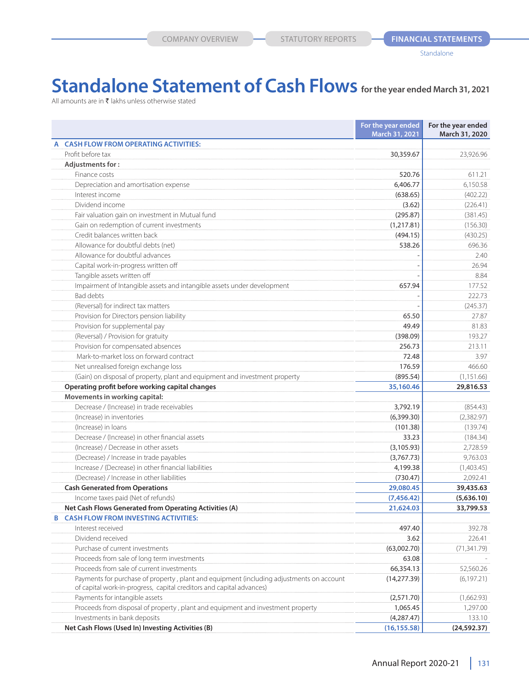# Standalone Statement of Cash Flows for the year ended March 31, 2021

All amounts are in  $\bar{\tau}$  lakhs unless otherwise stated

|                                                                                          | For the year ended | For the year ended |
|------------------------------------------------------------------------------------------|--------------------|--------------------|
|                                                                                          | March 31, 2021     | March 31, 2020     |
| <b>CASH FLOW FROM OPERATING ACTIVITIES:</b><br>A                                         |                    |                    |
| Profit before tax                                                                        | 30,359.67          | 23,926.96          |
| Adjustments for:                                                                         |                    |                    |
| Finance costs                                                                            | 520.76             | 611.21             |
| Depreciation and amortisation expense                                                    | 6,406.77           | 6,150.58           |
| Interest income                                                                          | (638.65)           | (402.22)           |
| Dividend income                                                                          | (3.62)             | (226.41)           |
| Fair valuation gain on investment in Mutual fund                                         | (295.87)           | (381.45)           |
| Gain on redemption of current investments                                                | (1, 217.81)        | (156.30)           |
| Credit balances written back                                                             | (494.15)           | (430.25)           |
| Allowance for doubtful debts (net)                                                       | 538.26             | 696.36             |
| Allowance for doubtful advances                                                          |                    | 2.40               |
| Capital work-in-progress written off                                                     |                    | 26.94              |
| Tangible assets written off                                                              |                    | 8.84               |
| Impairment of Intangible assets and intangible assets under development                  | 657.94             | 177.52             |
| Bad debts                                                                                |                    | 222.73             |
| (Reversal) for indirect tax matters                                                      |                    | (245.37)           |
| Provision for Directors pension liability                                                | 65.50              | 27.87              |
| Provision for supplemental pay                                                           | 49.49              | 81.83              |
| (Reversal) / Provision for gratuity                                                      | (398.09)           | 193.27             |
| Provision for compensated absences                                                       | 256.73             | 213.11             |
| Mark-to-market loss on forward contract                                                  | 72.48              | 3.97               |
| Net unrealised foreign exchange loss                                                     | 176.59             | 466.60             |
| (Gain) on disposal of property, plant and equipment and investment property              | (895.54)           | (1, 151.66)        |
| Operating profit before working capital changes                                          | 35,160.46          | 29,816.53          |
| Movements in working capital:                                                            |                    |                    |
| Decrease / (Increase) in trade receivables                                               | 3,792.19           | (854.43)           |
| (Increase) in inventories                                                                | (6, 399.30)        | (2,382.97)         |
| (Increase) in loans                                                                      | (101.38)           | (139.74)           |
| Decrease / (Increase) in other financial assets                                          | 33.23              | (184.34)           |
| (Increase) / Decrease in other assets                                                    | (3, 105.93)        | 2,728.59           |
| (Decrease) / Increase in trade payables                                                  | (3,767.73)         | 9,763.03           |
| Increase / (Decrease) in other financial liabilities                                     | 4,199.38           | (1,403.45)         |
| (Decrease) / Increase in other liabilities                                               | (730.47)           | 2,092.41           |
| <b>Cash Generated from Operations</b>                                                    | 29,080.45          | 39,435.63          |
| Income taxes paid (Net of refunds)                                                       | (7,456.42)         | (5,636.10)         |
| Net Cash Flows Generated from Operating Activities (A)                                   | 21,624.03          | 33,799.53          |
| <b>B CASH FLOW FROM INVESTING ACTIVITIES:</b>                                            |                    |                    |
| Interest received                                                                        | 497.40             | 392.78             |
| Dividend received                                                                        | 3.62               | 226.41             |
| Purchase of current investments                                                          | (63,002.70)        | (71, 341.79)       |
| Proceeds from sale of long term investments                                              | 63.08              |                    |
| Proceeds from sale of current investments                                                | 66,354.13          | 52,560.26          |
| Payments for purchase of property, plant and equipment (including adjustments on account | (14, 277.39)       | (6, 197.21)        |
| of capital work-in-progress, capital creditors and capital advances)                     |                    |                    |
| Payments for intangible assets                                                           | (2,571.70)         | (1,662.93)         |
| Proceeds from disposal of property, plant and equipment and investment property          | 1,065.45           | 1,297.00           |
| Investments in bank deposits                                                             | (4, 287.47)        | 133.10             |
| Net Cash Flows (Used In) Investing Activities (B)                                        | (16, 155.58)       | (24, 592.37)       |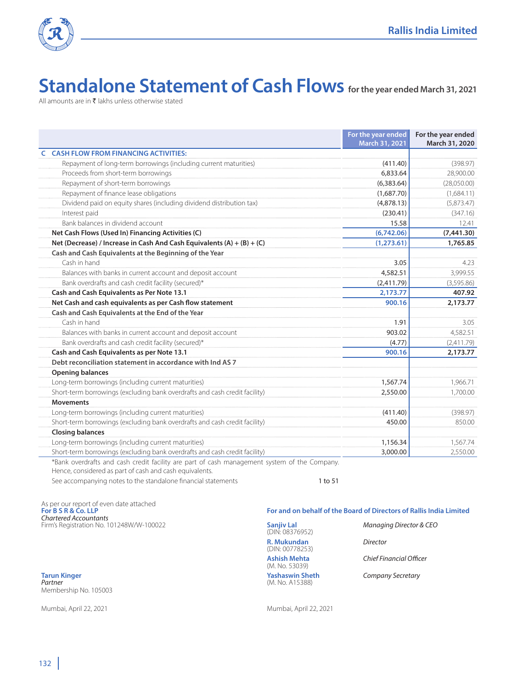

# **Standalone Statement of Cash Flows** for the year ended March 31, 2021

All amounts are in  $\bar{\tau}$  lakhs unless otherwise stated

|                                                                            | For the year ended<br>March 31, 2021 | For the year ended<br>March 31, 2020 |
|----------------------------------------------------------------------------|--------------------------------------|--------------------------------------|
| <b>C CASH FLOW FROM FINANCING ACTIVITIES:</b>                              |                                      |                                      |
| Repayment of long-term borrowings (including current maturities)           | (411.40)                             | (398.97)                             |
| Proceeds from short-term borrowings                                        | 6,833.64                             | 28,900.00                            |
| Repayment of short-term borrowings                                         | (6,383.64)                           | (28,050.00)                          |
| Repayment of finance lease obligations                                     | (1,687.70)                           | (1,684.11)                           |
| Dividend paid on equity shares (including dividend distribution tax)       | (4,878.13)                           | (5,873.47)                           |
| Interest paid                                                              | (230.41)                             | (347.16)                             |
| Bank balances in dividend account                                          | 15.58                                | 12.41                                |
| Net Cash Flows (Used In) Financing Activities (C)                          | (6,742.06)                           | (7,441.30)                           |
| Net (Decrease) / Increase in Cash And Cash Equivalents $(A) + (B) + (C)$   | (1, 273.61)                          | 1,765.85                             |
| Cash and Cash Equivalents at the Beginning of the Year                     |                                      |                                      |
| Cash in hand                                                               | 3.05                                 | 4.23                                 |
| Balances with banks in current account and deposit account                 | 4,582.51                             | 3,999.55                             |
| Bank overdrafts and cash credit facility (secured)*                        | (2,411.79)                           | (3,595.86)                           |
| Cash and Cash Equivalents as Per Note 13.1                                 | 2,173.77                             | 407.92                               |
| Net Cash and cash equivalents as per Cash flow statement                   | 900.16                               | 2,173.77                             |
| Cash and Cash Equivalents at the End of the Year                           |                                      |                                      |
| Cash in hand                                                               | 1.91                                 | 3.05                                 |
| Balances with banks in current account and deposit account                 | 903.02                               | 4,582.51                             |
| Bank overdrafts and cash credit facility (secured)*                        | (4.77)                               | (2,411.79)                           |
| Cash and Cash Equivalents as per Note 13.1                                 | 900.16                               | 2,173.77                             |
| Debt reconciliation statement in accordance with Ind AS 7                  |                                      |                                      |
| <b>Opening balances</b>                                                    |                                      |                                      |
| Long-term borrowings (including current maturities)                        | 1,567.74                             | 1,966.71                             |
| Short-term borrowings (excluding bank overdrafts and cash credit facility) | 2,550.00                             | 1,700.00                             |
| <b>Movements</b>                                                           |                                      |                                      |
| Long-term borrowings (including current maturities)                        | (411.40)                             | (398.97)                             |
| Short-term borrowings (excluding bank overdrafts and cash credit facility) | 450.00                               | 850.00                               |
| <b>Closing balances</b>                                                    |                                      |                                      |
| Long-term borrowings (including current maturities)                        | 1,156.34                             | 1,567.74                             |
| Short-term borrowings (excluding bank overdrafts and cash credit facility) | 3,000.00                             | 2,550.00                             |

\*Bank overdrafts and cash credit facility are part of cash management system of the Company. Hence, considered as part of cash and cash equivalents.

See accompanying notes to the standalone financial statements 1 to 51

As per our report of even date attached *Chartered Accountants* Firm's Registration No. 101248W/W-100022 **Sanjiv Lal** *Managing Director & CEO*

**Tarun Kinger Yashaswin Sheth** *Company Secretary* Membership No. 105003

For and on behalf of the Board of Directors of Rallis India Limited

(DIN: 08376952) **R. Mukundan** *Director* (DIN: 00778253) **Ashish Mehta**<br>(M. No. 53039)

*Partner* (M. No. A15388)

**Ashish Mehta** *Chief Financial Officer*

Mumbai, April 22, 2021 Mumbai, April 22, 2021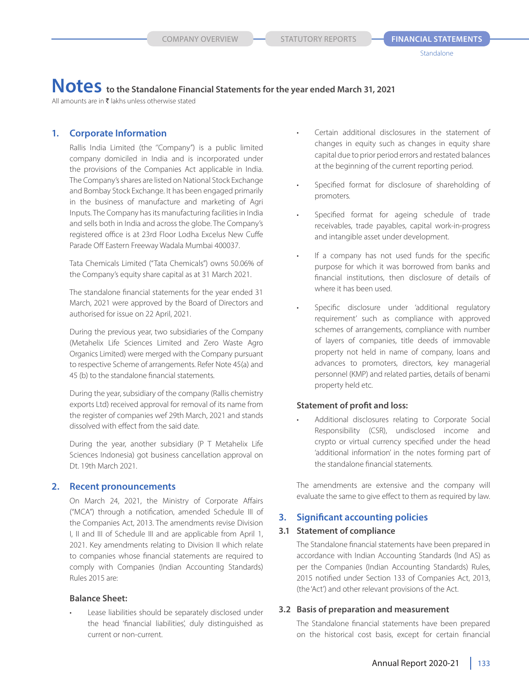All amounts are in  $\bar{\tau}$  lakhs unless otherwise stated

# **1. Corporate Information**

Rallis India Limited (the ''Company'') is a public limited company domiciled in India and is incorporated under the provisions of the Companies Act applicable in India. The Company's shares are listed on National Stock Exchange and Bombay Stock Exchange. It has been engaged primarily in the business of manufacture and marketing of Agri Inputs. The Company has its manufacturing facilities in India and sells both in India and across the globe. The Company's registered office is at 23rd Floor Lodha Excelus New Cuffe Parade Off Eastern Freeway Wadala Mumbai 400037.

 Tata Chemicals Limited ("Tata Chemicals") owns 50.06% of the Company's equity share capital as at 31 March 2021.

 The standalone financial statements for the year ended 31 March, 2021 were approved by the Board of Directors and authorised for issue on 22 April, 2021.

 During the previous year, two subsidiaries of the Company (Metahelix Life Sciences Limited and Zero Waste Agro Organics Limited) were merged with the Company pursuant to respective Scheme of arrangements. Refer Note 45(a) and 45 (b) to the standalone financial statements.

 During the year, subsidiary of the company (Rallis chemistry exports Ltd) received approval for removal of its name from the register of companies wef 29th March, 2021 and stands dissolved with effect from the said date.

 During the year, another subsidiary (P T Metahelix Life Sciences Indonesia) got business cancellation approval on Dt. 19th March 2021.

# **2. Recent pronouncements**

 On March 24, 2021, the Ministry of Corporate Affairs ("MCA") through a notification, amended Schedule III of the Companies Act, 2013. The amendments revise Division I, II and III of Schedule III and are applicable from April 1, 2021. Key amendments relating to Division II which relate to companies whose financial statements are required to comply with Companies (Indian Accounting Standards) Rules 2015 are:

#### **Balance Sheet:**

Lease liabilities should be separately disclosed under the head 'financial liabilities', duly distinguished as current or non-current.

- Certain additional disclosures in the statement of changes in equity such as changes in equity share capital due to prior period errors and restated balances at the beginning of the current reporting period.
- Specified format for disclosure of shareholding of promoters.
- Specified format for ageing schedule of trade receivables, trade payables, capital work-in-progress and intangible asset under development.
- If a company has not used funds for the specific purpose for which it was borrowed from banks and financial institutions, then disclosure of details of where it has been used.
- Specific disclosure under 'additional regulatory requirement' such as compliance with approved schemes of arrangements, compliance with number of layers of companies, title deeds of immovable property not held in name of company, loans and advances to promoters, directors, key managerial personnel (KMP) and related parties, details of benami property held etc.

#### **Statement of profit and loss:**

Additional disclosures relating to Corporate Social Responsibility (CSR), undisclosed income and crypto or virtual currency specified under the head 'additional information' in the notes forming part of the standalone financial statements.

 The amendments are extensive and the company will evaluate the same to give effect to them as required by law.

# **3. Significant accounting policies**

## **3.1 Statement of compliance**

 The Standalone financial statements have been prepared in accordance with Indian Accounting Standards (Ind AS) as per the Companies (Indian Accounting Standards) Rules, 2015 notified under Section 133 of Companies Act, 2013, (the 'Act') and other relevant provisions of the Act.

#### **3.2 Basis of preparation and measurement**

 The Standalone financial statements have been prepared on the historical cost basis, except for certain financial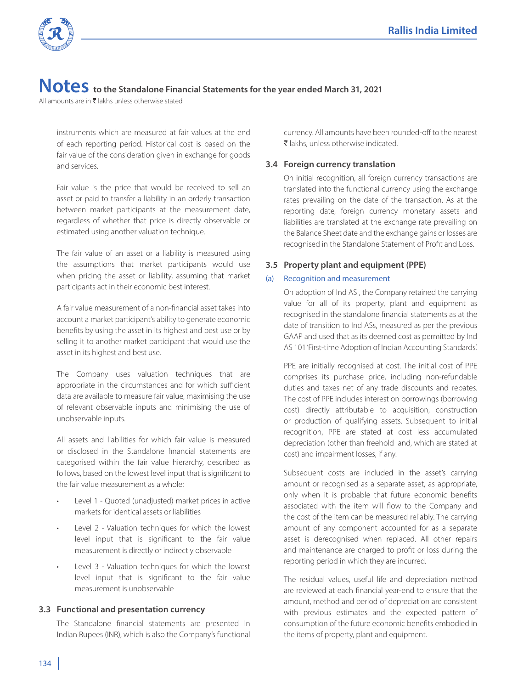

All amounts are in  $\bar{\tau}$  lakhs unless otherwise stated

instruments which are measured at fair values at the end of each reporting period. Historical cost is based on the fair value of the consideration given in exchange for goods and services.

 Fair value is the price that would be received to sell an asset or paid to transfer a liability in an orderly transaction between market participants at the measurement date, regardless of whether that price is directly observable or estimated using another valuation technique.

 The fair value of an asset or a liability is measured using the assumptions that market participants would use when pricing the asset or liability, assuming that market participants act in their economic best interest.

 A fair value measurement of a non-financial asset takes into account a market participant's ability to generate economic benefits by using the asset in its highest and best use or by selling it to another market participant that would use the asset in its highest and best use.

 The Company uses valuation techniques that are appropriate in the circumstances and for which sufficient data are available to measure fair value, maximising the use of relevant observable inputs and minimising the use of unobservable inputs.

 All assets and liabilities for which fair value is measured or disclosed in the Standalone financial statements are categorised within the fair value hierarchy, described as follows, based on the lowest level input that is significant to the fair value measurement as a whole:

- Level 1 Quoted (unadjusted) market prices in active markets for identical assets or liabilities
- Level 2 Valuation techniques for which the lowest level input that is significant to the fair value measurement is directly or indirectly observable
- Level 3 Valuation techniques for which the lowest level input that is significant to the fair value measurement is unobservable

## **3.3 Functional and presentation currency**

 The Standalone financial statements are presented in Indian Rupees (INR), which is also the Company's functional currency. All amounts have been rounded-off to the nearest ₹ lakhs, unless otherwise indicated.

## **3.4 Foreign currency translation**

 On initial recognition, all foreign currency transactions are translated into the functional currency using the exchange rates prevailing on the date of the transaction. As at the reporting date, foreign currency monetary assets and liabilities are translated at the exchange rate prevailing on the Balance Sheet date and the exchange gains or losses are recognised in the Standalone Statement of Profit and Loss.

# **3.5 Property plant and equipment (PPE)**

## (a) Recognition and measurement

 On adoption of Ind AS , the Company retained the carrying value for all of its property, plant and equipment as recognised in the standalone financial statements as at the date of transition to Ind ASs, measured as per the previous GAAP and used that as its deemed cost as permitted by Ind AS 101 'First-time Adoption of Indian Accounting Standards'.

 PPE are initially recognised at cost. The initial cost of PPE comprises its purchase price, including non-refundable duties and taxes net of any trade discounts and rebates. The cost of PPE includes interest on borrowings (borrowing cost) directly attributable to acquisition, construction or production of qualifying assets. Subsequent to initial recognition, PPE are stated at cost less accumulated depreciation (other than freehold land, which are stated at cost) and impairment losses, if any.

 Subsequent costs are included in the asset's carrying amount or recognised as a separate asset, as appropriate, only when it is probable that future economic benefits associated with the item will flow to the Company and the cost of the item can be measured reliably. The carrying amount of any component accounted for as a separate asset is derecognised when replaced. All other repairs and maintenance are charged to profit or loss during the reporting period in which they are incurred.

 The residual values, useful life and depreciation method are reviewed at each financial year-end to ensure that the amount, method and period of depreciation are consistent with previous estimates and the expected pattern of consumption of the future economic benefits embodied in the items of property, plant and equipment.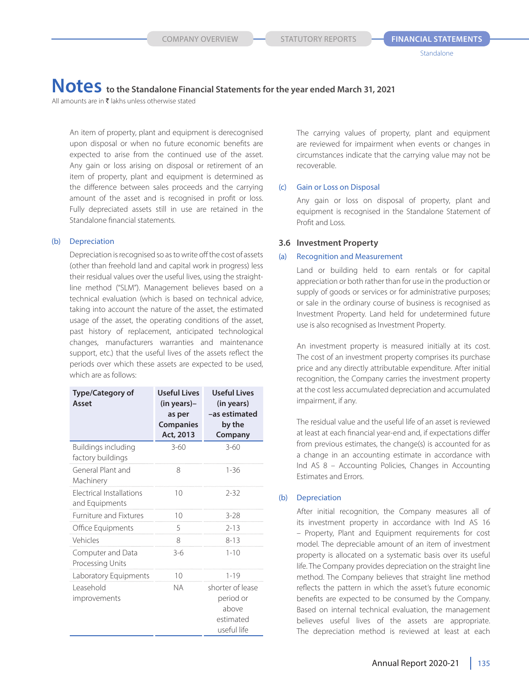# **Notes to the Standalone Financial Statements for the year ended March 31, 2021**

All amounts are in  $\bar{\tau}$  lakhs unless otherwise stated

 An item of property, plant and equipment is derecognised upon disposal or when no future economic benefits are expected to arise from the continued use of the asset. Any gain or loss arising on disposal or retirement of an item of property, plant and equipment is determined as the difference between sales proceeds and the carrying amount of the asset and is recognised in profit or loss. Fully depreciated assets still in use are retained in the Standalone financial statements.

#### (b) Depreciation

 Depreciation is recognised so as to write off the cost of assets (other than freehold land and capital work in progress) less their residual values over the useful lives, using the straightline method ("SLM"). Management believes based on a technical evaluation (which is based on technical advice, taking into account the nature of the asset, the estimated usage of the asset, the operating conditions of the asset, past history of replacement, anticipated technological changes, manufacturers warranties and maintenance support, etc.) that the useful lives of the assets reflect the periods over which these assets are expected to be used, which are as follows:

| <b>Type/Category of</b><br>Asset                  | <b>Useful Lives</b><br>(in years)-<br>as per<br><b>Companies</b><br>Act, 2013 | <b>Useful Lives</b><br>(in years)<br>-as estimated<br>by the<br>Company |
|---------------------------------------------------|-------------------------------------------------------------------------------|-------------------------------------------------------------------------|
| Buildings including<br>factory buildings          | $3 - 60$                                                                      | $3 - 60$                                                                |
| General Plant and<br>Machinery                    | 8                                                                             | 1-36                                                                    |
| <b>Electrical Installations</b><br>and Equipments | 10                                                                            | $2 - 32$                                                                |
| Furniture and Fixtures                            | 10                                                                            | $3 - 28$                                                                |
| Office Equipments                                 | 5                                                                             | $2 - 13$                                                                |
| Vehicles                                          | 8                                                                             | $8 - 13$                                                                |
| Computer and Data<br>Processing Units             | $3-6$                                                                         | $1 - 10$                                                                |
| Laboratory Equipments                             | 10                                                                            | $1 - 19$                                                                |
| Leasehold<br>improvements                         | <b>NA</b>                                                                     | shorter of lease<br>period or<br>above<br>estimated<br>useful life      |

 The carrying values of property, plant and equipment are reviewed for impairment when events or changes in circumstances indicate that the carrying value may not be recoverable.

#### (c) Gain or Loss on Disposal

 Any gain or loss on disposal of property, plant and equipment is recognised in the Standalone Statement of Profit and Loss.

#### **3.6 Investment Property**

#### (a) Recognition and Measurement

 Land or building held to earn rentals or for capital appreciation or both rather than for use in the production or supply of goods or services or for administrative purposes; or sale in the ordinary course of business is recognised as Investment Property. Land held for undetermined future use is also recognised as Investment Property.

 An investment property is measured initially at its cost. The cost of an investment property comprises its purchase price and any directly attributable expenditure. After initial recognition, the Company carries the investment property at the cost less accumulated depreciation and accumulated impairment, if any.

 The residual value and the useful life of an asset is reviewed at least at each financial year-end and, if expectations differ from previous estimates, the change(s) is accounted for as a change in an accounting estimate in accordance with Ind AS 8 – Accounting Policies, Changes in Accounting Estimates and Errors.

#### (b) Depreciation

 After initial recognition, the Company measures all of its investment property in accordance with Ind AS 16 – Property, Plant and Equipment requirements for cost model. The depreciable amount of an item of investment property is allocated on a systematic basis over its useful life. The Company provides depreciation on the straight line method. The Company believes that straight line method reflects the pattern in which the asset's future economic benefits are expected to be consumed by the Company. Based on internal technical evaluation, the management believes useful lives of the assets are appropriate. The depreciation method is reviewed at least at each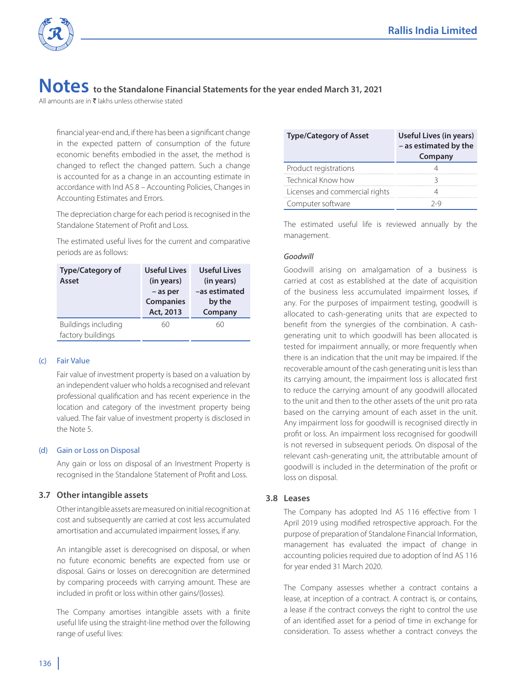

All amounts are in  $\bar{\tau}$  lakhs unless otherwise stated

financial year-end and, if there has been a significant change in the expected pattern of consumption of the future economic benefits embodied in the asset, the method is changed to reflect the changed pattern. Such a change is accounted for as a change in an accounting estimate in accordance with Ind AS 8 – Accounting Policies, Changes in Accounting Estimates and Errors.

 The depreciation charge for each period is recognised in the Standalone Statement of Profit and Loss.

 The estimated useful lives for the current and comparative periods are as follows:

| <b>Type/Category of</b><br>Asset         | <b>Useful Lives</b><br>(in years)<br>- as per<br>Companies<br>Act, 2013 | <b>Useful Lives</b><br>(in years)<br>-as estimated<br>by the<br>Company |
|------------------------------------------|-------------------------------------------------------------------------|-------------------------------------------------------------------------|
| Buildings including<br>factory buildings | 60                                                                      | 60                                                                      |

## (c) Fair Value

 Fair value of investment property is based on a valuation by an independent valuer who holds a recognised and relevant professional qualification and has recent experience in the location and category of the investment property being valued. The fair value of investment property is disclosed in the Note 5.

## (d) Gain or Loss on Disposal

 Any gain or loss on disposal of an Investment Property is recognised in the Standalone Statement of Profit and Loss.

## **3.7 Other intangible assets**

 Other intangible assets are measured on initial recognition at cost and subsequently are carried at cost less accumulated amortisation and accumulated impairment losses, if any.

 An intangible asset is derecognised on disposal, or when no future economic benefits are expected from use or disposal. Gains or losses on derecognition are determined by comparing proceeds with carrying amount. These are included in profit or loss within other gains/(losses).

 The Company amortises intangible assets with a finite useful life using the straight-line method over the following range of useful lives:

| <b>Type/Category of Asset</b>  | Useful Lives (in years)<br>- as estimated by the<br>Company |
|--------------------------------|-------------------------------------------------------------|
| Product registrations          |                                                             |
| Technical Know how             |                                                             |
| Licenses and commercial rights |                                                             |
| Computer software              |                                                             |

 The estimated useful life is reviewed annually by the management.

#### *Goodwill*

 Goodwill arising on amalgamation of a business is carried at cost as established at the date of acquisition of the business less accumulated impairment losses, if any. For the purposes of impairment testing, goodwill is allocated to cash-generating units that are expected to benefit from the synergies of the combination. A cashgenerating unit to which goodwill has been allocated is tested for impairment annually, or more frequently when there is an indication that the unit may be impaired. If the recoverable amount of the cash generating unit is less than its carrying amount, the impairment loss is allocated first to reduce the carrying amount of any goodwill allocated to the unit and then to the other assets of the unit pro rata based on the carrying amount of each asset in the unit. Any impairment loss for goodwill is recognised directly in profit or loss. An impairment loss recognised for goodwill is not reversed in subsequent periods. On disposal of the relevant cash-generating unit, the attributable amount of goodwill is included in the determination of the profit or loss on disposal.

## **3.8 Leases**

 The Company has adopted Ind AS 116 effective from 1 April 2019 using modified retrospective approach. For the purpose of preparation of Standalone Financial Information, management has evaluated the impact of change in accounting policies required due to adoption of lnd AS 116 for year ended 31 March 2020.

 The Company assesses whether a contract contains a lease, at inception of a contract. A contract is, or contains, a lease if the contract conveys the right to control the use of an identified asset for a period of time in exchange for consideration. To assess whether a contract conveys the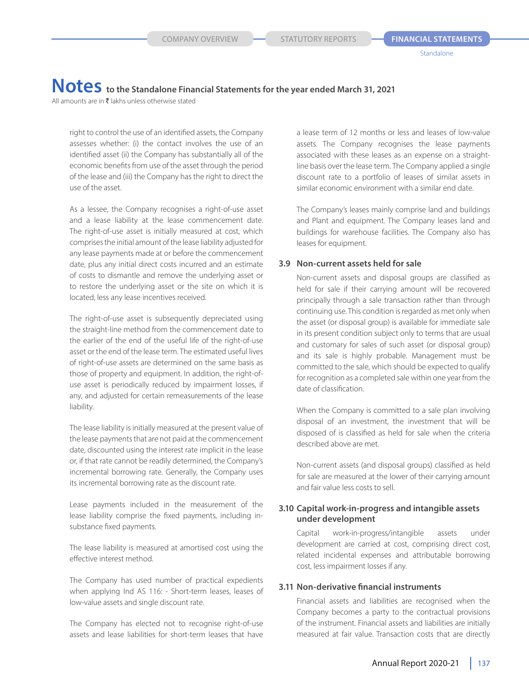# **Notes** to the Standalone Financial Statements for the year ended March 31, 2021

All amounts are in  $\bar{\tau}$  lakhs unless otherwise stated

right to control the use of an identified assets, the Company assesses whether: (i) the contact involves the use of an identified asset (ii) the Company has substantially all of the economic benefits from use of the asset through the period of the lease and (iii) the Company has the right to direct the use of the asset.

 As a lessee, the Company recognises a right-of-use asset and a lease liability at the lease commencement date. The right-of-use asset is initially measured at cost, which comprises the initial amount of the lease liability adjusted for any lease payments made at or before the commencement date, plus any initial direct costs incurred and an estimate of costs to dismantle and remove the underlying asset or to restore the underlying asset or the site on which it is located, less any lease incentives received.

 The right-of-use asset is subsequently depreciated using the straight-line method from the commencement date to the earlier of the end of the useful life of the right-of-use asset or the end of the lease term. The estimated useful lives of right-of-use assets are determined on the same basis as those of property and equipment. In addition, the right-ofuse asset is periodically reduced by impairment losses, if any, and adjusted for certain remeasurements of the lease liability.

 The lease liability is initially measured at the present value of the lease payments that are not paid at the commencement date, discounted using the interest rate implicit in the lease or, if that rate cannot be readily determined, the Company's incremental borrowing rate. Generally, the Company uses its incremental borrowing rate as the discount rate.

 Lease payments included in the measurement of the lease liability comprise the fixed payments, including insubstance fixed payments.

 The lease liability is measured at amortised cost using the effective interest method.

 The Company has used number of practical expedients when applying Ind AS 116: - Short-term leases, leases of low-value assets and single discount rate.

 The Company has elected not to recognise right-of-use assets and lease liabilities for short-term leases that have

a lease term of 12 months or less and leases of low-value assets. The Company recognises the lease payments associated with these leases as an expense on a straightline basis over the lease term. The Company applied a single discount rate to a portfolio of leases of similar assets in similar economic environment with a similar end date.

 The Company's leases mainly comprise land and buildings and Plant and equipment. The Company leases land and buildings for warehouse facilities. The Company also has leases for equipment.

#### **3.9 Non-current assets held for sale**

 Non-current assets and disposal groups are classified as held for sale if their carrying amount will be recovered principally through a sale transaction rather than through continuing use. This condition is regarded as met only when the asset (or disposal group) is available for immediate sale in its present condition subject only to terms that are usual and customary for sales of such asset (or disposal group) and its sale is highly probable. Management must be committed to the sale, which should be expected to qualify for recognition as a completed sale within one year from the date of classification.

 When the Company is committed to a sale plan involving disposal of an investment, the investment that will be disposed of is classified as held for sale when the criteria described above are met.

 Non-current assets (and disposal groups) classified as held for sale are measured at the lower of their carrying amount and fair value less costs to sell.

## **3.10 Capital work-in-progress and intangible assets under development**

 Capital work-in-progress/intangible assets under development are carried at cost, comprising direct cost, related incidental expenses and attributable borrowing cost, less impairment losses if any.

#### **3.11 Non-derivative financial instruments**

 Financial assets and liabilities are recognised when the Company becomes a party to the contractual provisions of the instrument. Financial assets and liabilities are initially measured at fair value. Transaction costs that are directly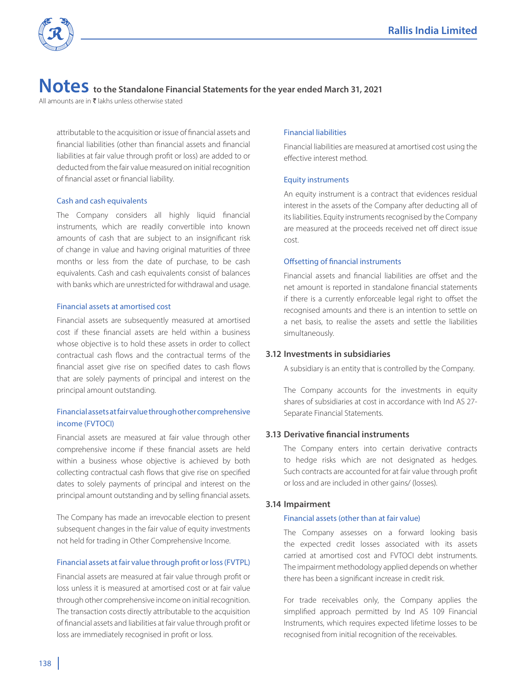

All amounts are in  $\bar{\tau}$  lakhs unless otherwise stated

attributable to the acquisition or issue of financial assets and financial liabilities (other than financial assets and financial liabilities at fair value through profit or loss) are added to or deducted from the fair value measured on initial recognition of financial asset or financial liability.

#### Cash and cash equivalents

 The Company considers all highly liquid financial instruments, which are readily convertible into known amounts of cash that are subject to an insignificant risk of change in value and having original maturities of three months or less from the date of purchase, to be cash equivalents. Cash and cash equivalents consist of balances with banks which are unrestricted for withdrawal and usage.

#### Financial assets at amortised cost

 Financial assets are subsequently measured at amortised cost if these financial assets are held within a business whose objective is to hold these assets in order to collect contractual cash flows and the contractual terms of the financial asset give rise on specified dates to cash flows that are solely payments of principal and interest on the principal amount outstanding.

# Financial assets at fair value through other comprehensive income (FVTOCI)

 Financial assets are measured at fair value through other comprehensive income if these financial assets are held within a business whose objective is achieved by both collecting contractual cash flows that give rise on specified dates to solely payments of principal and interest on the principal amount outstanding and by selling financial assets.

 The Company has made an irrevocable election to present subsequent changes in the fair value of equity investments not held for trading in Other Comprehensive Income.

## Financial assets at fair value through profit or loss (FVTPL)

 Financial assets are measured at fair value through profit or loss unless it is measured at amortised cost or at fair value through other comprehensive income on initial recognition. The transaction costs directly attributable to the acquisition of financial assets and liabilities at fair value through profit or loss are immediately recognised in profit or loss.

#### Financial liabilities

 Financial liabilities are measured at amortised cost using the effective interest method.

#### Equity instruments

 An equity instrument is a contract that evidences residual interest in the assets of the Company after deducting all of its liabilities. Equity instruments recognised by the Company are measured at the proceeds received net off direct issue cost.

# Offsetting of financial instruments

 Financial assets and financial liabilities are offset and the net amount is reported in standalone financial statements if there is a currently enforceable legal right to offset the recognised amounts and there is an intention to settle on a net basis, to realise the assets and settle the liabilities simultaneously.

## **3.12 Investments in subsidiaries**

A subsidiary is an entity that is controlled by the Company.

 The Company accounts for the investments in equity shares of subsidiaries at cost in accordance with Ind AS 27- Separate Financial Statements.

## **3.13 Derivative financial instruments**

 The Company enters into certain derivative contracts to hedge risks which are not designated as hedges. Such contracts are accounted for at fair value through profit or loss and are included in other gains/ (losses).

#### **3.14 Impairment**

#### Financial assets (other than at fair value)

 The Company assesses on a forward looking basis the expected credit losses associated with its assets carried at amortised cost and FVTOCI debt instruments. The impairment methodology applied depends on whether there has been a significant increase in credit risk.

 For trade receivables only, the Company applies the simplified approach permitted by Ind AS 109 Financial Instruments, which requires expected lifetime losses to be recognised from initial recognition of the receivables.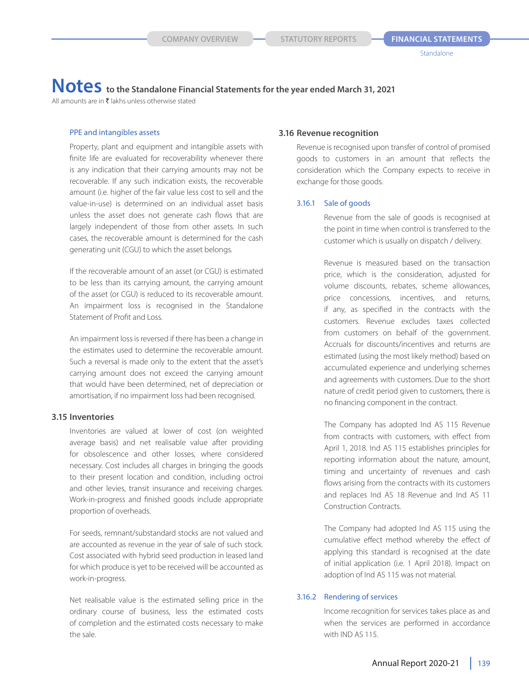All amounts are in  $\bar{\tau}$  lakhs unless otherwise stated

#### PPE and intangibles assets

 Property, plant and equipment and intangible assets with finite life are evaluated for recoverability whenever there is any indication that their carrying amounts may not be recoverable. If any such indication exists, the recoverable amount (i.e. higher of the fair value less cost to sell and the value-in-use) is determined on an individual asset basis unless the asset does not generate cash flows that are largely independent of those from other assets. In such cases, the recoverable amount is determined for the cash generating unit (CGU) to which the asset belongs.

 If the recoverable amount of an asset (or CGU) is estimated to be less than its carrying amount, the carrying amount of the asset (or CGU) is reduced to its recoverable amount. An impairment loss is recognised in the Standalone Statement of Profit and Loss.

 An impairment loss is reversed if there has been a change in the estimates used to determine the recoverable amount. Such a reversal is made only to the extent that the asset's carrying amount does not exceed the carrying amount that would have been determined, net of depreciation or amortisation, if no impairment loss had been recognised.

#### **3.15 Inventories**

 Inventories are valued at lower of cost (on weighted average basis) and net realisable value after providing for obsolescence and other losses, where considered necessary. Cost includes all charges in bringing the goods to their present location and condition, including octroi and other levies, transit insurance and receiving charges. Work-in-progress and finished goods include appropriate proportion of overheads.

 For seeds, remnant/substandard stocks are not valued and are accounted as revenue in the year of sale of such stock. Cost associated with hybrid seed production in leased land for which produce is yet to be received will be accounted as work-in-progress.

 Net realisable value is the estimated selling price in the ordinary course of business, less the estimated costs of completion and the estimated costs necessary to make the sale.

#### **3.16 Revenue recognition**

 Revenue is recognised upon transfer of control of promised goods to customers in an amount that reflects the consideration which the Company expects to receive in exchange for those goods.

#### 3.16.1 Sale of goods

 Revenue from the sale of goods is recognised at the point in time when control is transferred to the customer which is usually on dispatch / delivery.

 Revenue is measured based on the transaction price, which is the consideration, adjusted for volume discounts, rebates, scheme allowances, price concessions, incentives, and returns, if any, as specified in the contracts with the customers. Revenue excludes taxes collected from customers on behalf of the government. Accruals for discounts/incentives and returns are estimated (using the most likely method) based on accumulated experience and underlying schemes and agreements with customers. Due to the short nature of credit period given to customers, there is no financing component in the contract.

 The Company has adopted Ind AS 115 Revenue from contracts with customers, with effect from April 1, 2018. Ind AS 115 establishes principles for reporting information about the nature, amount, timing and uncertainty of revenues and cash flows arising from the contracts with its customers and replaces Ind AS 18 Revenue and Ind AS 11 Construction Contracts.

 The Company had adopted Ind AS 115 using the cumulative effect method whereby the effect of applying this standard is recognised at the date of initial application (i.e. 1 April 2018). Impact on adoption of Ind AS 115 was not material.

#### 3.16.2 Rendering of services

 Income recognition for services takes place as and when the services are performed in accordance with IND AS 115.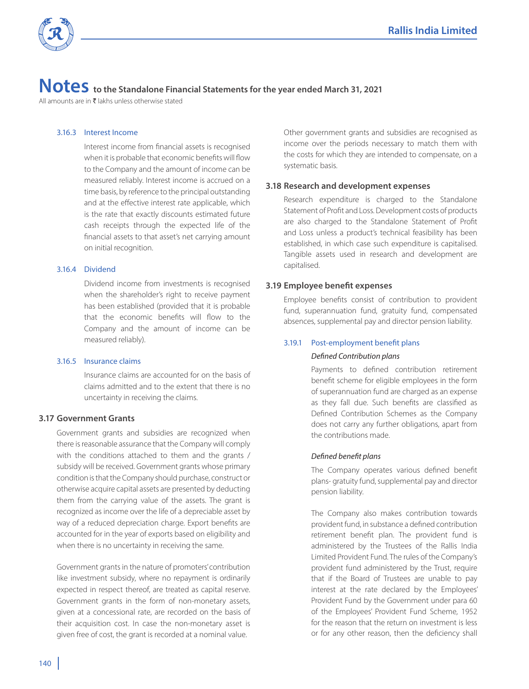

All amounts are in  $\bar{\tau}$  lakhs unless otherwise stated

#### 3.16.3 Interest Income

 Interest income from financial assets is recognised when it is probable that economic benefits will flow to the Company and the amount of income can be measured reliably. Interest income is accrued on a time basis, by reference to the principal outstanding and at the effective interest rate applicable, which is the rate that exactly discounts estimated future cash receipts through the expected life of the financial assets to that asset's net carrying amount on initial recognition.

#### 3.16.4 Dividend

 Dividend income from investments is recognised when the shareholder's right to receive payment has been established (provided that it is probable that the economic benefits will flow to the Company and the amount of income can be measured reliably).

## 3.16.5 Insurance claims

 Insurance claims are accounted for on the basis of claims admitted and to the extent that there is no uncertainty in receiving the claims.

## **3.17 Government Grants**

 Government grants and subsidies are recognized when there is reasonable assurance that the Company will comply with the conditions attached to them and the grants / subsidy will be received. Government grants whose primary condition is that the Company should purchase, construct or otherwise acquire capital assets are presented by deducting them from the carrying value of the assets. The grant is recognized as income over the life of a depreciable asset by way of a reduced depreciation charge. Export benefits are accounted for in the year of exports based on eligibility and when there is no uncertainty in receiving the same.

 Government grants in the nature of promoters' contribution like investment subsidy, where no repayment is ordinarily expected in respect thereof, are treated as capital reserve. Government grants in the form of non-monetary assets, given at a concessional rate, are recorded on the basis of their acquisition cost. In case the non-monetary asset is given free of cost, the grant is recorded at a nominal value.

 Other government grants and subsidies are recognised as income over the periods necessary to match them with the costs for which they are intended to compensate, on a systematic basis.

## **3.18 Research and development expenses**

 Research expenditure is charged to the Standalone Statement of Profit and Loss. Development costs of products are also charged to the Standalone Statement of Profit and Loss unless a product's technical feasibility has been established, in which case such expenditure is capitalised. Tangible assets used in research and development are capitalised.

# **3.19 Employee benefit expenses**

 Employee benefits consist of contribution to provident fund, superannuation fund, gratuity fund, compensated absences, supplemental pay and director pension liability.

## 3.19.1 Post-employment benefit plans

#### *Defined Contribution plans*

 Payments to defined contribution retirement benefit scheme for eligible employees in the form of superannuation fund are charged as an expense as they fall due. Such benefits are classified as Defined Contribution Schemes as the Company does not carry any further obligations, apart from the contributions made.

## *Defined benefit plans*

 The Company operates various defined benefit plans- gratuity fund, supplemental pay and director pension liability.

 The Company also makes contribution towards provident fund, in substance a defined contribution retirement benefit plan. The provident fund is administered by the Trustees of the Rallis India Limited Provident Fund. The rules of the Company's provident fund administered by the Trust, require that if the Board of Trustees are unable to pay interest at the rate declared by the Employees' Provident Fund by the Government under para 60 of the Employees' Provident Fund Scheme, 1952 for the reason that the return on investment is less or for any other reason, then the deficiency shall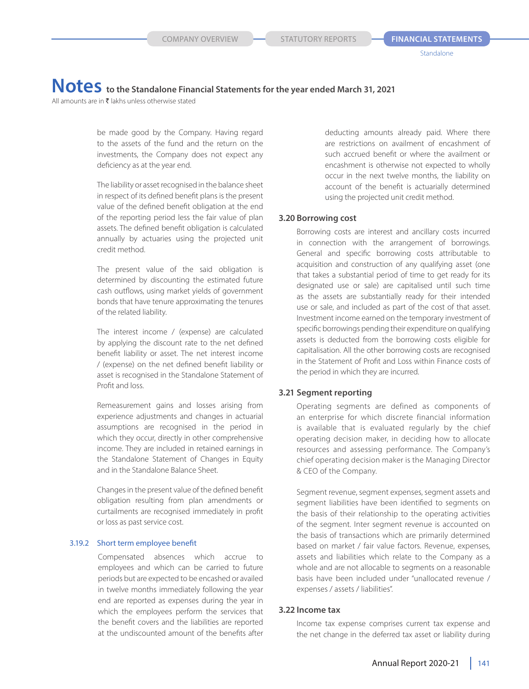# **Notes** to the Standalone Financial Statements for the year ended March 31, 2021

All amounts are in  $\bar{\tau}$  lakhs unless otherwise stated

be made good by the Company. Having regard to the assets of the fund and the return on the investments, the Company does not expect any deficiency as at the year end.

 The liability or asset recognised in the balance sheet in respect of its defined benefit plans is the present value of the defined benefit obligation at the end of the reporting period less the fair value of plan assets. The defined benefit obligation is calculated annually by actuaries using the projected unit credit method.

 The present value of the said obligation is determined by discounting the estimated future cash outflows, using market yields of government bonds that have tenure approximating the tenures of the related liability.

 The interest income / (expense) are calculated by applying the discount rate to the net defined benefit liability or asset. The net interest income / (expense) on the net defined benefit liability or asset is recognised in the Standalone Statement of Profit and loss.

 Remeasurement gains and losses arising from experience adjustments and changes in actuarial assumptions are recognised in the period in which they occur, directly in other comprehensive income. They are included in retained earnings in the Standalone Statement of Changes in Equity and in the Standalone Balance Sheet.

 Changes in the present value of the defined benefit obligation resulting from plan amendments or curtailments are recognised immediately in profit or loss as past service cost.

#### 3.19.2 Short term employee benefit

 Compensated absences which accrue to employees and which can be carried to future periods but are expected to be encashed or availed in twelve months immediately following the year end are reported as expenses during the year in which the employees perform the services that the benefit covers and the liabilities are reported at the undiscounted amount of the benefits after deducting amounts already paid. Where there are restrictions on availment of encashment of such accrued benefit or where the availment or encashment is otherwise not expected to wholly occur in the next twelve months, the liability on account of the benefit is actuarially determined using the projected unit credit method.

#### **3.20 Borrowing cost**

 Borrowing costs are interest and ancillary costs incurred in connection with the arrangement of borrowings. General and specific borrowing costs attributable to acquisition and construction of any qualifying asset (one that takes a substantial period of time to get ready for its designated use or sale) are capitalised until such time as the assets are substantially ready for their intended use or sale, and included as part of the cost of that asset. Investment income earned on the temporary investment of specific borrowings pending their expenditure on qualifying assets is deducted from the borrowing costs eligible for capitalisation. All the other borrowing costs are recognised in the Statement of Profit and Loss within Finance costs of the period in which they are incurred.

#### **3.21 Segment reporting**

 Operating segments are defined as components of an enterprise for which discrete financial information is available that is evaluated regularly by the chief operating decision maker, in deciding how to allocate resources and assessing performance. The Company's chief operating decision maker is the Managing Director & CEO of the Company.

 Segment revenue, segment expenses, segment assets and segment liabilities have been identified to segments on the basis of their relationship to the operating activities of the segment. Inter segment revenue is accounted on the basis of transactions which are primarily determined based on market / fair value factors. Revenue, expenses, assets and liabilities which relate to the Company as a whole and are not allocable to segments on a reasonable basis have been included under "unallocated revenue / expenses / assets / liabilities".

#### **3.22 Income tax**

 Income tax expense comprises current tax expense and the net change in the deferred tax asset or liability during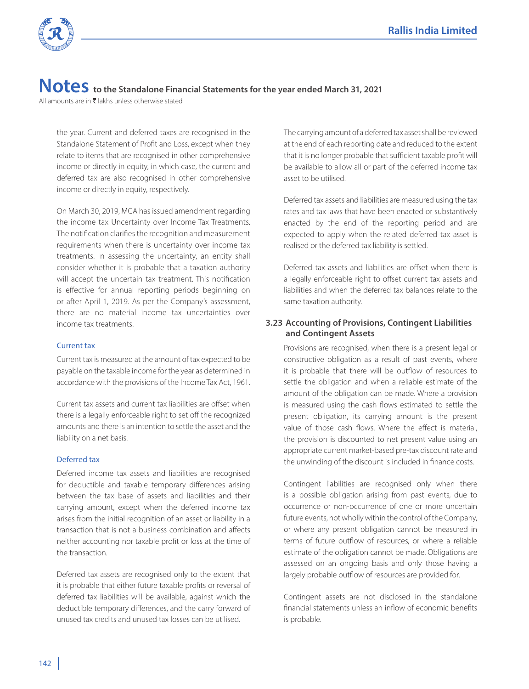

All amounts are in  $\bar{\tau}$  lakhs unless otherwise stated

the year. Current and deferred taxes are recognised in the Standalone Statement of Profit and Loss, except when they relate to items that are recognised in other comprehensive income or directly in equity, in which case, the current and deferred tax are also recognised in other comprehensive income or directly in equity, respectively.

 On March 30, 2019, MCA has issued amendment regarding the income tax Uncertainty over Income Tax Treatments. The notification clarifies the recognition and measurement requirements when there is uncertainty over income tax treatments. In assessing the uncertainty, an entity shall consider whether it is probable that a taxation authority will accept the uncertain tax treatment. This notification is effective for annual reporting periods beginning on or after April 1, 2019. As per the Company's assessment, there are no material income tax uncertainties over income tax treatments.

#### Current tax

 Current tax is measured at the amount of tax expected to be payable on the taxable income for the year as determined in accordance with the provisions of the Income Tax Act, 1961.

 Current tax assets and current tax liabilities are offset when there is a legally enforceable right to set off the recognized amounts and there is an intention to settle the asset and the liability on a net basis.

#### Deferred tax

 Deferred income tax assets and liabilities are recognised for deductible and taxable temporary differences arising between the tax base of assets and liabilities and their carrying amount, except when the deferred income tax arises from the initial recognition of an asset or liability in a transaction that is not a business combination and affects neither accounting nor taxable profit or loss at the time of the transaction.

 Deferred tax assets are recognised only to the extent that it is probable that either future taxable profits or reversal of deferred tax liabilities will be available, against which the deductible temporary differences, and the carry forward of unused tax credits and unused tax losses can be utilised.

 The carrying amount of a deferred tax asset shall be reviewed at the end of each reporting date and reduced to the extent that it is no longer probable that sufficient taxable profit will be available to allow all or part of the deferred income tax asset to be utilised.

 Deferred tax assets and liabilities are measured using the tax rates and tax laws that have been enacted or substantively enacted by the end of the reporting period and are expected to apply when the related deferred tax asset is realised or the deferred tax liability is settled.

 Deferred tax assets and liabilities are offset when there is a legally enforceable right to offset current tax assets and liabilities and when the deferred tax balances relate to the same taxation authority.

# **3.23 Accounting of Provisions, Contingent Liabilities and Contingent Assets**

 Provisions are recognised, when there is a present legal or constructive obligation as a result of past events, where it is probable that there will be outflow of resources to settle the obligation and when a reliable estimate of the amount of the obligation can be made. Where a provision is measured using the cash flows estimated to settle the present obligation, its carrying amount is the present value of those cash flows. Where the effect is material, the provision is discounted to net present value using an appropriate current market-based pre-tax discount rate and the unwinding of the discount is included in finance costs.

 Contingent liabilities are recognised only when there is a possible obligation arising from past events, due to occurrence or non-occurrence of one or more uncertain future events, not wholly within the control of the Company, or where any present obligation cannot be measured in terms of future outflow of resources, or where a reliable estimate of the obligation cannot be made. Obligations are assessed on an ongoing basis and only those having a largely probable outflow of resources are provided for.

 Contingent assets are not disclosed in the standalone financial statements unless an inflow of economic benefits is probable.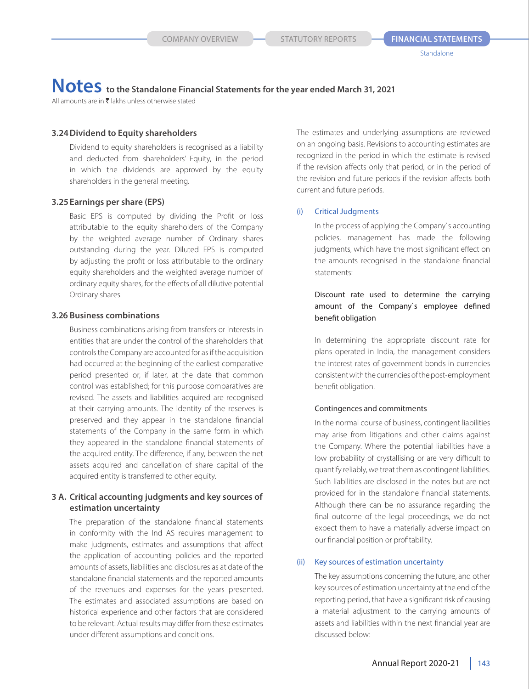# **Notes to the Standalone Financial Statements for the year ended March 31, 2021**

All amounts are in  $\bar{\tau}$  lakhs unless otherwise stated

# **3.24Dividend to Equity shareholders**

 Dividend to equity shareholders is recognised as a liability and deducted from shareholders' Equity, in the period in which the dividends are approved by the equity shareholders in the general meeting.

## **3.25Earnings per share (EPS)**

 Basic EPS is computed by dividing the Profit or loss attributable to the equity shareholders of the Company by the weighted average number of Ordinary shares outstanding during the year. Diluted EPS is computed by adjusting the profit or loss attributable to the ordinary equity shareholders and the weighted average number of ordinary equity shares, for the effects of all dilutive potential Ordinary shares.

#### **3.26 Business combinations**

 Business combinations arising from transfers or interests in entities that are under the control of the shareholders that controls the Company are accounted for as if the acquisition had occurred at the beginning of the earliest comparative period presented or, if later, at the date that common control was established; for this purpose comparatives are revised. The assets and liabilities acquired are recognised at their carrying amounts. The identity of the reserves is preserved and they appear in the standalone financial statements of the Company in the same form in which they appeared in the standalone financial statements of the acquired entity. The difference, if any, between the net assets acquired and cancellation of share capital of the acquired entity is transferred to other equity.

## **3 A. Critical accounting judgments and key sources of estimation uncertainty**

 The preparation of the standalone financial statements in conformity with the Ind AS requires management to make judgments, estimates and assumptions that affect the application of accounting policies and the reported amounts of assets, liabilities and disclosures as at date of the standalone financial statements and the reported amounts of the revenues and expenses for the years presented. The estimates and associated assumptions are based on historical experience and other factors that are considered to be relevant. Actual results may differ from these estimates under different assumptions and conditions.

 The estimates and underlying assumptions are reviewed on an ongoing basis. Revisions to accounting estimates are recognized in the period in which the estimate is revised if the revision affects only that period, or in the period of the revision and future periods if the revision affects both current and future periods.

#### (i) Critical Judgments

 In the process of applying the Company`s accounting policies, management has made the following judgments, which have the most significant effect on the amounts recognised in the standalone financial statements:

# Discount rate used to determine the carrying amount of the Company`s employee defined benefit obligation

 In determining the appropriate discount rate for plans operated in India, the management considers the interest rates of government bonds in currencies consistent with the currencies of the post-employment benefit obligation.

#### Contingences and commitments

 In the normal course of business, contingent liabilities may arise from litigations and other claims against the Company. Where the potential liabilities have a low probability of crystallising or are very difficult to quantify reliably, we treat them as contingent liabilities. Such liabilities are disclosed in the notes but are not provided for in the standalone financial statements. Although there can be no assurance regarding the final outcome of the legal proceedings, we do not expect them to have a materially adverse impact on our financial position or profitability.

#### (ii) Key sources of estimation uncertainty

 The key assumptions concerning the future, and other key sources of estimation uncertainty at the end of the reporting period, that have a significant risk of causing a material adjustment to the carrying amounts of assets and liabilities within the next financial year are discussed below: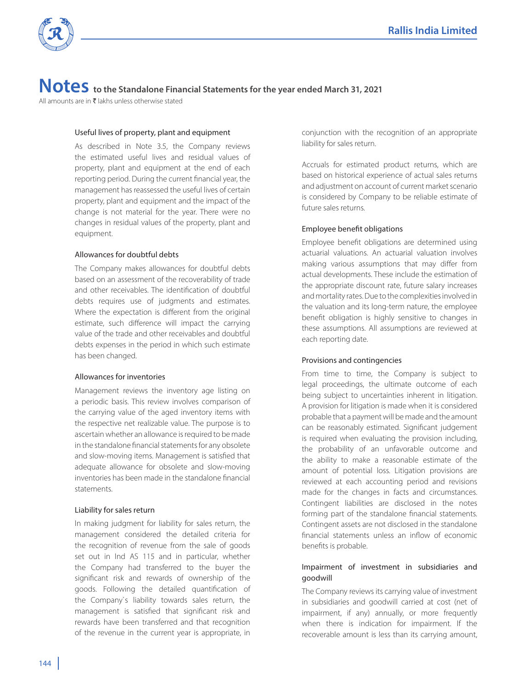

All amounts are in  $\bar{\tau}$  lakhs unless otherwise stated

#### Useful lives of property, plant and equipment

 As described in Note 3.5, the Company reviews the estimated useful lives and residual values of property, plant and equipment at the end of each reporting period. During the current financial year, the management has reassessed the useful lives of certain property, plant and equipment and the impact of the change is not material for the year. There were no changes in residual values of the property, plant and equipment.

#### Allowances for doubtful debts

 The Company makes allowances for doubtful debts based on an assessment of the recoverability of trade and other receivables. The identification of doubtful debts requires use of judgments and estimates. Where the expectation is different from the original estimate, such difference will impact the carrying value of the trade and other receivables and doubtful debts expenses in the period in which such estimate has been changed.

#### Allowances for inventories

 Management reviews the inventory age listing on a periodic basis. This review involves comparison of the carrying value of the aged inventory items with the respective net realizable value. The purpose is to ascertain whether an allowance is required to be made in the standalone financial statements for any obsolete and slow-moving items. Management is satisfied that adequate allowance for obsolete and slow-moving inventories has been made in the standalone financial statements.

#### Liability for sales return

 In making judgment for liability for sales return, the management considered the detailed criteria for the recognition of revenue from the sale of goods set out in Ind AS 115 and in particular, whether the Company had transferred to the buyer the significant risk and rewards of ownership of the goods. Following the detailed quantification of the Company`s liability towards sales return, the management is satisfied that significant risk and rewards have been transferred and that recognition of the revenue in the current year is appropriate, in

conjunction with the recognition of an appropriate liability for sales return.

 Accruals for estimated product returns, which are based on historical experience of actual sales returns and adjustment on account of current market scenario is considered by Company to be reliable estimate of future sales returns.

## Employee benefit obligations

 Employee benefit obligations are determined using actuarial valuations. An actuarial valuation involves making various assumptions that may differ from actual developments. These include the estimation of the appropriate discount rate, future salary increases and mortality rates. Due to the complexities involved in the valuation and its long-term nature, the employee benefit obligation is highly sensitive to changes in these assumptions. All assumptions are reviewed at each reporting date.

#### Provisions and contingencies

 From time to time, the Company is subject to legal proceedings, the ultimate outcome of each being subject to uncertainties inherent in litigation. A provision for litigation is made when it is considered probable that a payment will be made and the amount can be reasonably estimated. Significant judgement is required when evaluating the provision including, the probability of an unfavorable outcome and the ability to make a reasonable estimate of the amount of potential loss. Litigation provisions are reviewed at each accounting period and revisions made for the changes in facts and circumstances. Contingent liabilities are disclosed in the notes forming part of the standalone financial statements. Contingent assets are not disclosed in the standalone financial statements unless an inflow of economic benefits is probable.

# Impairment of investment in subsidiaries and goodwill

 The Company reviews its carrying value of investment in subsidiaries and goodwill carried at cost (net of impairment, if any) annually, or more frequently when there is indication for impairment. If the recoverable amount is less than its carrying amount,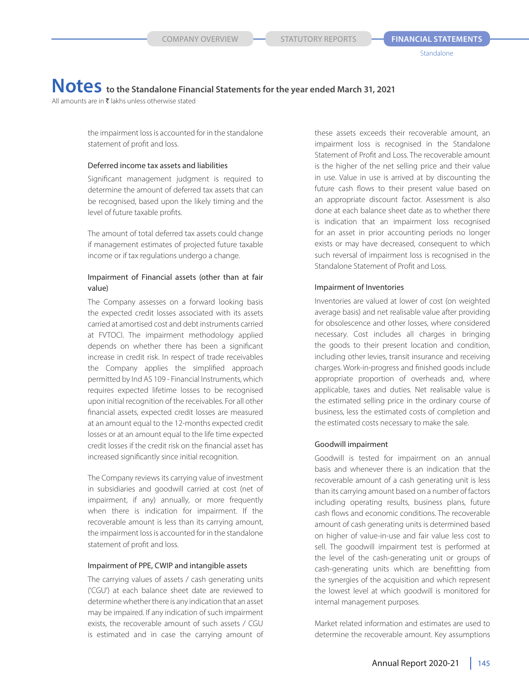# **Notes to the Standalone Financial Statements for the year ended March 31, 2021**

All amounts are in  $\bar{\tau}$  lakhs unless otherwise stated

the impairment loss is accounted for in the standalone statement of profit and loss.

#### Deferred income tax assets and liabilities

 Significant management judgment is required to determine the amount of deferred tax assets that can be recognised, based upon the likely timing and the level of future taxable profits.

 The amount of total deferred tax assets could change if management estimates of projected future taxable income or if tax regulations undergo a change.

## Impairment of Financial assets (other than at fair value)

 The Company assesses on a forward looking basis the expected credit losses associated with its assets carried at amortised cost and debt instruments carried at FVTOCI. The impairment methodology applied depends on whether there has been a significant increase in credit risk. In respect of trade receivables the Company applies the simplified approach permitted by Ind AS 109 - Financial Instruments, which requires expected lifetime losses to be recognised upon initial recognition of the receivables. For all other financial assets, expected credit losses are measured at an amount equal to the 12-months expected credit losses or at an amount equal to the life time expected credit losses if the credit risk on the financial asset has increased significantly since initial recognition.

 The Company reviews its carrying value of investment in subsidiaries and goodwill carried at cost (net of impairment, if any) annually, or more frequently when there is indication for impairment. If the recoverable amount is less than its carrying amount, the impairment loss is accounted for in the standalone statement of profit and loss.

#### Impairment of PPE, CWIP and intangible assets

 The carrying values of assets / cash generating units ('CGU') at each balance sheet date are reviewed to determine whether there is any indication that an asset may be impaired. If any indication of such impairment exists, the recoverable amount of such assets / CGU is estimated and in case the carrying amount of these assets exceeds their recoverable amount, an impairment loss is recognised in the Standalone Statement of Profit and Loss. The recoverable amount is the higher of the net selling price and their value in use. Value in use is arrived at by discounting the future cash flows to their present value based on an appropriate discount factor. Assessment is also done at each balance sheet date as to whether there is indication that an impairment loss recognised for an asset in prior accounting periods no longer exists or may have decreased, consequent to which such reversal of impairment loss is recognised in the Standalone Statement of Profit and Loss.

#### Impairment of Inventories

 Inventories are valued at lower of cost (on weighted average basis) and net realisable value after providing for obsolescence and other losses, where considered necessary. Cost includes all charges in bringing the goods to their present location and condition, including other levies, transit insurance and receiving charges. Work-in-progress and finished goods include appropriate proportion of overheads and, where applicable, taxes and duties. Net realisable value is the estimated selling price in the ordinary course of business, less the estimated costs of completion and the estimated costs necessary to make the sale.

#### Goodwill impairment

 Goodwill is tested for impairment on an annual basis and whenever there is an indication that the recoverable amount of a cash generating unit is less than its carrying amount based on a number of factors including operating results, business plans, future cash flows and economic conditions. The recoverable amount of cash generating units is determined based on higher of value-in-use and fair value less cost to sell. The goodwill impairment test is performed at the level of the cash-generating unit or groups of cash-generating units which are benefitting from the synergies of the acquisition and which represent the lowest level at which goodwill is monitored for internal management purposes.

 Market related information and estimates are used to determine the recoverable amount. Key assumptions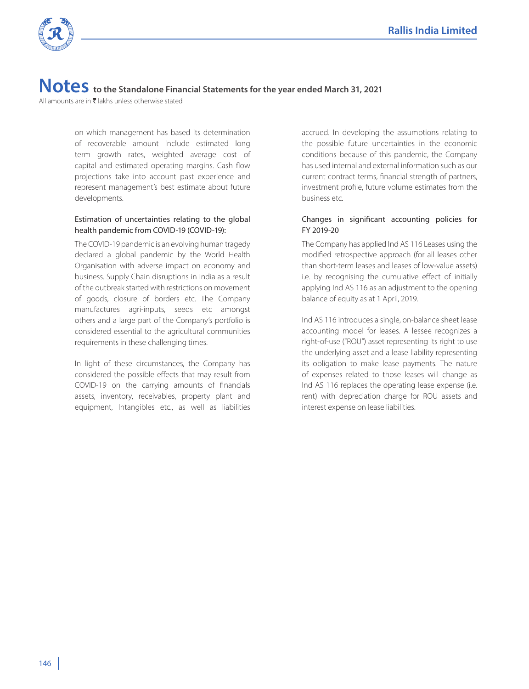

All amounts are in  $\bar{\tau}$  lakhs unless otherwise stated

on which management has based its determination of recoverable amount include estimated long term growth rates, weighted average cost of capital and estimated operating margins. Cash flow projections take into account past experience and represent management's best estimate about future developments.

## Estimation of uncertainties relating to the global health pandemic from COVID‐19 (COVID‐19):

 The COVID‐19 pandemic is an evolving human tragedy declared a global pandemic by the World Health Organisation with adverse impact on economy and business. Supply Chain disruptions in India as a result of the outbreak started with restrictions on movement of goods, closure of borders etc. The Company manufactures agri-inputs, seeds etc amongst others and a large part of the Company's portfolio is considered essential to the agricultural communities requirements in these challenging times.

 In light of these circumstances, the Company has considered the possible effects that may result from COVID‐19 on the carrying amounts of financials assets, inventory, receivables, property plant and equipment, Intangibles etc., as well as liabilities

accrued. In developing the assumptions relating to the possible future uncertainties in the economic conditions because of this pandemic, the Company has used internal and external information such as our current contract terms, financial strength of partners, investment profile, future volume estimates from the business etc.

## Changes in significant accounting policies for FY 2019-20

 The Company has applied Ind AS 116 Leases using the modified retrospective approach (for all leases other than short-term leases and leases of low-value assets) i.e. by recognising the cumulative effect of initially applying Ind AS 116 as an adjustment to the opening balance of equity as at 1 April, 2019.

 Ind AS 116 introduces a single, on-balance sheet lease accounting model for leases. A lessee recognizes a right-of-use ("ROU") asset representing its right to use the underlying asset and a lease liability representing its obligation to make lease payments. The nature of expenses related to those leases will change as Ind AS 116 replaces the operating lease expense (i.e. rent) with depreciation charge for ROU assets and interest expense on lease liabilities.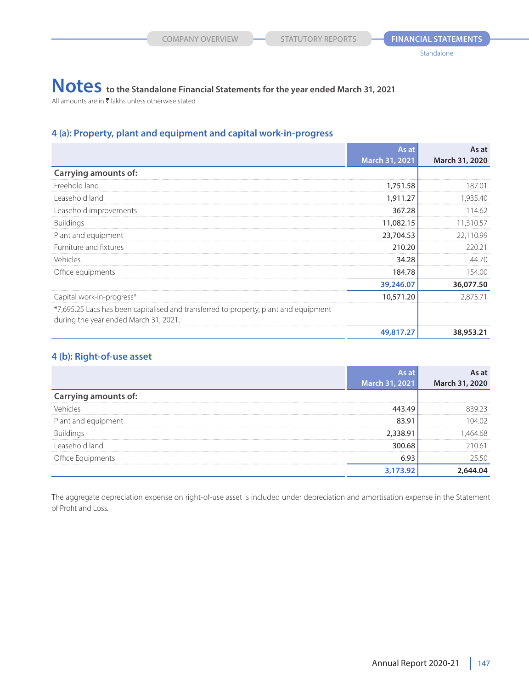All amounts are in  $\bar{\tau}$  lakhs unless otherwise stated

# **4 (a): Property, plant and equipment and capital work-in-progress**

|                                                                                      | As at          | As at          |
|--------------------------------------------------------------------------------------|----------------|----------------|
|                                                                                      | March 31, 2021 | March 31, 2020 |
| <b>Carrying amounts of:</b>                                                          |                |                |
| Freehold land                                                                        | 1,751.58       | 187.01         |
| Leasehold land                                                                       | 1,911.27       | 1,935.40       |
| Leasehold improvements                                                               | 367.28         | 114.62         |
| <b>Buildings</b>                                                                     | 11,082.15      | 11,310.57      |
| Plant and equipment                                                                  | 23,704.53      | 22,110.99      |
| Furniture and fixtures                                                               | 210.20         | 220.21         |
| Vehicles                                                                             | 34.28          | 44.70          |
| Office equipments                                                                    | 184.78         | 154.00         |
|                                                                                      | 39,246.07      | 36,077.50      |
| Capital work-in-progress*                                                            | 10,571.20      | 2,875.71       |
| *7,695.25 Lacs has been capitalised and transferred to property, plant and equipment |                |                |
| during the year ended March 31, 2021.                                                |                |                |
|                                                                                      | 49,817.27      | 38,953.21      |

# **4 (b): Right-of-use asset**

|                             | March 31, 2021 | March 31, 2020 |
|-----------------------------|----------------|----------------|
| <b>Carrying amounts of:</b> |                |                |
| /ehirles                    |                |                |
| Plant and equipment         | 83.0           | 04.02          |
| <b>Buildings</b>            | 2,338.91       | 64 68          |
| Leasehold land              |                | 21061          |
| Office Equipments           |                | 25.50          |
|                             |                |                |

The aggregate depreciation expense on right-of-use asset is included under depreciation and amortisation expense in the Statement of Profit and Loss.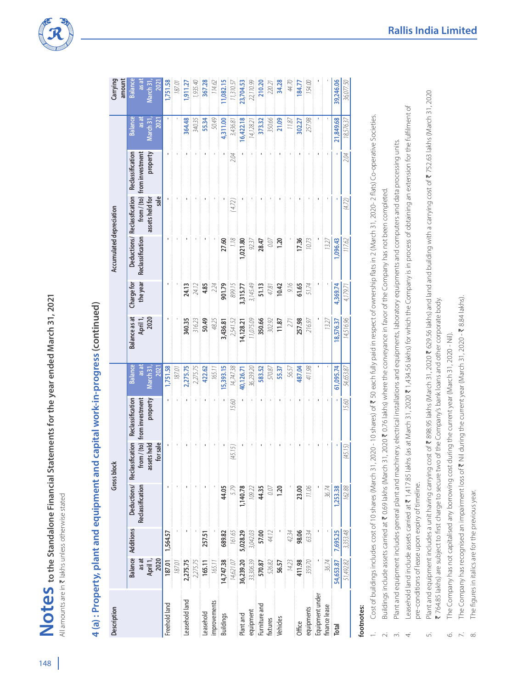

All amounts are in ₹ lakhs unless otherwise stated All amounts are in  $\bar{\tau}$  lakhs unless otherwise stated

# 4 (a): Property, plant and equipment and capital work-in-progress (continued) **4 (a) : Property, plant and equipment and capital work-in-progress (continued)**

| Description     |                  |                          |                  | Gross block     |                  |                     |               |            | Accumulated depreciation |                             |                             |                    | Carrying<br>amount  |
|-----------------|------------------|--------------------------|------------------|-----------------|------------------|---------------------|---------------|------------|--------------------------|-----------------------------|-----------------------------|--------------------|---------------------|
|                 |                  | <b>Balance Additions</b> | Deductions       | Reclassfication | Reclassification | <b>Balance</b>      | Balance as at | Charge for |                          | Deductions/ Reclassfication | Reclassification            | <b>Balance</b>     | <b>Balance</b>      |
|                 | as at            |                          | Reclassification | from / (to)     | from investment  | ie se               | April 1,      | the year   | Reclassification         |                             | from / (to) from investment | ie se              | as at               |
|                 | April 1,<br>2020 |                          |                  | assets held     | property         | March <sub>31</sub> | 2020          |            |                          | assets held for             | property                    | March <sub>3</sub> | March <sub>31</sub> |
|                 |                  |                          |                  | for sale        |                  | <b>2021</b>         |               |            |                          | sale                        |                             | <b>2021</b>        | <b>2021</b>         |
| Freehold land   | 187.01           | 1,564.57                 |                  |                 |                  | 1,751.58            |               |            |                          |                             |                             |                    | 1,751.58            |
|                 | 187.01           |                          |                  |                 |                  | 187.01              |               |            |                          |                             |                             |                    | 187.01              |
| Leasehold land  | 2,275.75         |                          |                  |                 |                  | 2,275.75            | 340.35        | 24.13      |                          |                             |                             | 364.48             | 1,911.27            |
|                 | 2,275.75         |                          |                  |                 |                  | 2,275.75            | 316.23        | 24.12      |                          |                             |                             | 340.35             | 1,935.40            |
| Leasehold       | 165.11           | 257.51                   |                  |                 |                  | 422.62              | 50.49         | 4.85       |                          |                             |                             | 55.34              | 367.28              |
| improvements    | 165.11           |                          |                  |                 |                  | 165.11              | 48.25         | 2.24       |                          |                             |                             | 50.49              | 114.62              |
| Buildings       | 14,747.38        | 689.82                   | 44.05            |                 |                  | 15,393.15           | 3,436.81      | 901.79     | 27.60                    |                             |                             | 4,311.00           | 11,082.15           |
|                 | 14,621.07        | 161.65                   | 5.79             | (45.15)         | 15.60            | 14,747.38           | 2,541.52      | 899.15     | 1.18                     | (4.72)                      | 2.04                        | 3,436.81           | 11,310.57           |
| Plant and       | 36,239.20        | 5,028.29                 | 1,140.78         |                 |                  | 40,126.71           | 14,128.21     | 3,315.77   | 1,021.80                 |                             |                             | 16,422.18          | 23,704.53           |
| equipment       | 33,306.39        | 3,042.03                 | 109.22           |                 |                  | 36,239.20           | 11,075.09     | 3,145.49   | 92.37                    |                             |                             | 14,128.21          | 22,110.99           |
| Furniture and   | 570.87           | 57.00                    | 44.35            |                 |                  | 583.52              | 350.66        | 51.13      | 28.47                    |                             |                             | 373.32             | 210.20              |
| fixtures        | 526.82           | 44.12                    | 0.07             |                 |                  | 570.87              | 302.92        | 47.81      | 0.07                     |                             |                             | 350.66             | 220.21              |
| Vehicles        | 56.57            |                          | 1.20             |                 |                  | 55.37               | 11.87         | 10.42      | 1.20                     |                             |                             | 21.09              | 34.28               |
|                 | 14.23            | 42.34                    |                  |                 |                  | 56.57               | 2.71          | 9.16       |                          |                             |                             | 11.87              | 44.70               |
| Office          | 411.98           | 98.06                    | 23.00            |                 |                  | 487.04              | 257.98        | 61.65      | 17.36                    |                             |                             | 302.27             | 184.77              |
| equipments      | 359.70           | 63.34                    | 11.06            |                 |                  | 411.98              | 216.97        | 51.74      | 10.73                    |                             |                             | 257.98             | 154.00              |
| Equipment under |                  |                          |                  |                 |                  |                     |               |            |                          |                             |                             |                    |                     |
| finance lease   | 36.74            |                          | 36.74            |                 |                  |                     | 13.27         |            | 13.27                    |                             |                             |                    |                     |
| Total           | 54,653.87        | 7,695.25                 | 1,253.38         |                 |                  | 61,095.74           | 18,576.37     | 4,369.74   | ,096.43                  |                             |                             | 21,849.68          | 39,246.06           |
|                 | 51,492.82        | 3,353.48                 | 162.88           | (45.15)         | 15.60            | 54,653.87           | 14,516.96     | 4,179.71   | 117.62                   | (4.72)                      | 2.04                        | 18,576.37          | 36,077.50           |
|                 |                  |                          |                  |                 |                  |                     |               |            |                          |                             |                             |                    |                     |

# footnotes: **footnotes:**

- Cost of buildings includes cost of 10 shares (March 31, 2020 10 shares) of ₹ 50 each fully paid in respect of ownership flats in 2 (March 31, 2020- 2 flats) Co-operative Societies. 1. Cost of buildings includes cost of 10 shares (March 31, 2020 - 10 shares) of ` 50 each fully paid in respect of ownership flats in 2 (March 31, 2020- 2 flats) Co-operative Societies.  $\rightleftharpoons$
- Buildings include assets carried at ₹ 0.69 lakhs (March 31, 2020 ₹ 0.76 lakhs) where the conveyance in favor of the Company has not been completed. 2. Buildings include assets carried at ₹ 0.69 lakhs (March 31, 2020 ₹ 0.76 lakhs) where the conveyance in favor of the Company has not been completed.  $\overline{\mathcal{N}}$
- Plant and equipment includes general plant and machinery, electrical installations and equipments, laboratory equipments and computers and data processing units. 3. Plant and equipment includes general plant and machinery, electrical installations and equipments, laboratory equipments and computers and data processing units.  $\sim$
- Leasehold land include assets carried at ₹ 1,417.85 lakhs (as at March 31, 2020 ₹ 1,434.56 lakhs) for which the Company is in process of obtaining an extension for the fulfilment of 4. Leasehold land include assets carried at ` 1,417.85 lakhs (as at March 31, 2020 ` 1,434.56 lakhs) for which the Company is in process of obtaining an extension for the fulfilment of pre-conditions of lease upon expiry of timeline. pre-conditions of lease upon expiry of timeline.  $\overline{4}$
- 5. Plant and equipment includes a unit having carrying cost of ` 898.95 lakhs (March 31, 2020 ` 629.56 lakhs) and land and building with a carrying cost of ` 752.63 lakhs (March 31, 2020 Plant and equipment includes a unit having carrying cost of ₹ 898.95 lakhs (March 31, 2020 ₹ 629.56 lakhs) and land and building with a carrying cost of ₹ 752.63 lakhs (March 31, 2020  $\bar{\tau}$  764.85 lakhs) are subject to first charge to secure two of the Company's bank loans and other corporate body 764.85 lakhs) are subject to first charge to secure two of the Company's bank loans and other corporate body.  $\overrightarrow{5}$
- The Company has not capitalised any borrowing cost during the current year (March 31, 2020 Nil). 6. The Company has not capitalised any borrowing cost during the current year (March 31, 2020 - Nil).  $\circ$
- The Company has recognised an impairment loss of ₹ Nil during the current year (March 31, 2020 ₹ 8.84 lakhs). 7. The Company has recognised an impairment loss of  $\bar{\tau}$  Nil during the current year (March 31, 2020 -  $\bar{\tau}$  8.84 lakhs).
- The figures in italics are for the previous year. 8. The figures in italics are for the previous year.  $\mathbb{R}^2$  of

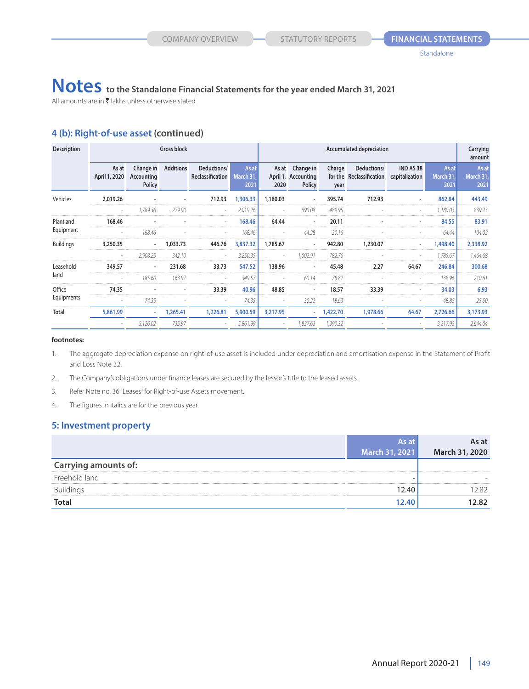# **Notes to the Standalone Financial Statements for the year ended March 31, 2021**

All amounts are in  $\bar{\tau}$  lakhs unless otherwise stated

# **4 (b): Right-of-use asset (continued)**

| <b>Description</b> |                        |                                   | Gross block      |                                 |                            | <b>Accumulated depreciation</b> |                                                         |                |                                         |                                    |                            |                            |
|--------------------|------------------------|-----------------------------------|------------------|---------------------------------|----------------------------|---------------------------------|---------------------------------------------------------|----------------|-----------------------------------------|------------------------------------|----------------------------|----------------------------|
|                    | As at<br>April 1, 2020 | Change in<br>Accounting<br>Policy | <b>Additions</b> | Deductions/<br>Reclassification | As at<br>March 31,<br>2021 | 2020                            | As at Change in<br>April 1, Accounting<br><b>Policy</b> | Charge<br>year | Deductions/<br>for the Reclassification | <b>IND AS 38</b><br>capitalization | As at<br>March 31,<br>2021 | As at<br>March 31,<br>2021 |
| Vehicles           | 2,019.26               | $\overline{\phantom{a}}$          |                  | 712.93                          | 1,306.33                   | 1,180.03                        | $\overline{\phantom{a}}$                                | 395.74         | 712.93                                  | $\overline{\phantom{a}}$           | 862.84                     | 443.49                     |
|                    |                        | 1.789.36                          | 229.90           |                                 | 2.019.26                   |                                 | 690.08                                                  | 489.95         |                                         |                                    | 1.180.03                   | 839.23                     |
| Plant and          | 168.46                 |                                   |                  |                                 | 168.46                     | 64.44                           |                                                         | 20.11          |                                         |                                    | 84.55                      | 83.91                      |
| Equipment          |                        | 168.46                            |                  |                                 | 168.46                     |                                 | 44.28                                                   | 20.16          |                                         |                                    | 64.44                      | 104.02                     |
| <b>Buildings</b>   | 3,250.35               | $\overline{\phantom{a}}$          | 1,033.73         | 446.76                          | 3,837.32                   | 1,785.67                        |                                                         | 942.80         | 1,230.07                                |                                    | 1,498.40                   | 2,338.92                   |
|                    |                        | 2.908.25                          | 342.10           |                                 | 3,250.35                   |                                 | 1.002.91                                                | 782.76         |                                         |                                    | 1,785.67                   | 1,464.68                   |
| Leasehold          | 349.57                 |                                   | 231.68           | 33.73                           | 547.52                     | 138.96                          |                                                         | 45.48          | 2.27                                    | 64.67                              | 246.84                     | 300.68                     |
| land               |                        | 185.60                            | 163.97           |                                 | 349.57                     |                                 | 60.14                                                   | 78.82          |                                         |                                    | 138.96                     | 210.61                     |
| Office             | 74.35                  |                                   |                  | 33.39                           | 40.96                      | 48.85                           |                                                         | 18.57          | 33.39                                   |                                    | 34.03                      | 6.93                       |
| Equipments         |                        | 74.35                             |                  |                                 | 74.35                      |                                 | 30.22                                                   | 18.63          |                                         |                                    | 48.85                      | 25.50                      |
| Total              | 5,861.99               | $\sim$                            | 1,265.41         | 1,226.81                        | 5,900.59                   | 3,217.95                        | $\sim 10$                                               | 1,422.70       | 1,978.66                                | 64.67                              | 2,726.66                   | 3,173.93                   |
|                    |                        | 5,126.02                          | 735.97           |                                 | 5,861.99                   |                                 | 1,827.63                                                | 1,390.32       |                                         |                                    | 3,217.95                   | 2,644.04                   |

#### **footnotes:**

- 1. The aggregate depreciation expense on right-of-use asset is included under depreciation and amortisation expense in the Statement of Profit and Loss Note 32.
- 2. The Company's obligations under finance leases are secured by the lessor's title to the leased assets.
- 3. Refer Note no. 36 "Leases" for Right-of-use Assets movement.
- 4. The figures in italics are for the previous year.

# **5: Investment property**

|                             | As at          | As at          |
|-----------------------------|----------------|----------------|
|                             | March 31, 2021 | March 31, 2020 |
| <b>Carrying amounts of:</b> |                |                |
| Freehold land               |                |                |
| <b>Buildings</b>            | 12.40          | 282            |
| <b>Total</b>                | 12.40          | 12.82          |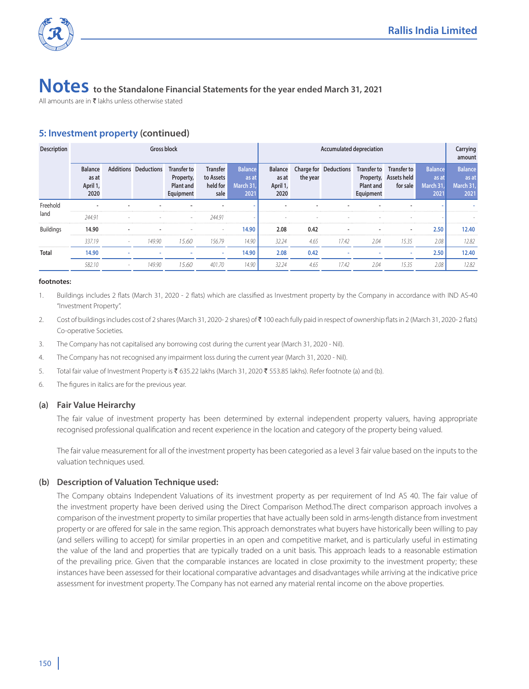

All amounts are in  $\bar{\tau}$  lakhs unless otherwise stated

# **5: Investment property (continued)**

| <b>Description</b> |                                             |          | <b>Gross block</b>                      |                                            |                                           |                                             | Accumulated depreciation             |          |                                   |                               |                                                  |                                             | Carrying<br>amount                          |
|--------------------|---------------------------------------------|----------|-----------------------------------------|--------------------------------------------|-------------------------------------------|---------------------------------------------|--------------------------------------|----------|-----------------------------------|-------------------------------|--------------------------------------------------|---------------------------------------------|---------------------------------------------|
|                    | <b>Balance</b><br>as at<br>April 1,<br>2020 |          | <b>Additions Deductions Transfer to</b> | Property,<br><b>Plant and</b><br>Equipment | Transfer<br>to Assets<br>held for<br>sale | <b>Balance</b><br>as at<br>March 31<br>2021 | Balance<br>as at<br>April 1,<br>2020 | the year | Charge for Deductions Transfer to | <b>Plant and</b><br>Equipment | Transfer to<br>Property, Assets held<br>for sale | <b>Balance</b><br>as at<br>March 31<br>2021 | <b>Balance</b><br>as at<br>March 31<br>2021 |
| Freehold           |                                             |          |                                         |                                            |                                           |                                             |                                      |          |                                   |                               |                                                  |                                             |                                             |
| land               | 244 91                                      |          |                                         |                                            | 244 91                                    |                                             |                                      |          |                                   |                               |                                                  |                                             |                                             |
| <b>Buildings</b>   | 14.90                                       |          |                                         |                                            | $\sim$                                    | 14.90                                       | 2.08                                 | 0.42     |                                   |                               |                                                  | 2.50                                        | 12.40                                       |
|                    | 337.19                                      | $\sim$   | 149.90                                  | 15.60                                      | 156.79                                    | 14.90                                       | 32.24                                | 4.65     | 17.42                             | 2.04                          | 15.35                                            | 2.08                                        | 12.82                                       |
| Total              | 14.90                                       |          |                                         |                                            |                                           | 14.90                                       | 2.08                                 | 0.42     |                                   |                               |                                                  | 2.50                                        | 12.40                                       |
|                    | 582.10                                      | <b>.</b> | 149.90                                  | 15.60                                      | 401.70                                    | 14.90                                       | 32.24                                | 4.65     | 17.42                             | 2.04                          | 15.35                                            | 2.08                                        | 12.82                                       |

#### **footnotes:**

- 1. Buildings includes 2 flats (March 31, 2020 2 flats) which are classified as Investment property by the Company in accordance with IND AS-40 "Investment Property''.
- 2. Cost of buildings includes cost of 2 shares (March 31, 2020-2 shares) of ₹100 each fully paid in respect of ownership flats in 2 (March 31, 2020-2 flats) Co-operative Societies.
- 3. The Company has not capitalised any borrowing cost during the current year (March 31, 2020 Nil).
- 4. The Company has not recognised any impairment loss during the current year (March 31, 2020 Nil).
- 5. Total fair value of Investment Property is ₹ 635.22 lakhs (March 31, 2020 ₹ 553.85 lakhs). Refer footnote (a) and (b).
- 6. The figures in italics are for the previous year.

## **(a) Fair Value Heirarchy**

 The fair value of investment property has been determined by external independent property valuers, having appropriate recognised professional qualification and recent experience in the location and category of the property being valued.

 The fair value measurement for all of the investment property has been categoried as a level 3 fair value based on the inputs to the valuation techniques used.

## **(b) Description of Valuation Technique used:**

 The Company obtains Independent Valuations of its investment property as per requirement of Ind AS 40. The fair value of the investment property have been derived using the Direct Comparison Method.The direct comparison approach involves a comparison of the investment property to similar properties that have actually been sold in arms-length distance from investment property or are offered for sale in the same region. This approach demonstrates what buyers have historically been willing to pay (and sellers willing to accept) for similar properties in an open and competitive market, and is particularly useful in estimating the value of the land and properties that are typically traded on a unit basis. This approach leads to a reasonable estimation of the prevailing price. Given that the comparable instances are located in close proximity to the investment property; these instances have been assessed for their locational comparative advantages and disadvantages while arriving at the indicative price assessment for investment property. The Company has not earned any material rental income on the above properties.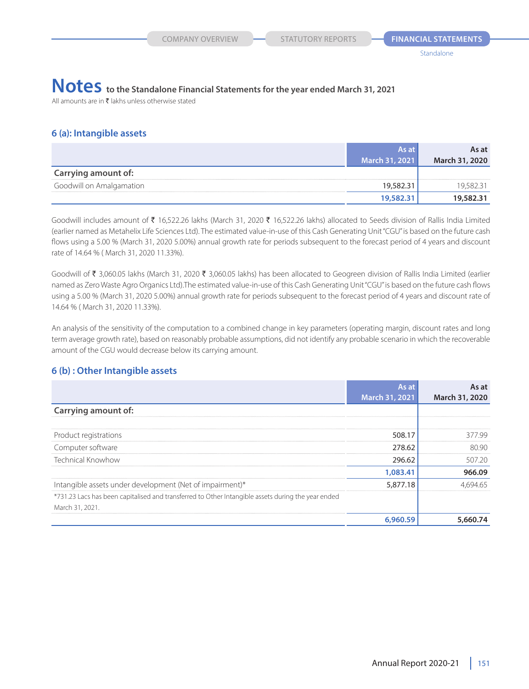All amounts are in  $\bar{\tau}$  lakhs unless otherwise stated

# **6 (a): Intangible assets**

|                            | As at                 | As at                 |
|----------------------------|-----------------------|-----------------------|
|                            | <b>March 31, 2021</b> | <b>March 31, 2020</b> |
| <b>Carrying amount of:</b> |                       |                       |
| Goodwill on Amalgamation   | 19,582.               |                       |
|                            |                       | 19 582 31             |

Goodwill includes amount of  $\bar{\tau}$  16,522.26 lakhs (March 31, 2020  $\bar{\tau}$  16,522.26 lakhs) allocated to Seeds division of Rallis India Limited (earlier named as Metahelix Life Sciences Ltd). The estimated value-in-use of this Cash Generating Unit "CGU'' is based on the future cash flows using a 5.00 % (March 31, 2020 5.00%) annual growth rate for periods subsequent to the forecast period of 4 years and discount rate of 14.64 % ( March 31, 2020 11.33%).

Goodwill of ₹ 3,060.05 lakhs (March 31, 2020 ₹ 3,060.05 lakhs) has been allocated to Geogreen division of Rallis India Limited (earlier named as Zero Waste Agro Organics Ltd).The estimated value-in-use of this Cash Generating Unit "CGU'' is based on the future cash flows using a 5.00 % (March 31, 2020 5.00%) annual growth rate for periods subsequent to the forecast period of 4 years and discount rate of 14.64 % ( March 31, 2020 11.33%).

An analysis of the sensitivity of the computation to a combined change in key parameters (operating margin, discount rates and long term average growth rate), based on reasonably probable assumptions, did not identify any probable scenario in which the recoverable amount of the CGU would decrease below its carrying amount.

# **6 (b) : Other Intangible assets**

|                                                                                                    | As at          | As at          |
|----------------------------------------------------------------------------------------------------|----------------|----------------|
|                                                                                                    | March 31, 2021 | March 31, 2020 |
| <b>Carrying amount of:</b>                                                                         |                |                |
|                                                                                                    |                |                |
| Product registrations                                                                              | 508.17         | 377 99         |
| Computer software                                                                                  | 278.62         | 80.90          |
| Technical Knowhow                                                                                  | 296.62         | 507.20         |
|                                                                                                    | 1.083.41       | 966.09         |
| Intangible assets under development (Net of impairment)*                                           | 5,877.18       | 469465         |
| *731.23 Lacs has been capitalised and transferred to Other Intangible assets during the year ended |                |                |
| March 31, 2021.                                                                                    |                |                |
|                                                                                                    | 6,960.59       | 5,660.74       |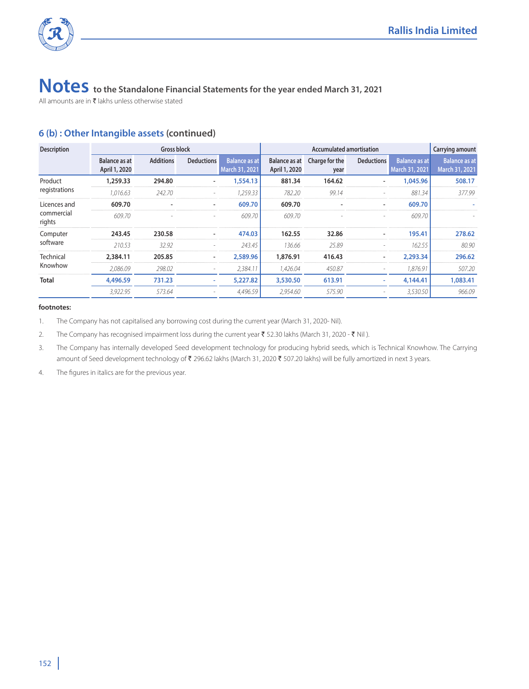

All amounts are in  $\bar{\tau}$  lakhs unless otherwise stated

# **6 (b) : Other Intangible assets (continued)**

| <b>Gross block</b>                    |                  |        |                                        |                   | <b>Carrying amount</b> |                              |                                 |                                           |
|---------------------------------------|------------------|--------|----------------------------------------|-------------------|------------------------|------------------------------|---------------------------------|-------------------------------------------|
| <b>Balance as at</b><br>April 1, 2020 | <b>Additions</b> |        | <b>Balance as at</b><br>March 31, 2021 | April 1, 2020     | year                   |                              | March 31, 2021                  | <b>Balance as at</b><br>March 31, 2021    |
| 1,259.33                              | 294.80           |        | 1,554.13                               | 881.34            | 164.62                 |                              | 1.045.96                        | 508.17                                    |
| 1.016.63                              | 242.70           |        | 1.259.33                               | 782.20            | 99.14                  |                              | 881.34                          | 377.99                                    |
| 609.70                                |                  |        | 609.70                                 | 609.70            |                        |                              | 609.70                          |                                           |
| 609.70                                |                  |        | 609.70                                 | 609.70            |                        |                              | 609.70                          |                                           |
| 243.45                                | 230.58           |        | 474.03                                 | 162.55            | 32.86                  |                              | 195.41                          | 278.62                                    |
| 210.53                                | 32.92            |        | 243.45                                 | 136.66            | 25.89                  |                              | 162.55                          | 80.90                                     |
| 2,384.11                              | 205.85           |        | 2,589.96                               | 1,876.91          | 416.43                 |                              | 2.293.34                        | 296.62                                    |
| 2.086.09                              | 298.02           | $\sim$ | 2,384.11                               | 1.426.04          | 450.87                 |                              | 1.876.91                        | 507.20                                    |
| 4,496.59                              | 731.23           |        | 5,227.82                               | 3,530.50          | 613.91                 |                              | 4,144.41                        | 1,083.41                                  |
| 3.922.95                              | 573.64           |        | 4,496.59                               | 2.954.60          | 575.90                 |                              | 3,530.50                        | 966.09                                    |
|                                       |                  |        |                                        | <b>Deductions</b> |                        | Balance as at Charge for the | <b>Accumulated amortisation</b> | <b>Balance as at</b><br><b>Deductions</b> |

#### **footnotes:**

1. The Company has not capitalised any borrowing cost during the current year (March 31, 2020- Nil).

2. The Company has recognised impairment loss during the current year ₹ 52.30 lakhs (March 31, 2020 - ₹ Nil).

3. The Company has internally developed Seed development technology for producing hybrid seeds, which is Technical Knowhow. The Carrying amount of Seed development technology of ₹ 296.62 lakhs (March 31, 2020 ₹ 507.20 lakhs) will be fully amortized in next 3 years.

4. The figures in italics are for the previous year.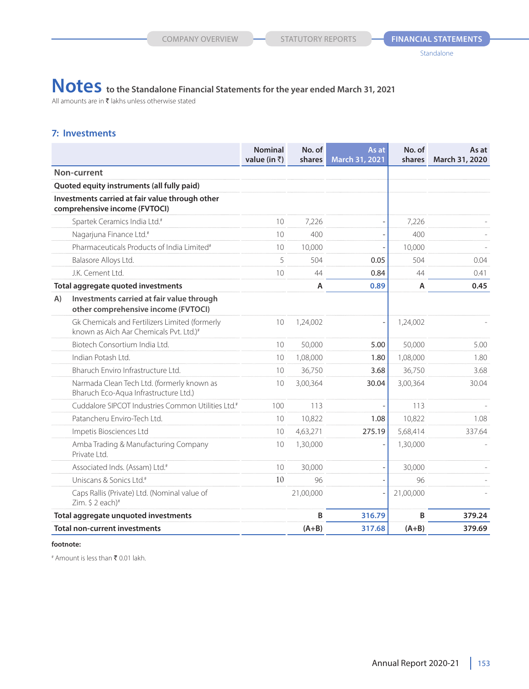# Notes to the Standalone Financial Statements for the year ended March 31, 2021

All amounts are in  $\bar{\tau}$  lakhs unless otherwise stated

# **7: Investments**

|                                                                                                       | <b>Nominal</b><br>value (in $\bar{z}$ ) | No. of<br>shares | As at<br>March 31, 2021  | No. of<br>shares | As at<br>March 31, 2020 |
|-------------------------------------------------------------------------------------------------------|-----------------------------------------|------------------|--------------------------|------------------|-------------------------|
| Non-current                                                                                           |                                         |                  |                          |                  |                         |
| Quoted equity instruments (all fully paid)                                                            |                                         |                  |                          |                  |                         |
| Investments carried at fair value through other<br>comprehensive income (FVTOCI)                      |                                         |                  |                          |                  |                         |
| Spartek Ceramics India Ltd. <sup>#</sup>                                                              | 10                                      | 7.226            | ÷,                       | 7,226            |                         |
| Nagarjuna Finance Ltd. <sup>#</sup>                                                                   | 10                                      | 400              | $\overline{\phantom{a}}$ | 400              |                         |
| Pharmaceuticals Products of India Limited <sup>#</sup>                                                | 10                                      | 10,000           |                          | 10,000           |                         |
| Balasore Alloys Ltd.                                                                                  | 5                                       | 504              | 0.05                     | 504              | 0.04                    |
| J.K. Cement I td.                                                                                     | 10                                      | 44               | 0.84                     | 44               | 0.41                    |
| Total aggregate quoted investments                                                                    |                                         | A                | 0.89                     | A                | 0.45                    |
| Investments carried at fair value through<br>A)<br>other comprehensive income (FVTOCI)                |                                         |                  |                          |                  |                         |
| Gk Chemicals and Fertilizers Limited (formerly<br>known as Aich Aar Chemicals Pyt. Ltd.) <sup>#</sup> | 10                                      | 1,24,002         |                          | 1,24,002         |                         |
| Biotech Consortium India I td.                                                                        | 10                                      | 50,000           | 5.00                     | 50,000           | 5.00                    |
| Indian Potash Ltd.                                                                                    | 10                                      | 1,08,000         | 1.80                     | 1,08,000         | 1.80                    |
| Bharuch Enviro Infrastructure Ltd.                                                                    | 10                                      | 36,750           | 3.68                     | 36,750           | 3.68                    |
| Narmada Clean Tech Ltd. (formerly known as<br>Bharuch Eco-Aqua Infrastructure Ltd.)                   | $10 \,$                                 | 3.00.364         | 30.04                    | 3.00.364         | 30.04                   |
| Cuddalore SIPCOT Industries Common Utilities Ltd. <sup>#</sup>                                        | 100                                     | 113              |                          | 113              |                         |
| Patancheru Enviro-Tech Ltd.                                                                           | $10 \,$                                 | 10,822           | 1.08                     | 10,822           | 1.08                    |
| Impetis Biosciences Ltd                                                                               | 10                                      | 4,63,271         | 275.19                   | 5,68,414         | 337.64                  |
| Amba Trading & Manufacturing Company<br>Private Ltd.                                                  | 10                                      | 1,30,000         |                          | 1,30,000         |                         |
| Associated Inds. (Assam) Ltd. <sup>#</sup>                                                            | 10                                      | 30,000           | $\overline{\phantom{a}}$ | 30,000           |                         |
| Uniscans & Sonics Ltd. <sup>#</sup>                                                                   | 10                                      | 96               |                          | 96               |                         |
| Caps Rallis (Private) Ltd. (Nominal value of<br>Zim. $$2$ each) <sup>#</sup>                          |                                         | 21,00,000        |                          | 21,00,000        |                         |
| Total aggregate unquoted investments                                                                  |                                         | B                | 316.79                   | B                | 379.24                  |
| <b>Total non-current investments</b>                                                                  |                                         | $(A+B)$          | 317.68                   | $(A+B)$          | 379.69                  |

**footnote:**

# Amount is less than ₹ 0.01 lakh.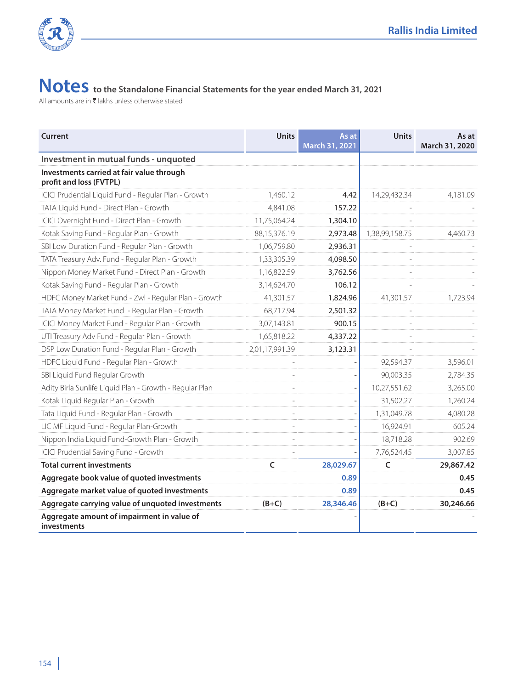

All amounts are in  $\bar{\tau}$  lakhs unless otherwise stated

| Current                                                              | <b>Units</b>   | As at<br>March 31, 2021 | <b>Units</b>   | As at<br>March 31, 2020 |
|----------------------------------------------------------------------|----------------|-------------------------|----------------|-------------------------|
| Investment in mutual funds - unquoted                                |                |                         |                |                         |
| Investments carried at fair value through<br>profit and loss (FVTPL) |                |                         |                |                         |
| ICICI Prudential Liquid Fund - Regular Plan - Growth                 | 1,460.12       | 4.42                    | 14,29,432.34   | 4,181.09                |
| TATA Liquid Fund - Direct Plan - Growth                              | 4.841.08       | 157.22                  |                |                         |
| ICICI Overnight Fund - Direct Plan - Growth                          | 11,75,064.24   | 1,304.10                |                |                         |
| Kotak Saving Fund - Regular Plan - Growth                            | 88,15,376.19   | 2,973.48                | 1,38,99,158.75 | 4,460.73                |
| SBI Low Duration Fund - Regular Plan - Growth                        | 1,06,759.80    | 2,936.31                |                |                         |
| TATA Treasury Adv. Fund - Regular Plan - Growth                      | 1,33,305.39    | 4,098.50                |                |                         |
| Nippon Money Market Fund - Direct Plan - Growth                      | 1,16,822.59    | 3,762.56                |                |                         |
| Kotak Saving Fund - Regular Plan - Growth                            | 3,14,624.70    | 106.12                  |                |                         |
| HDFC Money Market Fund - Zwl - Regular Plan - Growth                 | 41,301.57      | 1,824.96                | 41,301.57      | 1,723.94                |
| TATA Money Market Fund - Regular Plan - Growth                       | 68,717.94      | 2,501.32                |                |                         |
| ICICI Money Market Fund - Regular Plan - Growth                      | 3,07,143.81    | 900.15                  |                |                         |
| UTI Treasury Adv Fund - Regular Plan - Growth                        | 1,65,818.22    | 4,337.22                |                |                         |
| DSP Low Duration Fund - Regular Plan - Growth                        | 2,01,17,991.39 | 3,123.31                |                |                         |
| HDFC Liquid Fund - Regular Plan - Growth                             |                |                         | 92,594.37      | 3,596.01                |
| SBI Liquid Fund Regular Growth                                       |                |                         | 90,003.35      | 2,784.35                |
| Adity Birla Sunlife Liquid Plan - Growth - Regular Plan              |                |                         | 10,27,551.62   | 3,265.00                |
| Kotak Liquid Regular Plan - Growth                                   |                |                         | 31,502.27      | 1,260.24                |
| Tata Liquid Fund - Regular Plan - Growth                             |                |                         | 1,31,049.78    | 4,080.28                |
| LIC MF Liquid Fund - Regular Plan-Growth                             |                |                         | 16,924.91      | 605.24                  |
| Nippon India Liquid Fund-Growth Plan - Growth                        |                |                         | 18,718.28      | 902.69                  |
| ICICI Prudential Saving Fund - Growth                                |                |                         | 7,76,524.45    | 3.007.85                |
| <b>Total current investments</b>                                     | C              | 28,029.67               | c              | 29,867.42               |
| Aggregate book value of quoted investments                           |                | 0.89                    |                | 0.45                    |
| Aggregate market value of quoted investments                         |                | 0.89                    |                | 0.45                    |
| Aggregate carrying value of unquoted investments                     | $(B+C)$        | 28,346.46               | $(B+C)$        | 30,246.66               |
| Aggregate amount of impairment in value of<br><b>investments</b>     |                |                         |                |                         |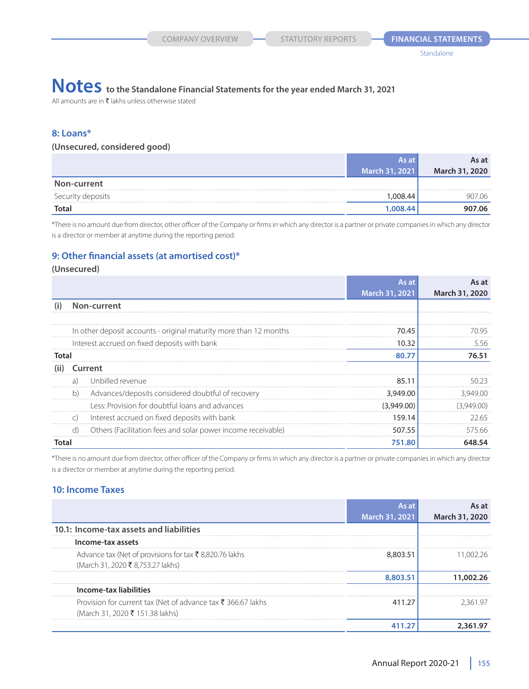All amounts are in  $\bar{\tau}$  lakhs unless otherwise stated

# **8: Loans\***

### **(Unsecured, considered good)**

|                   | 'As at         | As at          |
|-------------------|----------------|----------------|
|                   | March 31, 2021 | March 31, 2020 |
| Non-current       |                |                |
| Security deposits |                | 17.06          |
| Total             |                | 06.'           |

\*There is no amount due from director, other officer of the Company or firms in which any director is a partner or private companies in which any director is a director or member at anytime during the reporting period.

# **9: Other financial assets (at amortised cost)\***

### **(Unsecured)**

|              |              |                                                                   | As at          | As at          |
|--------------|--------------|-------------------------------------------------------------------|----------------|----------------|
|              |              |                                                                   | March 31, 2021 | March 31, 2020 |
|              |              | Non-current                                                       |                |                |
|              |              |                                                                   |                |                |
|              |              | In other deposit accounts - original maturity more than 12 months | 70.45          | 70.95          |
|              |              | Interest accrued on fixed deposits with bank                      | 10.32          | 5.56           |
| <b>Total</b> |              |                                                                   | 80.77          | 76.51          |
| (ii)         |              | Current                                                           |                |                |
|              | a)           | Unbilled revenue                                                  | 85.11          | 5023           |
|              | b)           | Advances/deposits considered doubtful of recovery                 | 3,949.00       | 3,949.00       |
|              |              | Less: Provision for doubtful loans and advances                   | (3,949.00)     | (3,949.00)     |
|              | $\mathsf{C}$ | Interest accrued on fixed deposits with bank                      | 159.14         | 22.65          |
|              | d)           | Others (Facilitation fees and solar power income receivable)      | 507.55         | 575.66         |
| Total        |              |                                                                   | 751.80         | 648.54         |

\*There is no amount due from director, other officer of the Company or firms in which any director is a partner or private companies in which any director is a director or member at anytime during the reporting period.

# **10: Income Taxes**

|                                                              |                       | ۱s at          |
|--------------------------------------------------------------|-----------------------|----------------|
|                                                              | <b>March 31, 2021</b> | March 31, 2020 |
| 10.1: Income-tax assets and liabilities                      |                       |                |
| Income-tax assets                                            |                       |                |
| Advance tax (Net of provisions for tax ₹8,820.76 lakhs       | 8.803.51              |                |
| (March 31, 2020 ₹ 8,753.27 lakhs)                            |                       |                |
|                                                              | 8,803.51              | 11,002.26      |
| Income-tax liabilities                                       |                       |                |
| Provision for current tax (Net of advance tax ₹ 366.67 lakhs | 411 27                | 236197         |
| (March 31, 2020 ₹ 151.38 lakhs)                              |                       |                |
|                                                              |                       |                |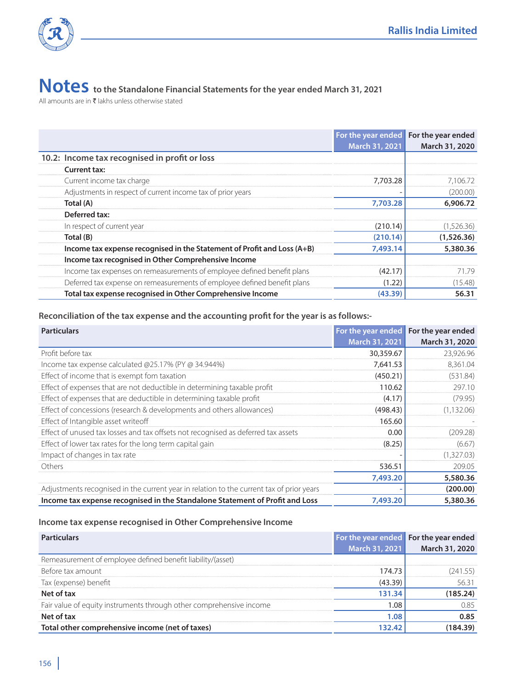

All amounts are in  $\bar{\tau}$  lakhs unless otherwise stated

|                                                                          | For the year ended | For the year ended |
|--------------------------------------------------------------------------|--------------------|--------------------|
|                                                                          | March 31, 2021     | March 31, 2020     |
| 10.2: Income tax recognised in profit or loss                            |                    |                    |
| <b>Current tax:</b>                                                      |                    |                    |
| Current income tax charge                                                | 7,703.28           | 7,106.72           |
| Adjustments in respect of current income tax of prior years              |                    | (200.00)           |
| Total (A)                                                                | 7,703.28           | 6,906.72           |
| Deferred tax:                                                            |                    |                    |
| In respect of current year                                               | (210.14)           | (1,526.36)         |
| Total (B)                                                                | (210.14)           | (1,526.36)         |
| Income tax expense recognised in the Statement of Profit and Loss (A+B)  | 7,493.14           | 5,380.36           |
| Income tax recognised in Other Comprehensive Income                      |                    |                    |
| Income tax expenses on remeasurements of employee defined benefit plans  | (42.17)            | 7179               |
| Deferred tax expense on remeasurements of employee defined benefit plans | (1.22)             | (15.48)            |
| Total tax expense recognised in Other Comprehensive Income               | (43.39)            | 56.31              |

## **Reconciliation of the tax expense and the accounting profit for the year is as follows:-**

| <b>Particulars</b>                                                                       | For the year ended | For the year ended |
|------------------------------------------------------------------------------------------|--------------------|--------------------|
|                                                                                          | March 31, 2021     | March 31, 2020     |
| Profit before tax                                                                        | 30,359.67          | 23,926.96          |
| Income tax expense calculated @25.17% (PY @ 34.944%)                                     | 7,641.53           | 8,361.04           |
| Effect of income that is exempt fom taxation                                             | (450.21)           | (531.84)           |
| Effect of expenses that are not deductible in determining taxable profit                 | 110.62             | 297.10             |
| Effect of expenses that are deductible in determining taxable profit                     | (4.17)             | (79.95)            |
| Effect of concessions (research & developments and others allowances)                    | (498.43)           | (1, 132.06)        |
| Effect of Intangible asset writeoff                                                      | 165.60             |                    |
| Effect of unused tax losses and tax offsets not recognised as deferred tax assets        | 0.00               | (209.28)           |
| Effect of lower tax rates for the long term capital gain                                 | (8.25)             | (6.67)             |
| Impact of changes in tax rate                                                            |                    | (1,327.03)         |
| Others                                                                                   | 536.51             | 209.05             |
|                                                                                          | 7,493.20           | 5,580.36           |
| Adjustments recognised in the current year in relation to the current tax of prior years |                    | (200.00)           |
| Income tax expense recognised in the Standalone Statement of Profit and Loss             | 7,493.20           | 5,380.36           |

# **Income tax expense recognised in Other Comprehensive Income**

| <b>Particulars</b>                                                  | For the year ended For the year ended |                               |
|---------------------------------------------------------------------|---------------------------------------|-------------------------------|
|                                                                     |                                       | March 31, 2021 March 31, 2020 |
| Remeasurement of employee defined benefit liability/(asset)         |                                       |                               |
| Before tax amount                                                   | 174.73                                | 241.55)                       |
| Tax (expense) benefit                                               | (43.39)                               | 56 31                         |
| Net of tax                                                          | 131.34                                | 185.24)                       |
| Fair value of equity instruments through other comprehensive income | L.O.S                                 |                               |
| Net of tax                                                          | 1.08                                  | 0.85                          |
| Total other comprehensive income (net of taxes)                     |                                       |                               |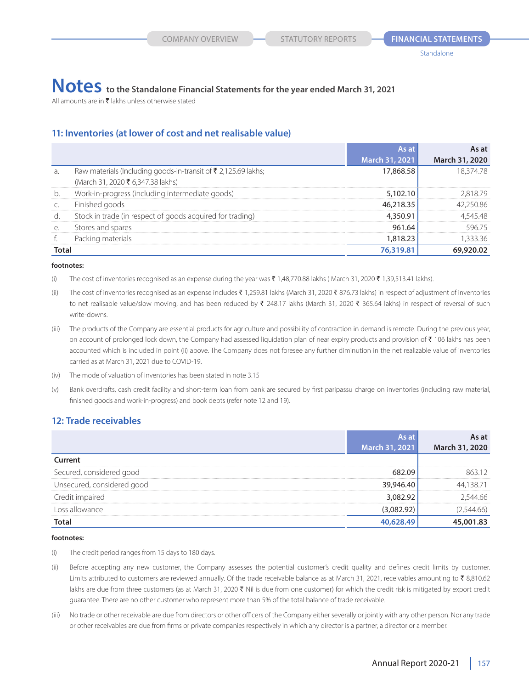All amounts are in  $\bar{\tau}$  lakhs unless otherwise stated

### **11: Inventories (at lower of cost and net realisable value)**

|       |                                                                                                     | As at                 | As at          |
|-------|-----------------------------------------------------------------------------------------------------|-----------------------|----------------|
|       |                                                                                                     | <b>March 31, 2021</b> | March 31, 2020 |
| a.    | Raw materials (Including goods-in-transit of ₹ 2,125.69 lakhs;<br>(March 31, 2020 ₹ 6,347.38 lakhs) | 17,868.58             | 18.374.78      |
|       | Work-in-progress (including intermediate goods)                                                     | 5,102.10              | 2818.79        |
|       | Finished goods                                                                                      | 46 218 35             |                |
|       | Stock in trade (in respect of goods acquired for trading)                                           | 350 9 <sup>.</sup>    |                |
|       | Stores and spares                                                                                   | 961.64                | 596 75         |
|       | Packing materials                                                                                   | 818.23. ا             | 333.36         |
| Total |                                                                                                     | 76,319.8              |                |

#### **footnotes:**

(i) The cost of inventories recognised as an expense during the year was  $\bar{z}$  1,48,770.88 lakhs (March 31, 2020  $\bar{z}$  1,39,513.41 lakhs).

- (ii) The cost of inventories recognised as an expense includes ₹ 1,259.81 lakhs (March 31, 2020 ₹ 876.73 lakhs) in respect of adjustment of inventories to net realisable value/slow moving, and has been reduced by  $\bar{\zeta}$  248.17 lakhs (March 31, 2020  $\bar{\zeta}$  365.64 lakhs) in respect of reversal of such write-downs.
- (iii) The products of the Company are essential products for agriculture and possibility of contraction in demand is remote. During the previous year, on account of prolonged lock down, the Company had assessed liquidation plan of near expiry products and provision of  $\bar{z}$  106 lakhs has been accounted which is included in point (ii) above. The Company does not foresee any further diminution in the net realizable value of inventories carried as at March 31, 2021 due to COVID-19.
- (iv) The mode of valuation of inventories has been stated in note 3.15
- (v) Bank overdrafts, cash credit facility and short-term loan from bank are secured by first paripassu charge on inventories (including raw material, finished goods and work-in-progress) and book debts (refer note 12 and 19).

# **12: Trade receivables**

|                            | March 31, 2021 | March 31, 2020 |
|----------------------------|----------------|----------------|
| Current                    |                |                |
| Secured, considered good   |                |                |
| Unsecured, considered good | 39 946 40      |                |
| Credit impaired            | (182 Y         |                |
| Loss allowance             | 187 97         |                |
|                            |                |                |

#### **footnotes:**

(i) The credit period ranges from 15 days to 180 days.

- (ii) Before accepting any new customer, the Company assesses the potential customer's credit quality and defines credit limits by customer. Limits attributed to customers are reviewed annually. Of the trade receivable balance as at March 31, 2021, receivables amounting to  $\bar{\tau}$  8,810.62 lakhs are due from three customers (as at March 31, 2020 ₹ Nil is due from one customer) for which the credit risk is mitigated by export credit guarantee. There are no other customer who represent more than 5% of the total balance of trade receivable.
- (iii) No trade or other receivable are due from directors or other officers of the Company either severally or jointly with any other person. Nor any trade or other receivables are due from firms or private companies respectively in which any director is a partner, a director or a member.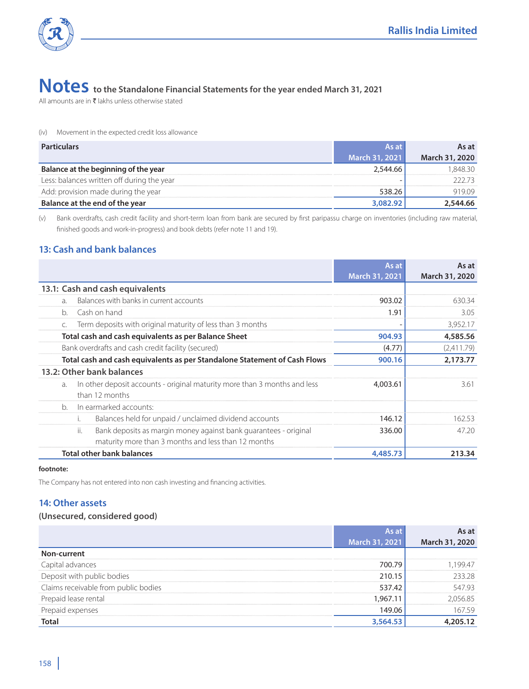

All amounts are in  $\bar{\tau}$  lakhs unless otherwise stated

#### (iv) Movement in the expected credit loss allowance

| <b>Particulars</b>                         | As at                 | As at          |
|--------------------------------------------|-----------------------|----------------|
|                                            | <b>March 31, 2021</b> | March 31, 2020 |
| Balance at the beginning of the year       | -544 66               |                |
| Less: balances written off during the year |                       |                |
| Add: provision made during the year        |                       |                |
| Balance at the end of the year             |                       | 2.544.66       |

(v) Bank overdrafts, cash credit facility and short-term loan from bank are secured by first paripassu charge on inventories (including raw material, finished goods and work-in-progress) and book debts (refer note 11 and 19).

## **13: Cash and bank balances**

|                                                                                                                                | As at          | As at          |
|--------------------------------------------------------------------------------------------------------------------------------|----------------|----------------|
|                                                                                                                                | March 31, 2021 | March 31, 2020 |
| 13.1: Cash and cash equivalents                                                                                                |                |                |
| Balances with banks in current accounts<br>$\overline{a}$                                                                      | 903.02         | 630.34         |
| Cash on hand<br>h.                                                                                                             | 1.91           | 3.05           |
| Term deposits with original maturity of less than 3 months                                                                     |                | 3,952.17       |
| Total cash and cash equivalents as per Balance Sheet                                                                           | 904.93         | 4,585.56       |
| Bank overdrafts and cash credit facility (secured)                                                                             | (4.77)         | (2,411.79)     |
| Total cash and cash equivalents as per Standalone Statement of Cash Flows                                                      | 900.16         | 2,173.77       |
| 13.2: Other bank balances                                                                                                      |                |                |
| In other deposit accounts - original maturity more than 3 months and less<br>$\partial$ .<br>than 12 months                    | 4,003.61       | 3.61           |
| In earmarked accounts:<br>b.                                                                                                   |                |                |
| Balances held for unpaid / unclaimed dividend accounts                                                                         | 146.12         | 162.53         |
| Bank deposits as margin money against bank guarantees - original<br>ii.<br>maturity more than 3 months and less than 12 months | 336.00         | 47 20          |
| <b>Total other bank balances</b>                                                                                               | 4,485.73       | 213.34         |

**footnote:**

The Company has not entered into non cash investing and financing activities.

# **14: Other assets**

### **(Unsecured, considered good)**

|                                      | <b>March 31, 2021</b> | : at<br>March 31, 2020 |
|--------------------------------------|-----------------------|------------------------|
| Non-current                          |                       |                        |
| ral advances.                        |                       |                        |
| isit with public bodies              | ን1በ 15                | 3 28                   |
| Claims receivable from public bodies | 537.42                | 547 93                 |
| Prepaid lease rental                 |                       |                        |
| Prepaid expenses                     |                       | 167.59                 |
| Total                                |                       |                        |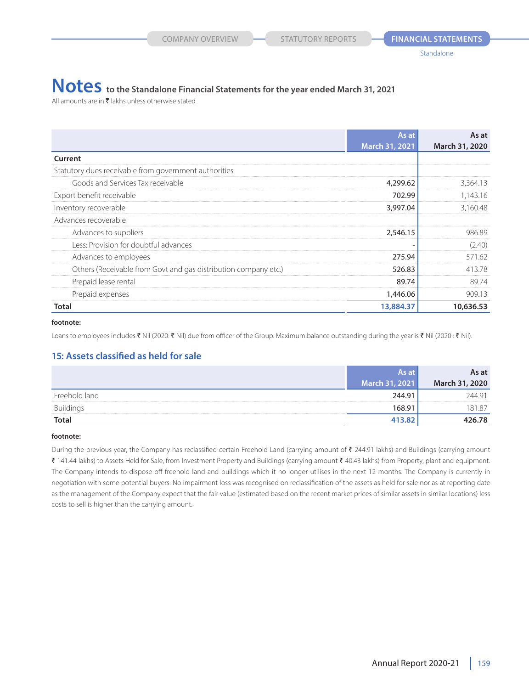# **Notes to the Standalone Financial Statements for the year ended March 31, 2021**

All amounts are in  $\bar{\tau}$  lakhs unless otherwise stated

|                                                                 | As at<br>March 31, 2021 | As at<br>March 31, 2020 |
|-----------------------------------------------------------------|-------------------------|-------------------------|
| Current                                                         |                         |                         |
| Statutory dues receivable from government authorities           |                         |                         |
| Goods and Services Tax receivable                               | 4,299.62                | 3,364.13                |
| Export benefit receivable                                       | 702.99                  | 1,143.16                |
| Inventory recoverable                                           | 3,997.04                | 3,160.48                |
| Advances recoverable                                            |                         |                         |
| Advances to suppliers                                           | 2,546.15                | 986.89                  |
| Less: Provision for doubtful advances                           |                         | (2.40)                  |
| Advances to employees                                           | 275.94                  | 571.62                  |
| Others (Receivable from Govt and gas distribution company etc.) | 526.83                  | 413.78                  |
| Prepaid lease rental                                            | 89.74                   | 89.74                   |
| Prepaid expenses                                                | 1,446.06                | 909.13                  |
| Total                                                           | 13,884.37               | 10,636.53               |

#### **footnote:**

Loans to employees includes ₹ Nil (2020: ₹ Nil) due from officer of the Group. Maximum balance outstanding during the year is ₹ Nil (2020 : ₹ Nil).

## **15: Assets classified as held for sale**

|                  | As at          | As at          |
|------------------|----------------|----------------|
|                  | March 31, 2021 | March 31, 2020 |
| Freehold land    | 244.91         | 74491          |
| <b>Buildings</b> | 68.9           | 181.87         |
| Total            |                | 26 78          |

#### **footnote:**

During the previous year, the Company has reclassified certain Freehold Land (carrying amount of ₹ 244.91 lakhs) and Buildings (carrying amount ₹ 141.44 lakhs) to Assets Held for Sale, from Investment Property and Buildings (carrying amount ₹ 40.43 lakhs) from Property, plant and equipment. The Company intends to dispose off freehold land and buildings which it no longer utilises in the next 12 months. The Company is currently in negotiation with some potential buyers. No impairment loss was recognised on reclassification of the assets as held for sale nor as at reporting date as the management of the Company expect that the fair value (estimated based on the recent market prices of similar assets in similar locations) less costs to sell is higher than the carrying amount.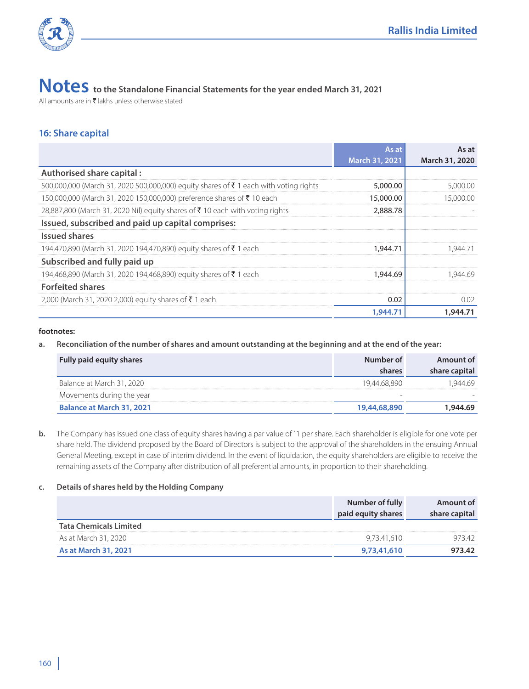

All amounts are in  $\bar{\tau}$  lakhs unless otherwise stated

## **16: Share capital**

|                                                                                                  | As at          | As at          |
|--------------------------------------------------------------------------------------------------|----------------|----------------|
|                                                                                                  | March 31, 2021 | March 31, 2020 |
| Authorised share capital:                                                                        |                |                |
| 500,000,000 (March 31, 2020 500,000,000) equity shares of $\bar{\tau}$ 1 each with voting rights | 5,000.00       | 5,000.00       |
| 150,000,000 (March 31, 2020 150,000,000) preference shares of ₹ 10 each                          | 15,000.00      | 15,000.00      |
| 28,887,800 (March 31, 2020 Nil) equity shares of ₹10 each with voting rights                     | 2,888.78       |                |
| Issued, subscribed and paid up capital comprises:                                                |                |                |
| <b>Issued shares</b>                                                                             |                |                |
| 194,470,890 (March 31, 2020 194,470,890) equity shares of ₹ 1 each                               | 1,944.71       | 1.944.71       |
| Subscribed and fully paid up                                                                     |                |                |
| 194,468,890 (March 31, 2020 194,468,890) equity shares of ₹ 1 each                               | 1,944.69       | 1.944.69       |
| <b>Forfeited shares</b>                                                                          |                |                |
| 2,000 (March 31, 2020 2,000) equity shares of ₹1 each                                            | 0.02           | 0.02           |
|                                                                                                  | 1,944.71       | 1,944.71       |

### **footnotes:**

### **a. Reconciliation of the number of shares and amount outstanding at the beginning and at the end of the year:**

| Fully paid equity shares         | Number of    | Amount of     |
|----------------------------------|--------------|---------------|
|                                  | shares       | share capital |
| Balance at March 31, 2020        | 19 44 68 890 | -944.69       |
| Movements during the year        |              |               |
| <b>Balance at March 31, 2021</b> | 19,44,68,890 | 1,944.69      |

### **b.** The Company has issued one class of equity shares having a par value of `1 per share. Each shareholder is eligible for one vote per share held. The dividend proposed by the Board of Directors is subject to the approval of the shareholders in the ensuing Annual General Meeting, except in case of interim dividend. In the event of liquidation, the equity shareholders are eligible to receive the remaining assets of the Company after distribution of all preferential amounts, in proportion to their shareholding.

### **c. Details of shares held by the Holding Company**

|                               | Number of fully<br>paid equity shares | Amount of<br>share capital |
|-------------------------------|---------------------------------------|----------------------------|
| <b>Tata Chemicals Limited</b> |                                       |                            |
| As at March 31, 2020          | 9/341610                              | 97342                      |
| As at March 31, 2021          | 9,73,41,610                           | רו די                      |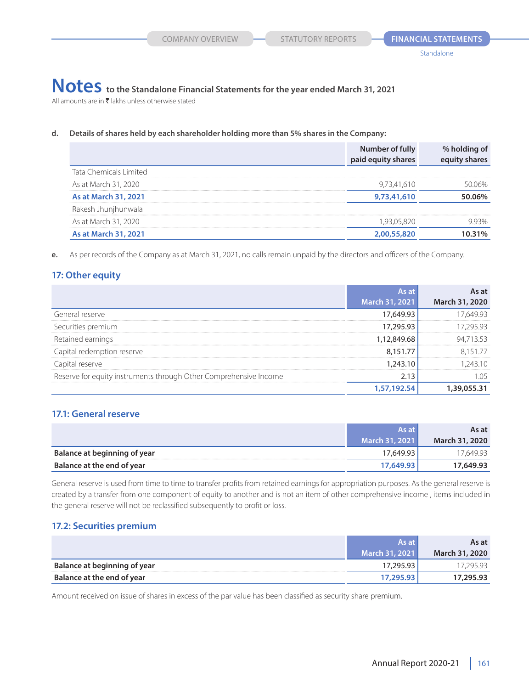All amounts are in  $\bar{\tau}$  lakhs unless otherwise stated

### **d. Details of shares held by each shareholder holding more than 5% shares in the Company:**

|                        | Number of fully<br>paid equity shares | % holding of |
|------------------------|---------------------------------------|--------------|
| Tata Chemicals Limited |                                       |              |
| As at March 31, 2020   | 9.73.41.610                           | 76%          |
| As at March 31, 2021   | 9,73,41,610                           | በ6%          |
| Rakesh Jhunjhunwala    |                                       |              |
| As at March 31, 2020   |                                       | 43%          |
| As at March 31, 2021   |                                       | 31%          |

**e.** As per records of the Company as at March 31, 2021, no calls remain unpaid by the directors and officers of the Company.

## **17: Other equity**

|                                                                   |                | s at           |
|-------------------------------------------------------------------|----------------|----------------|
|                                                                   | March 31, 2021 | March 31, 2020 |
| General reserve                                                   | 17 649 9       |                |
| Securities premium                                                | 7 295 93       |                |
| Retained earnings                                                 |                | 353            |
| pital redemption reserve                                          |                |                |
| pital reserve                                                     | 243.16         |                |
| Reserve for equity instruments through Other Comprehensive Income |                |                |
|                                                                   |                |                |

# **17.1: General reserve**

|                              | As at            | As at          |
|------------------------------|------------------|----------------|
|                              | March 31, 2021 . | March 31, 2020 |
| Balance at beginning of year | 17,649.93        | 7.649.93       |
| Balance at the end of year   | 17,649.93        | 17,649.93      |

General reserve is used from time to time to transfer profits from retained earnings for appropriation purposes. As the general reserve is created by a transfer from one component of equity to another and is not an item of other comprehensive income , items included in the general reserve will not be reclassified subsequently to profit or loss.

### **17.2: Securities premium**

|                              | As at                 | As at          |
|------------------------------|-----------------------|----------------|
|                              | <b>March 31, 2021</b> | March 31, 2020 |
| Balance at beginning of year | 17,295.93             | 17.295.93      |
| Balance at the end of year   | 17,295.93             | 17,295.93      |

Amount received on issue of shares in excess of the par value has been classified as security share premium.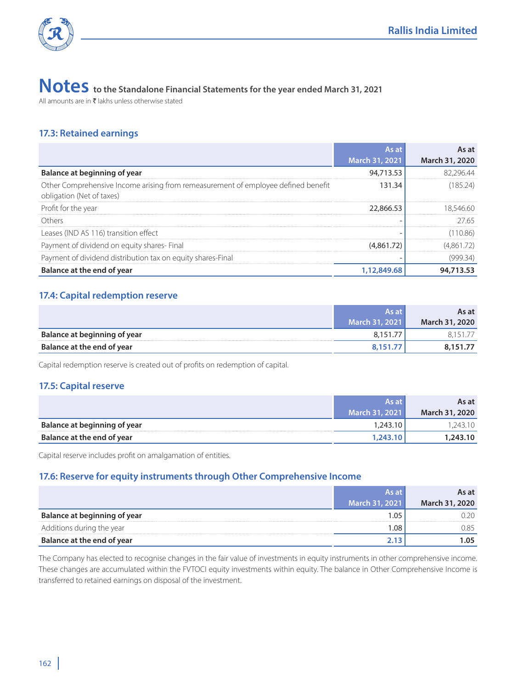

All amounts are in  $\bar{\tau}$  lakhs unless otherwise stated

## **17.3: Retained earnings**

|                                                                                                                | As at          | As at          |
|----------------------------------------------------------------------------------------------------------------|----------------|----------------|
|                                                                                                                | March 31, 2021 | March 31, 2020 |
| Balance at beginning of year                                                                                   | 94.713.53      | 82.296.44      |
| Other Comprehensive Income arising from remeasurement of employee defined benefit<br>obligation (Net of taxes) | 131.34         | (185.24)       |
| Profit for the year                                                                                            | 22.866.53      | 18 546 60      |
| Others                                                                                                         |                | 27.65          |
| Leases (IND AS 116) transition effect                                                                          |                | (110.86)       |
| Payment of dividend on equity shares- Final                                                                    | (4.861.72)     | (4.861.72)     |
| Payment of dividend distribution tax on equity shares-Final                                                    |                | (999.34)       |
| Balance at the end of year                                                                                     | 1,12,849,68    | 94,713.53      |

## **17.4: Capital redemption reserve**

|                                     | As at                 | As at          |
|-------------------------------------|-----------------------|----------------|
|                                     | <b>March 31, 2021</b> | March 31, 2020 |
| <b>Balance at beginning of year</b> |                       |                |
| Balance at the end of year          | 8.151.77              | 8,151.77       |

Capital redemption reserve is created out of profits on redemption of capital.

# **17.5: Capital reserve**

|                              | As at                 | As at          |
|------------------------------|-----------------------|----------------|
|                              | <b>March 31, 2021</b> | March 31, 2020 |
| Balance at beginning of year | .243.10               | 243.           |
| Balance at the end of year   | 1,243.10              | 1,243.10       |

Capital reserve includes profit on amalgamation of entities.

# **17.6: Reserve for equity instruments through Other Comprehensive Income**

|                              | As at                       | As at          |
|------------------------------|-----------------------------|----------------|
|                              | March 31, 2021 <sup>'</sup> | March 31, 2020 |
| Balance at beginning of year |                             |                |
| Additions during the year    | .08                         |                |
| Balance at the end of year   |                             |                |

The Company has elected to recognise changes in the fair value of investments in equity instruments in other comprehensive income. These changes are accumulated within the FVTOCI equity investments within equity. The balance in Other Comprehensive Income is transferred to retained earnings on disposal of the investment.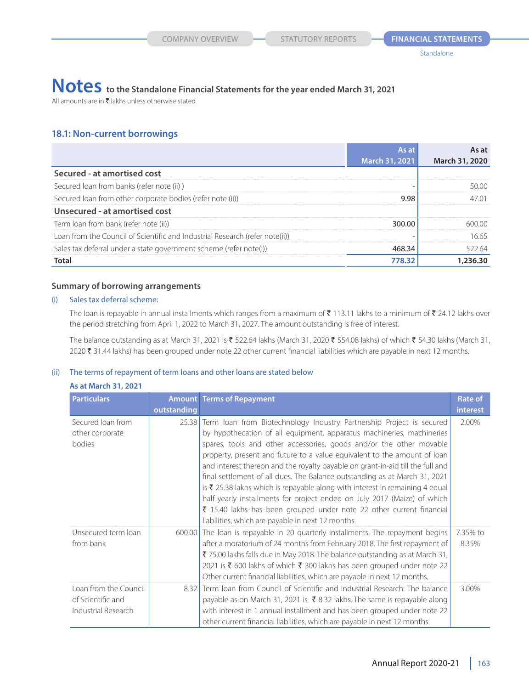# Notes to the Standalone Financial Statements for the year ended March 31, 2021

All amounts are in  $\bar{\tau}$  lakhs unless otherwise stated

## **18.1: Non-current borrowings**

|                                                                              |                | As at          |
|------------------------------------------------------------------------------|----------------|----------------|
|                                                                              | March 31, 2021 | March 31, 2020 |
| Secured - at amortised cost                                                  |                |                |
| Secured loan from banks (refer note (ii))                                    |                | 5 ( ) ( ) ( )  |
| Secured loan from other corporate bodies (refer note (ii))                   | 998            |                |
| Unsecured - at amortised cost                                                |                |                |
| Term loan from bank (refer note (ii))                                        | 300 OC         |                |
| Loan from the Council of Scientific and Industrial Research (refer note(ii)) |                | 1665           |
| Sales tax deferral under a state government scheme (refer note(i))           | 468 34         | 522.64         |
| Total                                                                        | 778.3.         |                |

### **Summary of borrowing arrangements**

### (i) Sales tax deferral scheme:

The loan is repayable in annual installments which ranges from a maximum of  $\bar{x}$  113.11 lakhs to a minimum of  $\bar{x}$  24.12 lakhs over the period stretching from April 1, 2022 to March 31, 2027. The amount outstanding is free of interest.

The balance outstanding as at March 31, 2021 is  $\bar{\xi}$  522.64 lakhs (March 31, 2020  $\bar{\xi}$  554.08 lakhs) of which  $\bar{\xi}$  54.30 lakhs (March 31, 2020 ₹ 31.44 lakhs) has been grouped under note 22 other current financial liabilities which are payable in next 12 months.

### (ii) The terms of repayment of term loans and other loans are stated below

| As at March 31, 2021                                              |             |                                                                                                                                                                                                                                                                                                                                                                                                                                                                                                                                                                                                                                                                                                                                                                 |                            |
|-------------------------------------------------------------------|-------------|-----------------------------------------------------------------------------------------------------------------------------------------------------------------------------------------------------------------------------------------------------------------------------------------------------------------------------------------------------------------------------------------------------------------------------------------------------------------------------------------------------------------------------------------------------------------------------------------------------------------------------------------------------------------------------------------------------------------------------------------------------------------|----------------------------|
| <b>Particulars</b>                                                | outstanding | <b>Amount Terms of Repayment</b>                                                                                                                                                                                                                                                                                                                                                                                                                                                                                                                                                                                                                                                                                                                                | <b>Rate of</b><br>interest |
| Secured Ioan from<br>other corporate<br>bodies                    |             | 25.38 Term loan from Biotechnology Industry Partnership Project is secured<br>by hypothecation of all equipment, apparatus machineries, machineries<br>spares, tools and other accessories, goods and/or the other movable<br>property, present and future to a value equivalent to the amount of loan<br>and interest thereon and the royalty payable on grant-in-aid till the full and<br>final settlement of all dues. The Balance outstanding as at March 31, 2021<br>is ₹ 25.38 lakhs which is repayable along with interest in remaining 4 equal<br>half yearly installments for project ended on July 2017 (Maize) of which<br>₹ 15.40 lakhs has been grouped under note 22 other current financial<br>liabilities, which are payable in next 12 months. | 2.00%                      |
| Unsecured term loan<br>from bank                                  |             | 600.00 The loan is repayable in 20 quarterly installments. The repayment begins<br>after a moratorium of 24 months from February 2018. The first repayment of<br>₹ 75.00 lakhs falls due in May 2018. The balance outstanding as at March 31,<br>2021 is ₹ 600 lakhs of which ₹ 300 lakhs has been grouped under note 22<br>Other current financial liabilities, which are payable in next 12 months.                                                                                                                                                                                                                                                                                                                                                           | 7.35% to<br>8.35%          |
| Loan from the Council<br>of Scientific and<br>Industrial Research |             | 8.32 Term Joan from Council of Scientific and Industrial Research: The balance<br>payable as on March 31, 2021 is ₹ 8.32 lakhs. The same is repayable along<br>with interest in 1 annual installment and has been grouped under note 22<br>other current financial liabilities, which are payable in next 12 months.                                                                                                                                                                                                                                                                                                                                                                                                                                            | 3.00%                      |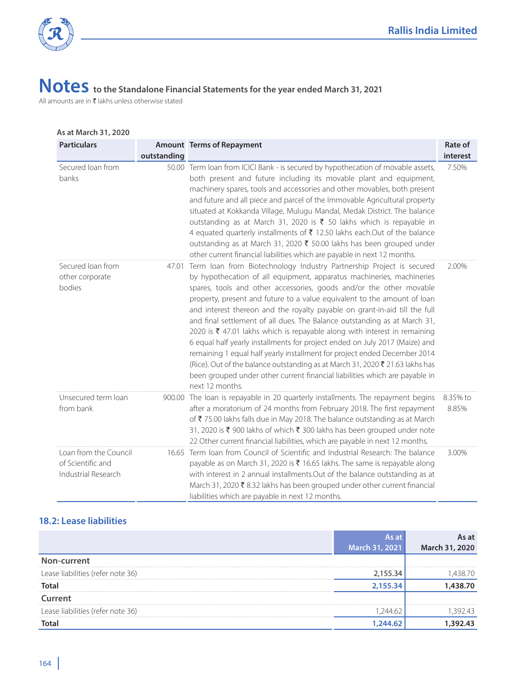

All amounts are in  $\bar{\tau}$  lakhs unless otherwise stated

| As at March 31, 2020                                              |             |                                                                                                                                                                                                                                                                                                                                                                                                                                                                                                                                                                                                                                                                                                                                                                                                                                                                                         |                     |
|-------------------------------------------------------------------|-------------|-----------------------------------------------------------------------------------------------------------------------------------------------------------------------------------------------------------------------------------------------------------------------------------------------------------------------------------------------------------------------------------------------------------------------------------------------------------------------------------------------------------------------------------------------------------------------------------------------------------------------------------------------------------------------------------------------------------------------------------------------------------------------------------------------------------------------------------------------------------------------------------------|---------------------|
| <b>Particulars</b>                                                | outstanding | <b>Amount</b> Terms of Repayment                                                                                                                                                                                                                                                                                                                                                                                                                                                                                                                                                                                                                                                                                                                                                                                                                                                        | Rate of<br>interest |
| Secured loan from<br>banks                                        |             | 50.00 Term loan from ICICI Bank - is secured by hypothecation of movable assets,<br>both present and future including its movable plant and equipment,<br>machinery spares, tools and accessories and other movables, both present<br>and future and all piece and parcel of the Immovable Agricultural property<br>situated at Kokkanda Village, Mulugu Mandal, Medak District. The balance<br>outstanding as at March 31, 2020 is ₹ 50 lakhs which is repayable in<br>4 equated quarterly installments of ₹ 12.50 lakhs each.Out of the balance<br>outstanding as at March 31, 2020 ₹ 50.00 lakhs has been grouped under<br>other current financial liabilities which are payable in next 12 months.                                                                                                                                                                                  | 7.50%               |
| Secured loan from<br>other corporate<br>bodies                    | 47.01       | Term loan from Biotechnology Industry Partnership Project is secured<br>by hypothecation of all equipment, apparatus machineries, machineries<br>spares, tools and other accessories, goods and/or the other movable<br>property, present and future to a value equivalent to the amount of loan<br>and interest thereon and the royalty payable on grant-in-aid till the full<br>and final settlement of all dues. The Balance outstanding as at March 31,<br>2020 is ₹ 47.01 lakhs which is repayable along with interest in remaining<br>6 equal half yearly installments for project ended on July 2017 (Maize) and<br>remaining 1 equal half yearly installment for project ended December 2014<br>(Rice). Out of the balance outstanding as at March 31, 2020 ₹ 21.63 lakhs has<br>been grouped under other current financial liabilities which are payable in<br>next 12 months. | 2.00%               |
| Unsecured term loan<br>from bank                                  |             | 900.00 The loan is repayable in 20 quarterly installments. The repayment begins<br>after a moratorium of 24 months from February 2018. The first repayment<br>of ₹75.00 lakhs falls due in May 2018. The balance outstanding as at March<br>31, 2020 is ₹ 900 lakhs of which ₹ 300 lakhs has been grouped under note<br>22 Other current financial liabilities, which are payable in next 12 months.                                                                                                                                                                                                                                                                                                                                                                                                                                                                                    | 8.35% to<br>8.85%   |
| Loan from the Council<br>of Scientific and<br>Industrial Research |             | 16.65 Term loan from Council of Scientific and Industrial Research: The balance<br>payable as on March 31, 2020 is ₹ 16.65 lakhs. The same is repayable along<br>with interest in 2 annual installments.Out of the balance outstanding as at<br>March 31, 2020 ₹ 8.32 lakhs has been grouped under other current financial<br>liabilities which are payable in next 12 months.                                                                                                                                                                                                                                                                                                                                                                                                                                                                                                          | 3.00%               |

# **18.2: Lease liabilities**

|                                   | March 31, 2021 | March 31, 2020 |
|-----------------------------------|----------------|----------------|
| Non-current                       |                |                |
| Lease liabilities (refer note 36) | 2,155.34       | 438.70         |
| Total                             | 2.155.34       |                |
| Current                           |                |                |
| Lease liabilities (refer note 36) | 2446           | 39243          |
| Total                             |                |                |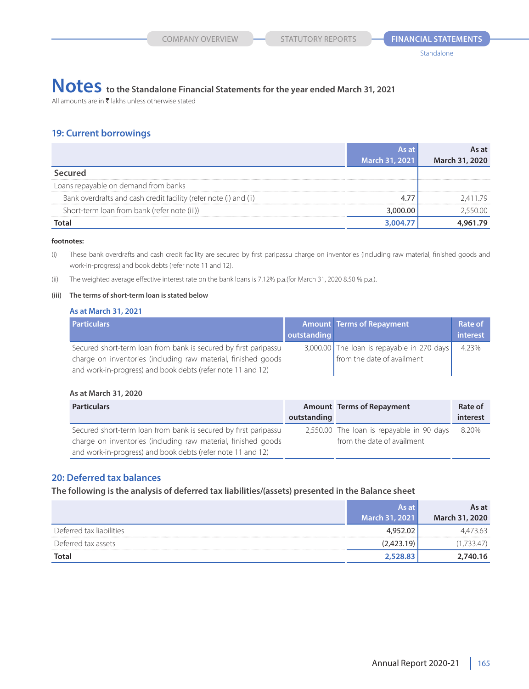# **Notes to the Standalone Financial Statements for the year ended March 31, 2021**

All amounts are in  $\bar{\tau}$  lakhs unless otherwise stated

### **19: Current borrowings**

|                                                                   | <b>March 31, 2021</b> | <b>March 31, 2020</b> |
|-------------------------------------------------------------------|-----------------------|-----------------------|
| Secured                                                           |                       |                       |
| Loans repayable on demand from banks                              |                       |                       |
| Bank overdrafts and cash credit facility (refer note (i) and (ii) |                       | 179<br>$/4$ '         |
| Short-term loan from bank (refer note (iii))                      |                       |                       |
|                                                                   |                       |                       |

#### **footnotes:**

(i) These bank overdrafts and cash credit facility are secured by first paripassu charge on inventories (including raw material, finished goods and work-in-progress) and book debts (refer note 11 and 12).

(ii) The weighted average effective interest rate on the bank loans is 7.12% p.a.(for March 31, 2020 8.50 % p.a.).

### **(iii) The terms of short-term loan is stated below**

### **As at March 31, 2021**

| <b>Particulars</b>                                              |             | <b>Amount Terms of Repayment</b>           | Rate of  |
|-----------------------------------------------------------------|-------------|--------------------------------------------|----------|
|                                                                 | outstanding |                                            | interest |
| Secured short-term loan from bank is secured by first paripassu |             | 3,000.00 The loan is repayable in 270 days | 4.23%    |
| charge on inventories (including raw material, finished goods   |             | from the date of availment                 |          |
| and work-in-progress) and book debts (refer note 11 and 12)     |             |                                            |          |

#### **As at March 31, 2020**

| <b>Particulars</b>                                              |             | <b>Amount Terms of Repayment</b>          | Rate of  |
|-----------------------------------------------------------------|-------------|-------------------------------------------|----------|
|                                                                 | outstanding |                                           | interest |
| Secured short-term loan from bank is secured by first paripassu |             | 2,550.00 The loan is repayable in 90 days | 8.20%    |
| charge on inventories (including raw material, finished goods   |             | from the date of availment                |          |
| and work-in-progress) and book debts (refer note 11 and 12)     |             |                                           |          |

### **20: Deferred tax balances**

**The following is the analysis of deferred tax liabilities/(assets) presented in the Balance sheet**

|                          | As at          | As at          |
|--------------------------|----------------|----------------|
|                          | March 31, 2021 | March 31, 2020 |
| Deferred tax liabilities |                |                |
| Deferred tax assets      | (2.423.19)     |                |
| Total                    | 2,528.83       | 2,740.16       |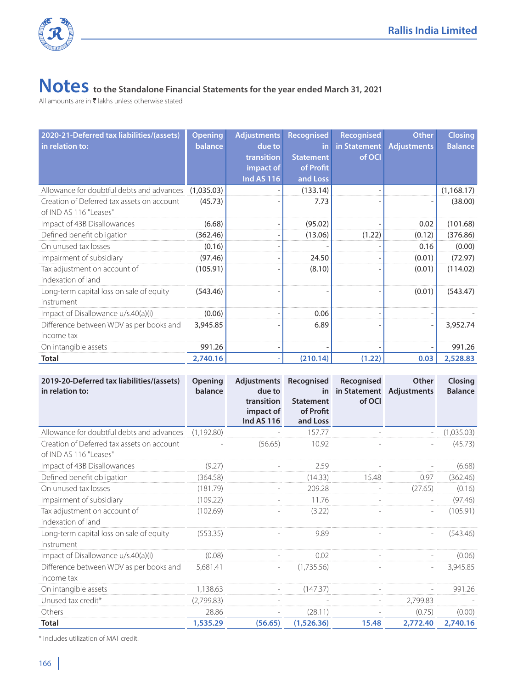

All amounts are in  $\bar{\tau}$  lakhs unless otherwise stated

| 2020-21-Deferred tax liabilities/(assets)  | <b>Opening</b> | <b>Adjustments</b> | <b>Recognised</b> | Recognised   | <b>Other</b>       | <b>Closing</b> |
|--------------------------------------------|----------------|--------------------|-------------------|--------------|--------------------|----------------|
| in relation to:                            | balance        | due to             | in                | in Statement | <b>Adjustments</b> | <b>Balance</b> |
|                                            |                | transition         | <b>Statement</b>  | of OCI       |                    |                |
|                                            |                | impact of          | of Profit         |              |                    |                |
|                                            |                | <b>Ind AS 116</b>  | and Loss          |              |                    |                |
| Allowance for doubtful debts and advances  | (1,035.03)     |                    | (133.14)          |              |                    | (1, 168.17)    |
| Creation of Deferred tax assets on account | (45.73)        |                    | 7.73              |              |                    | (38.00)        |
| of IND AS 116 "Leases"                     |                |                    |                   |              |                    |                |
| Impact of 43B Disallowances                | (6.68)         |                    | (95.02)           |              | 0.02               | (101.68)       |
| Defined benefit obligation                 | (362.46)       |                    | (13.06)           | (1.22)       | (0.12)             | (376.86)       |
| On unused tax losses                       | (0.16)         |                    |                   |              | 0.16               | (0.00)         |
| Impairment of subsidiary                   | (97.46)        |                    | 24.50             |              | (0.01)             | (72.97)        |
| Tax adjustment on account of               | (105.91)       |                    | (8.10)            |              | (0.01)             | (114.02)       |
| indexation of land                         |                |                    |                   |              |                    |                |
| Long-term capital loss on sale of equity   | (543.46)       |                    |                   |              | (0.01)             | (543.47)       |
| instrument                                 |                |                    |                   |              |                    |                |
| Impact of Disallowance u/s.40(a)(i)        | (0.06)         |                    | 0.06              |              |                    |                |
| Difference between WDV as per books and    | 3,945.85       |                    | 6.89              |              |                    | 3,952.74       |
| income tax                                 |                |                    |                   |              |                    |                |
| On intangible assets                       | 991.26         |                    |                   |              |                    | 991.26         |
| <b>Total</b>                               | 2,740.16       |                    | (210.14)          | (1.22)       | 0.03               | 2,528.83       |

| 2019-20-Deferred tax liabilities/(assets)<br>in relation to:         | <b>Opening</b><br>balance | Adjustments<br>due to<br>transition<br>impact of<br><b>Ind AS 116</b> | Recognised<br>in<br><b>Statement</b><br>of Profit<br>and Loss | Recognised<br>of OCI | <b>Other</b><br>in Statement Adjustments | <b>Closing</b><br><b>Balance</b> |
|----------------------------------------------------------------------|---------------------------|-----------------------------------------------------------------------|---------------------------------------------------------------|----------------------|------------------------------------------|----------------------------------|
| Allowance for doubtful debts and advances                            | (1,192.80)                |                                                                       | 157.77                                                        |                      |                                          | (1,035.03)                       |
| Creation of Deferred tax assets on account<br>of IND AS 116 "Leases" |                           | (56.65)                                                               | 10.92                                                         |                      |                                          | (45.73)                          |
| Impact of 43B Disallowances                                          | (9.27)                    |                                                                       | 2.59                                                          |                      |                                          | (6.68)                           |
| Defined benefit obligation                                           | (364.58)                  |                                                                       | (14.33)                                                       | 15.48                | 0.97                                     | (362.46)                         |
| On unused tax losses                                                 | (181.79)                  |                                                                       | 209.28                                                        |                      | (27.65)                                  | (0.16)                           |
| Impairment of subsidiary                                             | (109.22)                  |                                                                       | 11.76                                                         |                      |                                          | (97.46)                          |
| Tax adjustment on account of<br>indexation of land                   | (102.69)                  |                                                                       | (3.22)                                                        |                      |                                          | (105.91)                         |
| Long-term capital loss on sale of equity<br>instrument               | (553.35)                  |                                                                       | 9.89                                                          |                      |                                          | (543.46)                         |
| Impact of Disallowance u/s.40(a)(i)                                  | (0.08)                    |                                                                       | 0.02                                                          |                      |                                          | (0.06)                           |
| Difference between WDV as per books and<br>income tax                | 5,681.41                  |                                                                       | (1,735.56)                                                    |                      |                                          | 3,945.85                         |
| On intangible assets                                                 | 1,138.63                  |                                                                       | (147.37)                                                      |                      |                                          | 991.26                           |
| Unused tax credit*                                                   | (2,799.83)                |                                                                       |                                                               | ۳                    | 2.799.83                                 |                                  |
| Others                                                               | 28.86                     |                                                                       | (28.11)                                                       |                      | (0.75)                                   | (0.00)                           |
| <b>Total</b>                                                         | 1,535.29                  | (56.65)                                                               | (1,526.36)                                                    | 15.48                | 2,772.40                                 | 2,740.16                         |

\* includes utilization of MAT credit.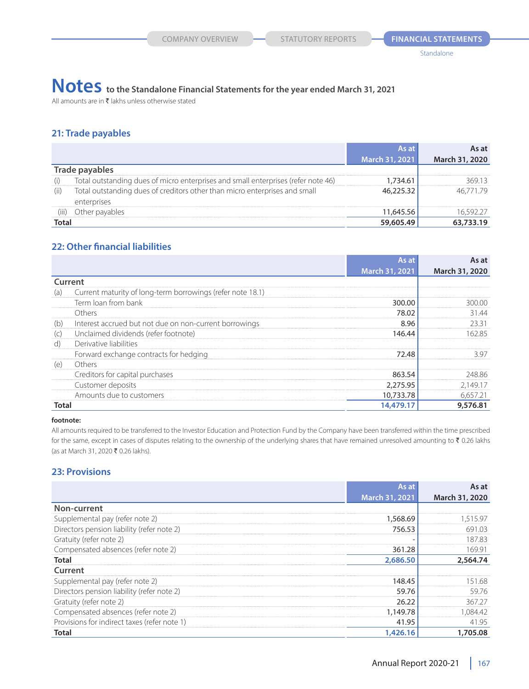# **Notes to the Standalone Financial Statements for the year ended March 31, 2021**

All amounts are in  $\bar{\tau}$  lakhs unless otherwise stated

# **21: Trade payables**

|       |                                                                                           | As at<br>March 31, 2021                       | <b>March 31, 2020</b> |
|-------|-------------------------------------------------------------------------------------------|-----------------------------------------------|-----------------------|
|       | Trade pavables                                                                            |                                               |                       |
|       | Total outstanding dues of micro enterprises and small enterprises (refer note 46)         | 734.61                                        | 36913                 |
| (11)  | Total outstanding dues of creditors other than micro enterprises and small<br>enterprises |                                               |                       |
|       | Other pavables                                                                            | ---------------------------------<br>1 645 56 |                       |
| Total |                                                                                           |                                               |                       |

# **22: Other financial liabilities**

|       |                                                            | As at          | As at          |
|-------|------------------------------------------------------------|----------------|----------------|
|       |                                                            | March 31, 2021 | March 31, 2020 |
|       | Current                                                    |                |                |
| (a)   | Current maturity of long-term borrowings (refer note 18.1) |                |                |
|       | Term Joan from bank                                        | 300.00         | 300.00         |
|       | Others                                                     | 78.02          | 31.44          |
| (b)   | Interest accrued but not due on non-current borrowings     | 8.96           | 2331           |
| (c)   | Unclaimed dividends (refer footnote)                       | 146.44         | 16285          |
| d)    | Derivative liabilities                                     |                |                |
|       | Forward exchange contracts for hedging                     | 72.48          | 397            |
| (e)   | Others                                                     |                |                |
|       | Creditors for capital purchases                            | 863.54         | 248.86         |
|       | Customer deposits                                          | 2,275.95       | 2,149.17       |
|       | Amounts due to customers                                   | 10,733.78      | 6,657.21       |
| Total |                                                            | 14,479.17      | 9,576.81       |

#### **footnote:**

All amounts required to be transferred to the Investor Education and Protection Fund by the Company have been transferred within the time prescribed for the same, except in cases of disputes relating to the ownership of the underlying shares that have remained unresolved amounting to  $\bar{\tau}$  0.26 lakhs (as at March 31, 2020 ₹ 0.26 lakhs).

## **23: Provisions**

|                                              | As at          | As at          |
|----------------------------------------------|----------------|----------------|
|                                              | March 31, 2021 | March 31, 2020 |
| Non-current                                  |                |                |
| Supplemental pay (refer note 2)              | 1,568.69       | 1.515.97       |
| Directors pension liability (refer note 2)   | 756.53         | 691.03         |
| Gratuity (refer note 2)                      |                | 187.83         |
| Compensated absences (refer note 2)          | 361.28         | 169.91         |
| Total                                        | 2,686.50       | 2,564.74       |
| Current                                      |                |                |
| Supplemental pay (refer note 2)              | 148.45         | 151.68         |
| Directors pension liability (refer note 2)   | 59.76          | 59.76          |
| Gratuity (refer note 2)                      | 26.22          | 367.27         |
| Compensated absences (refer note 2)          | 1.149.78       | 1.084.42       |
| Provisions for indirect taxes (refer note 1) | 41.95          | 41.95          |
| Total                                        | 1.426.16       | 1,705.08       |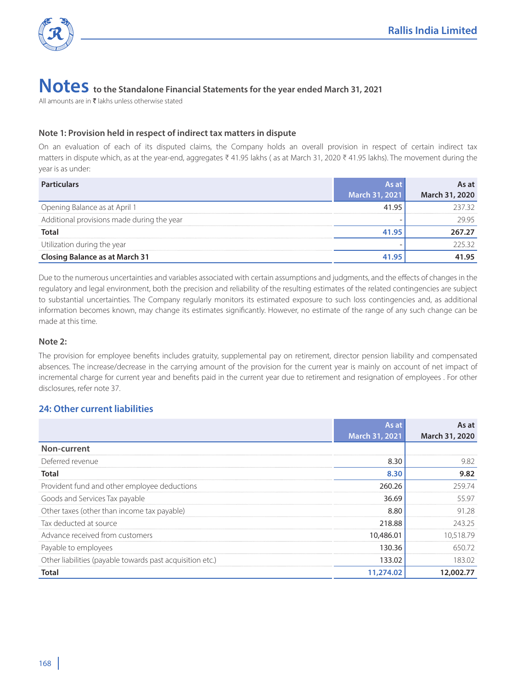

All amounts are in  $\bar{\tau}$  lakhs unless otherwise stated

## **Note 1: Provision held in respect of indirect tax matters in dispute**

On an evaluation of each of its disputed claims, the Company holds an overall provision in respect of certain indirect tax matters in dispute which, as at the year-end, aggregates ₹ 41.95 lakhs ( as at March 31, 2020 ₹ 41.95 lakhs). The movement during the year is as under:

| rticulars                                  | As at                 |                |
|--------------------------------------------|-----------------------|----------------|
|                                            | <b>March 31, 2021</b> | March 31, 2020 |
| Opening Balance as at April 1              | 41.95                 | 237 R.Z        |
| Additional provisions made during the year |                       | 19 95          |
| Total                                      |                       | 267.27         |
| Utilization during the year                |                       |                |
| <b>Closing Balance as at March 31</b>      |                       | 41.95          |

Due to the numerous uncertainties and variables associated with certain assumptions and judgments, and the effects of changes in the regulatory and legal environment, both the precision and reliability of the resulting estimates of the related contingencies are subject to substantial uncertainties. The Company regularly monitors its estimated exposure to such loss contingencies and, as additional information becomes known, may change its estimates significantly. However, no estimate of the range of any such change can be made at this time.

### **Note 2:**

The provision for employee benefits includes gratuity, supplemental pay on retirement, director pension liability and compensated absences. The increase/decrease in the carrying amount of the provision for the current year is mainly on account of net impact of incremental charge for current year and benefits paid in the current year due to retirement and resignation of employees . For other disclosures, refer note 37.

# **24: Other current liabilities**

|                                                           | As at          | As at          |
|-----------------------------------------------------------|----------------|----------------|
|                                                           | March 31, 2021 | March 31, 2020 |
| Non-current                                               |                |                |
| Deferred revenue                                          | 8.30           | 9.82           |
| <b>Total</b>                                              | 8.30           | 9.82           |
| Provident fund and other employee deductions              | 260.26         | 25974          |
| Goods and Services Tax payable                            | 36.69          | 5597           |
| Other taxes (other than income tax payable)               | 8.80           | 91 28          |
| Tax deducted at source                                    | 218.88         | 243.25         |
| Advance received from customers                           | 10,486.01      | 10.518.79      |
| Payable to employees                                      | 130.36         | 65072          |
| Other liabilities (payable towards past acquisition etc.) | 133.02         | 183.02         |
| <b>Total</b>                                              | 11,274.02      | 12,002.77      |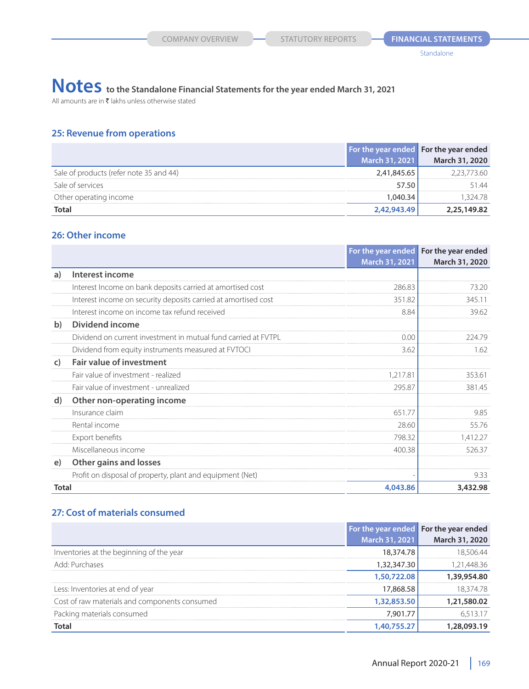# Notes to the Standalone Financial Statements for the year ended March 31, 2021

All amounts are in  $\bar{\tau}$  lakhs unless otherwise stated

# **25: Revenue from operations**

|                                         |                | For the year ended   For the year ended |
|-----------------------------------------|----------------|-----------------------------------------|
|                                         | March 31, 2021 | March 31, 2020                          |
| Sale of products (refer note 35 and 44) | 2.41.845.65    | 3 AC                                    |
| Sale of services                        | 5750           | -44                                     |
| Other operating income                  |                |                                         |
| Total                                   | 2,42,943.49    | 2,25,149.82                             |

### **26: Other income**

|              |                                                                |                | For the year ended For the year ended |
|--------------|----------------------------------------------------------------|----------------|---------------------------------------|
|              |                                                                | March 31, 2021 | March 31, 2020                        |
| a)           | Interest income                                                |                |                                       |
|              | Interest Income on bank deposits carried at amortised cost     | 286.83         | 73.20                                 |
|              | Interest income on security deposits carried at amortised cost | 351.82         | 345.11                                |
|              | Interest income on income tax refund received                  | 8.84           | 39.62                                 |
| b)           | Dividend income                                                |                |                                       |
|              | Dividend on current investment in mutual fund carried at FVTPL | 0.00           | 224.79                                |
|              | Dividend from equity instruments measured at FVTOCI            | 3.62           | 1.62                                  |
| $\mathsf{C}$ | <b>Fair value of investment</b>                                |                |                                       |
|              | Fair value of investment - realized                            | 1,217.81       | 353.61                                |
|              | Fair value of investment - unrealized                          | 295.87         | 381.45                                |
| d)           | Other non-operating income                                     |                |                                       |
|              | Insurance claim                                                | 651.77         | 9.85                                  |
|              | Rental income                                                  | 28.60          | 55.76                                 |
|              | Export benefits                                                | 798.32         | 1,412.27                              |
|              | Miscellaneous income                                           | 400.38         | 526.37                                |
| e)           | <b>Other gains and losses</b>                                  |                |                                       |
|              | Profit on disposal of property, plant and equipment (Net)      |                | 9.33                                  |
| <b>Total</b> |                                                                | 4,043.86       | 3,432.98                              |

# **27: Cost of materials consumed**

|                                               | For the year ended For the year ended |                |
|-----------------------------------------------|---------------------------------------|----------------|
|                                               | March 31, 2021                        | March 31, 2020 |
| Inventories at the beginning of the year      | 18,374.78                             |                |
| Add: Purchases                                | 1,32,347.30                           | 1.21.448.36    |
|                                               | 1.50.722.08                           | 1.39.954.80    |
| Less: Inventories at end of year              | 17,868.58                             | 18.374.78      |
| Cost of raw materials and components consumed | 1,32,853.50                           | 1,21,580.02    |
| Packing materials consumed                    | 7.901.77                              |                |
| Total                                         |                                       |                |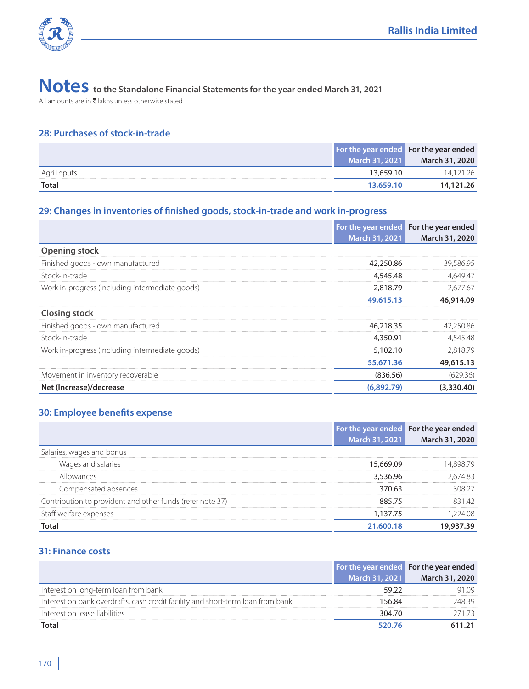

All amounts are in  $\bar{\tau}$  lakhs unless otherwise stated

# **28: Purchases of stock-in-trade**

|              |                       | For the year ended For the year ended |
|--------------|-----------------------|---------------------------------------|
|              | <b>March 31, 2021</b> | March 31, 2020                        |
| Agri Inputs  | 13,659.10             |                                       |
| <b>Total</b> | 13,659.10             | 14,121.26                             |

# **29: Changes in inventories of finished goods, stock-in-trade and work in-progress**

|                                                 | For the year ended For the year ended |                |
|-------------------------------------------------|---------------------------------------|----------------|
|                                                 | March 31, 2021                        | March 31, 2020 |
| <b>Opening stock</b>                            |                                       |                |
| Finished goods - own manufactured               | 42,250.86                             | 39,586.95      |
| Stock-in-trade                                  | 4,545.48                              | 4.649.47       |
| Work in-progress (including intermediate goods) | 2,818.79                              | 2.677.67       |
|                                                 | 49,615.13                             | 46,914.09      |
| <b>Closing stock</b>                            |                                       |                |
| Finished goods - own manufactured               | 46,218.35                             | 42.250.86      |
| Stock-in-trade                                  | 4,350.91                              | 4,545.48       |
| Work in-progress (including intermediate goods) | 5,102.10                              | 2.818.79       |
|                                                 | 55,671.36                             | 49,615.13      |
| Movement in inventory recoverable               | (836.56)                              | (629.36)       |
| Net (Increase)/decrease                         | (6,892.79)                            | (3,330.40)     |

# **30: Employee benefits expense**

|                                                           | For the year ended For the year ended | March 31, 2021 March 31, 2020 |
|-----------------------------------------------------------|---------------------------------------|-------------------------------|
| Salaries, wages and bonus                                 |                                       |                               |
| Wages and salaries                                        | 15 669 09                             |                               |
| Allowances                                                | 3.536.96                              | 2.674.83                      |
| Compensated absences                                      | 370.63                                | 308.27                        |
| Contribution to provident and other funds (refer note 37) |                                       | 831 42                        |
| Staff welfare expenses                                    | 1.137.75                              | 24.08                         |
|                                                           |                                       |                               |

# **31: Finance costs**

|                                                                                 |                | For the year ended For the year ended |
|---------------------------------------------------------------------------------|----------------|---------------------------------------|
|                                                                                 | March 31, 2021 | March 31, 2020                        |
| Interest on long-term loan from bank                                            | 59.22          | 1 N 9                                 |
| Interest on bank overdrafts, cash credit facility and short-term loan from bank | 56.84          | 248 39                                |
| Interest on lease liabilities                                                   | 304 70         | 271 73.                               |
| Total                                                                           |                | 611.21                                |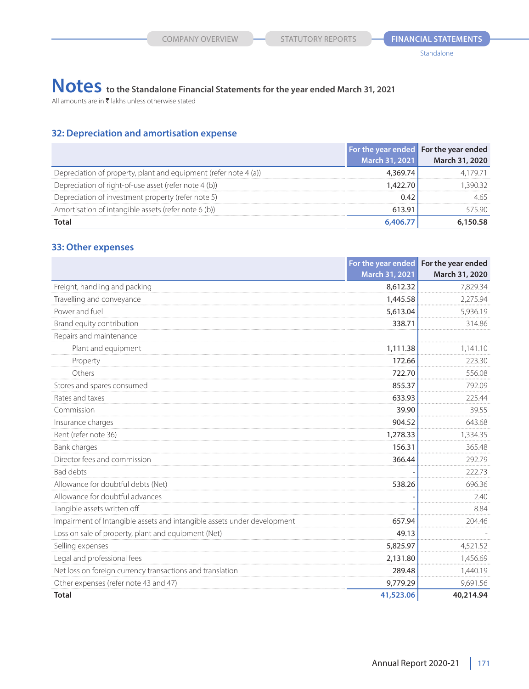# Notes to the Standalone Financial Statements for the year ended March 31, 2021

All amounts are in  $\bar{\tau}$  lakhs unless otherwise stated

# **32: Depreciation and amortisation expense**

|                                                                  | For the year ended For the year ended |                |
|------------------------------------------------------------------|---------------------------------------|----------------|
|                                                                  | March 31, 2021                        | March 31, 2020 |
| Depreciation of property, plant and equipment (refer note 4 (a)) | 4.369.74                              |                |
| Depreciation of right-of-use asset (refer note 4 (b))            |                                       |                |
| Depreciation of investment property (refer note 5)               |                                       |                |
| Amortisation of intangible assets (refer note 6 (b))             | 613.91                                | 575.90.        |
| Total                                                            |                                       |                |

# **33: Other expenses**

|                                                                         | For the year ended | For the year ended |
|-------------------------------------------------------------------------|--------------------|--------------------|
|                                                                         | March 31, 2021     | March 31, 2020     |
| Freight, handling and packing                                           | 8,612.32           | 7.829.34           |
| Travelling and conveyance                                               | 1,445.58           | 2,275.94           |
| Power and fuel                                                          | 5,613.04           | 5,936.19           |
| Brand equity contribution                                               | 338.71             | 314.86             |
| Repairs and maintenance                                                 |                    |                    |
| Plant and equipment                                                     | 1,111.38           | 1,141.10           |
| Property                                                                | 172.66             | 223.30             |
| Others                                                                  | 722.70             | 556.08             |
| Stores and spares consumed                                              | 855.37             | 792.09             |
| Rates and taxes                                                         | 633.93             | 225.44             |
| Commission                                                              | 39.90              | 39.55              |
| Insurance charges                                                       | 904.52             | 643.68             |
| Rent (refer note 36)                                                    | 1,278.33           | 1,334.35           |
| Bank charges                                                            | 156.31             | 365.48             |
| Director fees and commission                                            | 366.44             | 292.79             |
| <b>Bad debts</b>                                                        |                    | 222.73             |
| Allowance for doubtful debts (Net)                                      | 538.26             | 696.36             |
| Allowance for doubtful advances                                         |                    | 2.40               |
| Tangible assets written off                                             |                    | 8.84               |
| Impairment of Intangible assets and intangible assets under development | 657.94             | 204.46             |
| Loss on sale of property, plant and equipment (Net)                     | 49.13              |                    |
| Selling expenses                                                        | 5,825.97           | 4,521.52           |
| Legal and professional fees                                             | 2,131.80           | 1,456.69           |
| Net loss on foreign currency transactions and translation               | 289.48             | 1,440.19           |
| Other expenses (refer note 43 and 47)                                   | 9,779.29           | 9,691.56           |
| <b>Total</b>                                                            | 41,523.06          | 40,214.94          |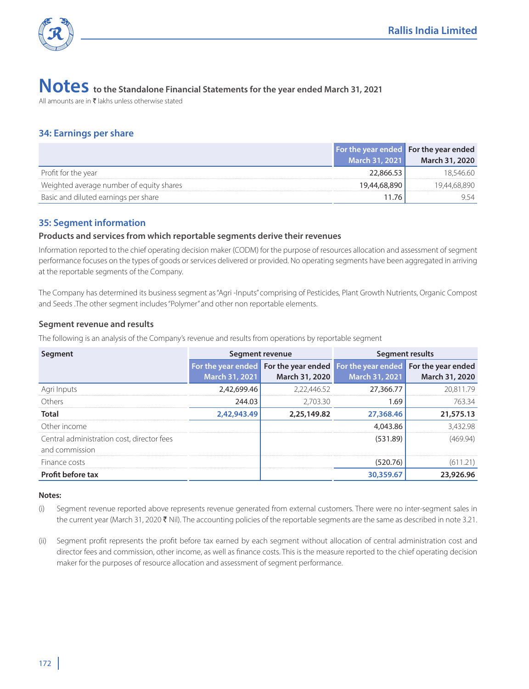

All amounts are in  $\bar{\tau}$  lakhs unless otherwise stated

# **34: Earnings per share**

|                                          | For the year ended For the year ended |                |
|------------------------------------------|---------------------------------------|----------------|
|                                          | March 31, 2021                        | March 31, 2020 |
| Profit for the year                      | 22.866.53                             | 18.546.60      |
| Weighted average number of equity shares | 19.44.68.890                          |                |
| Basic and diluted earnings per share     | 11.76                                 |                |

# **35: Segment information**

## **Products and services from which reportable segments derive their revenues**

Information reported to the chief operating decision maker (CODM) for the purpose of resources allocation and assessment of segment performance focuses on the types of goods or services delivered or provided. No operating segments have been aggregated in arriving at the reportable segments of the Company.

The Company has determined its business segment as "Agri -Inputs" comprising of Pesticides, Plant Growth Nutrients, Organic Compost and Seeds .The other segment includes "Polymer" and other non reportable elements.

## **Segment revenue and results**

The following is an analysis of the Company's revenue and results from operations by reportable segment

| Segment                                    | Segment revenue |                                                                             | <b>Segment results</b> |                |
|--------------------------------------------|-----------------|-----------------------------------------------------------------------------|------------------------|----------------|
|                                            |                 | For the year ended For the year ended For the year ended For the year ended |                        |                |
|                                            | March 31, 2021  | March 31, 2020                                                              | March 31, 2021         | March 31, 2020 |
| Agri Inputs                                | 2.42.699.46     | 2.22.446.52                                                                 | 27,366,77              | 20.811.79      |
| Others                                     | 244.03          | 2.703.30                                                                    | 1.69                   | 763.34         |
| Total                                      | 2,42,943.49     | 2,25,149.82                                                                 | 27,368,46              | 21,575.13      |
| Other income                               |                 |                                                                             | 4.043.86               | 3.432.98       |
| Central administration cost, director fees |                 |                                                                             | (531.89)               | (469.94)       |
| and commission                             |                 |                                                                             |                        |                |
| Finance costs                              |                 |                                                                             | (520.76)               | (611.21)       |
| <b>Profit before tax</b>                   |                 |                                                                             | 30,359.67              | 23,926.96      |

### **Notes:**

- (i) Segment revenue reported above represents revenue generated from external customers. There were no inter-segment sales in the current year (March 31, 2020 ₹ Nil). The accounting policies of the reportable segments are the same as described in note 3.21.
- (ii) Segment profit represents the profit before tax earned by each segment without allocation of central administration cost and director fees and commission, other income, as well as finance costs. This is the measure reported to the chief operating decision maker for the purposes of resource allocation and assessment of segment performance.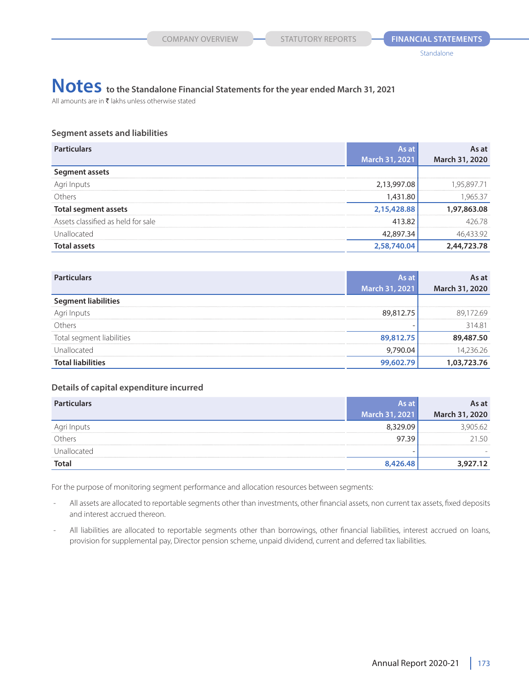# **Notes to the Standalone Financial Statements for the year ended March 31, 2021**

All amounts are in  $\bar{\tau}$  lakhs unless otherwise stated

### **Segment assets and liabilities**

| <b>Particulars</b>                 | As at          | As at          |
|------------------------------------|----------------|----------------|
|                                    | March 31, 2021 | March 31, 2020 |
| Segment assets                     |                |                |
| Agri Inputs                        | 2,13,997.08    | -95.897.71     |
| Others                             | 1,431.80       | 96537          |
| Total segment assets               | 2,15,428.88    | 1,97,863.08    |
| Assets classified as held for sale | 413.82         | 426.78         |
| Unallocated                        | 42,897.34      | 46,433.92      |
| <b>Total assets</b>                | 2,58,740,04    | 2,44,723.78    |

| <b>Particulars</b>         |                | s at           |
|----------------------------|----------------|----------------|
|                            | March 31, 2021 | March 31, 2020 |
| <b>Segment liabilities</b> |                |                |
|                            | 89.81275       |                |
| Others                     |                | 31481          |
| Total segment liabilities  | 89.812.75      | 89,487.50      |
| Unallocated                | 790.04         | .236.26        |
| <b>Total liabilities</b>   |                | -76            |

### **Details of capital expenditure incurred**

| iculars      | As at                 | at             |
|--------------|-----------------------|----------------|
|              | <b>March 31, 2021</b> | March 31, 2020 |
|              |                       |                |
| .)thers      | 97 39                 | 50             |
| Jnallocated. | -                     |                |
| Total        | 8.426.48              | 3,927.12       |

For the purpose of monitoring segment performance and allocation resources between segments:

- All assets are allocated to reportable segments other than investments, other financial assets, non current tax assets, fixed deposits and interest accrued thereon.
- All liabilities are allocated to reportable segments other than borrowings, other financial liabilities, interest accrued on loans, provision for supplemental pay, Director pension scheme, unpaid dividend, current and deferred tax liabilities.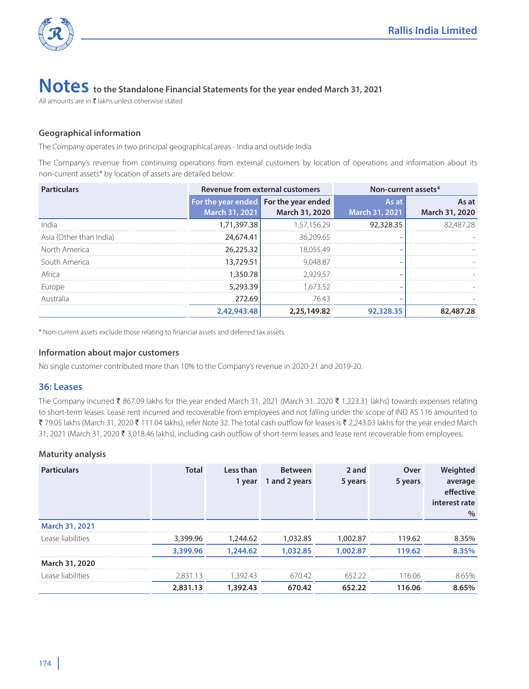

All amounts are in  $\bar{\tau}$  lakhs unless otherwise stated

### **Geographical information**

The Company operates in two principal geographical areas - India and outside India

The Company's revenue from continuing operations from external customers by location of operations and information about its non-current assets\* by location of assets are detailed below:

| <b>Particulars</b>      | Revenue from external customers |                                       | Non-current assets*   |                |
|-------------------------|---------------------------------|---------------------------------------|-----------------------|----------------|
|                         |                                 | For the year ended For the year ended | As at                 | As at          |
|                         | March 31, 2021                  | March 31, 2020                        | <b>March 31, 2021</b> | March 31, 2020 |
| India                   | 1.71.397.38                     | 1.57.156.29                           | 92,328.35             | 82.487.28      |
| Asia (Other than India) | 24,674.41                       | 36.209.65                             |                       |                |
| North America           | 26,225.32                       | 18.05549                              |                       |                |
| South America           | 13,729.51                       | 9.048.87                              |                       |                |
| Africa                  | 1.350.78                        | 2.929.57                              |                       |                |
| Europe                  | 5,293.39                        | 1.673.52                              |                       |                |
| Australia               | 272.69                          | 76.43                                 |                       |                |
|                         | 2.42,943.48                     | 2,25,149.82                           | 92,328.35             | 82,487.28      |

\* Non-current assets exclude those relating to financial assets and deferred tax assets.

### **Information about major customers**

No single customer contributed more than 10% to the Company's revenue in 2020-21 and 2019-20.

### **36: Leases**

The Company incurred  $\bar{\xi}$  867.09 lakhs for the year ended March 31, 2021 (March 31, 2020  $\bar{\xi}$  1,223.31 lakhs) towards expenses relating to short-term leases. Lease rent incurred and recoverable from employees and not falling under the scope of IND AS 116 amounted to ₹ 79.05 lakhs (March 31, 2020 ₹ 111.04 lakhs), refer Note 32. The total cash outflow for leases is ₹ 2,243.03 lakhs for the year ended March 31, 2021 (March 31, 2020 ₹ 3,018.46 lakhs), including cash outflow of short-term leases and lease rent recoverable from employees.

### **Maturity analysis**

| <b>Particulars</b>    | <b>Total</b> | Less than<br>1 year | <b>Between</b><br>1 and 2 years | 2 and<br>5 years | Over<br>5 years | Weighted<br>average<br>effective<br>interest rate<br>$\%$ |
|-----------------------|--------------|---------------------|---------------------------------|------------------|-----------------|-----------------------------------------------------------|
| <b>March 31, 2021</b> |              |                     |                                 |                  |                 |                                                           |
| Lease liabilities     | 3,399.96     | 1,244.62            | 1.032.85                        | 1.002.87         | 119.62          | 8.35%                                                     |
|                       | 3,399.96     | 1,244.62            | 1.032.85                        | 1.002.87         | 119.62          | 8.35%                                                     |
| March 31, 2020        |              |                     |                                 |                  |                 |                                                           |
| Lease liabilities     | 2.831.13     | 1.392.43            | 670.42                          | 65222            | 116.06          | 8.65%                                                     |
|                       | 2,831.13     | 1,392.43            | 670.42                          | 652.22           | 116.06          | 8.65%                                                     |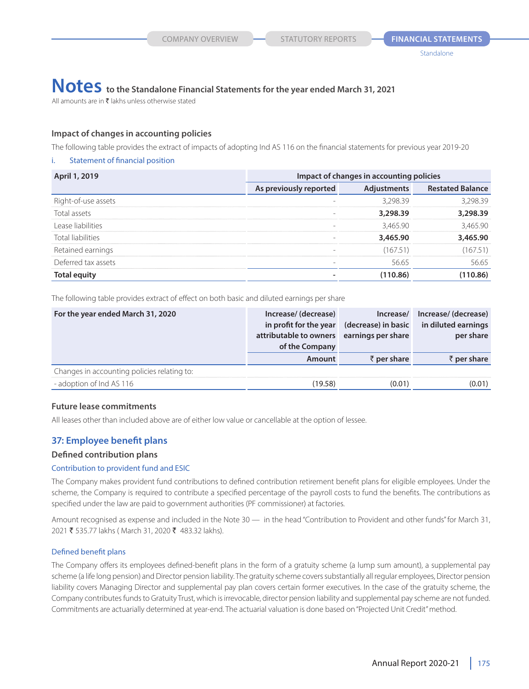All amounts are in  $\bar{\tau}$  lakhs unless otherwise stated

### **Impact of changes in accounting policies**

The following table provides the extract of impacts of adopting Ind AS 116 on the financial statements for previous year 2019-20

#### i. Statement of financial position

| <b>April 1, 2019</b> | Impact of changes in accounting policies |          |                              |  |
|----------------------|------------------------------------------|----------|------------------------------|--|
|                      | As previously reported                   |          | Adjustments Restated Balance |  |
| Right-of-use assets  |                                          | 3 298 39 |                              |  |
| Total assets         |                                          | 3,298.39 | .298.39                      |  |
| ease liabilities     |                                          | 346590   | 346590                       |  |
| Total liabilities    |                                          | 3,465.90 | 3.465.90                     |  |
| Retained earnings    |                                          | (167.51) |                              |  |
| Deferred tax assets  |                                          | 5665     | 6.65                         |  |
|                      |                                          |          |                              |  |

The following table provides extract of effect on both basic and diluted earnings per share

| For the year ended March 31, 2020           | Increase/ (decrease)                      |                     | Increase/ Increase/ (decrease)                                 |
|---------------------------------------------|-------------------------------------------|---------------------|----------------------------------------------------------------|
|                                             |                                           |                     | in profit for the year (decrease) in basic in diluted earnings |
|                                             | attributable to owners earnings per share |                     | per share                                                      |
|                                             | of the Company                            |                     |                                                                |
|                                             | Amount                                    | $\bar{z}$ per share | $\bar{z}$ per share                                            |
| Changes in accounting policies relating to: |                                           |                     |                                                                |
| - adoption of Ind AS 116                    | (19.58)                                   | 0.01                | (0.01)                                                         |

### **Future lease commitments**

All leases other than included above are of either low value or cancellable at the option of lessee.

# **37: Employee benefit plans**

### **Defined contribution plans**

#### Contribution to provident fund and ESIC

The Company makes provident fund contributions to defined contribution retirement benefit plans for eligible employees. Under the scheme, the Company is required to contribute a specified percentage of the payroll costs to fund the benefits. The contributions as specified under the law are paid to government authorities (PF commissioner) at factories.

Amount recognised as expense and included in the Note 30 — in the head "Contribution to Provident and other funds" for March 31, 2021 ₹ 535.77 lakhs ( March 31, 2020 ₹ 483.32 lakhs).

#### Defined benefit plans

The Company offers its employees defined-benefit plans in the form of a gratuity scheme (a lump sum amount), a supplemental pay scheme (a life long pension) and Director pension liability. The gratuity scheme covers substantially all regular employees, Director pension liability covers Managing Director and supplemental pay plan covers certain former executives. In the case of the gratuity scheme, the Company contributes funds to Gratuity Trust, which is irrevocable, director pension liability and supplemental pay scheme are not funded. Commitments are actuarially determined at year-end. The actuarial valuation is done based on "Projected Unit Credit" method.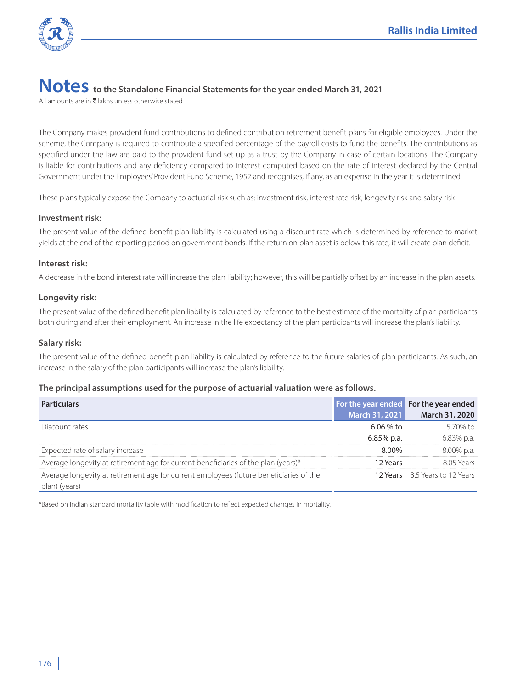

All amounts are in  $\bar{\tau}$  lakhs unless otherwise stated

The Company makes provident fund contributions to defined contribution retirement benefit plans for eligible employees. Under the scheme, the Company is required to contribute a specified percentage of the payroll costs to fund the benefits. The contributions as specified under the law are paid to the provident fund set up as a trust by the Company in case of certain locations. The Company is liable for contributions and any deficiency compared to interest computed based on the rate of interest declared by the Central Government under the Employees' Provident Fund Scheme, 1952 and recognises, if any, as an expense in the year it is determined.

These plans typically expose the Company to actuarial risk such as: investment risk, interest rate risk, longevity risk and salary risk

### **Investment risk:**

The present value of the defined benefit plan liability is calculated using a discount rate which is determined by reference to market yields at the end of the reporting period on government bonds. If the return on plan asset is below this rate, it will create plan deficit.

### **Interest risk:**

A decrease in the bond interest rate will increase the plan liability; however, this will be partially offset by an increase in the plan assets.

### **Longevity risk:**

The present value of the defined benefit plan liability is calculated by reference to the best estimate of the mortality of plan participants both during and after their employment. An increase in the life expectancy of the plan participants will increase the plan's liability.

### **Salary risk:**

The present value of the defined benefit plan liability is calculated by reference to the future salaries of plan participants. As such, an increase in the salary of the plan participants will increase the plan's liability.

### **The principal assumptions used for the purpose of actuarial valuation were as follows.**

| <b>Particulars</b>                                                                                      | For the year ended For the year ended |                                |
|---------------------------------------------------------------------------------------------------------|---------------------------------------|--------------------------------|
|                                                                                                         | March 31, 2021                        | March 31, 2020                 |
| Discount rates                                                                                          | $6.06%$ to                            | 5.70% to                       |
|                                                                                                         | 6.85% p.a.                            | 6.83% p.a.                     |
| Expected rate of salary increase                                                                        | 8.00%                                 | $8.00\%$ p.a.                  |
| Average longevity at retirement age for current beneficiaries of the plan (years)*                      | 12 Years                              | 8.05 Years                     |
| Average longevity at retirement age for current employees (future beneficiaries of the<br>plan) (years) |                                       | 12 Years 3.5 Years to 12 Years |

\*Based on Indian standard mortality table with modification to reflect expected changes in mortality.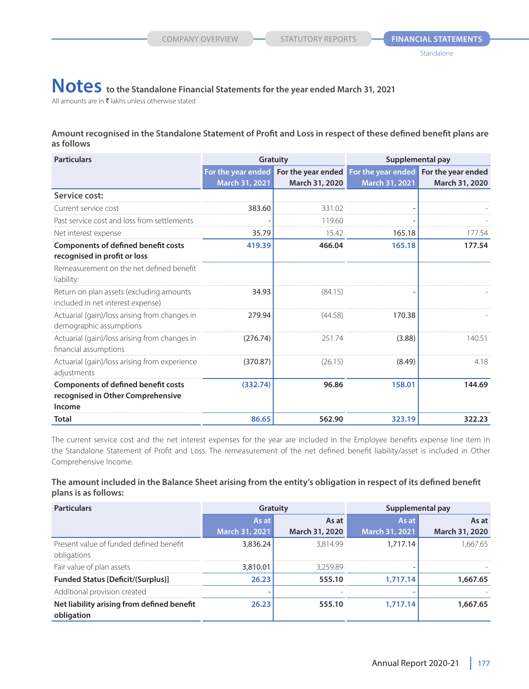All amounts are in  $\bar{\tau}$  lakhs unless otherwise stated

**Amount recognised in the Standalone Statement of Profit and Loss in respect of these defined benefit plans are as follows**

| <b>Particulars</b>                                                                        | Gratuity           |                    | Supplemental pay   |                    |  |
|-------------------------------------------------------------------------------------------|--------------------|--------------------|--------------------|--------------------|--|
|                                                                                           | For the year ended | For the year ended | For the year ended | For the year ended |  |
|                                                                                           | March 31, 2021     | March 31, 2020     | March 31, 2021     | March 31, 2020     |  |
| Service cost:                                                                             |                    |                    |                    |                    |  |
| Current service cost                                                                      | 383.60             | 331.02             |                    |                    |  |
| Past service cost and loss from settlements                                               |                    | 119.60             |                    |                    |  |
| Net interest expense                                                                      | 35.79              | 15.42              | 165.18             | 177.54             |  |
| <b>Components of defined benefit costs</b><br>recognised in profit or loss                | 419.39             | 466.04             | 165.18             | 177.54             |  |
| Remeasurement on the net defined benefit<br>liability:                                    |                    |                    |                    |                    |  |
| Return on plan assets (excluding amounts<br>included in net interest expense)             | 34.93              | (84.15)            |                    |                    |  |
| Actuarial (gain)/loss arising from changes in<br>demographic assumptions                  | 279.94             | (44.58)            | 170.38             |                    |  |
| Actuarial (gain)/loss arising from changes in<br>financial assumptions                    | (276.74)           | 251.74             | (3.88)             | 140.51             |  |
| Actuarial (gain)/loss arising from experience<br>adjustments                              | (370.87)           | (26.15)            | (8.49)             | 4.18               |  |
| <b>Components of defined benefit costs</b><br>recognised in Other Comprehensive<br>Income | (332.74)           | 96.86              | 158.01             | 144.69             |  |
| Total                                                                                     | 86.65              | 562.90             | 323.19             | 322.23             |  |

The current service cost and the net interest expenses for the year are included in the Employee benefits expense line item in the Standalone Statement of Profit and Loss. The remeasurement of the net defined benefit liability/asset is included in Other Comprehensive Income.

### **The amount included in the Balance Sheet arising from the entity's obligation in respect of its defined benefit plans is as follows:**

| <b>Particulars</b>                                       | Gratuity              |                | Supplemental pay |                |  |
|----------------------------------------------------------|-----------------------|----------------|------------------|----------------|--|
|                                                          | As at                 | As at          | As at            | As at          |  |
|                                                          | <b>March 31, 2021</b> | March 31, 2020 | March 31, 2021   | March 31, 2020 |  |
| Present value of funded defined benefit<br>obligations   | 3,836.24              | 3.814.99       | 1.717.14         | .667.65        |  |
| Fair value of plan assets                                | 3,810.01              | 3.259.89       |                  |                |  |
| <b>Funded Status [Deficit/(Surplus)]</b>                 | 26.23                 | 555.10         | 1,717.14         | 1,667.65       |  |
| Additional provision created                             |                       |                |                  |                |  |
| Net liability arising from defined benefit<br>obligation | 26.23                 | 555.10         | 1,717.14         | 1,667.65       |  |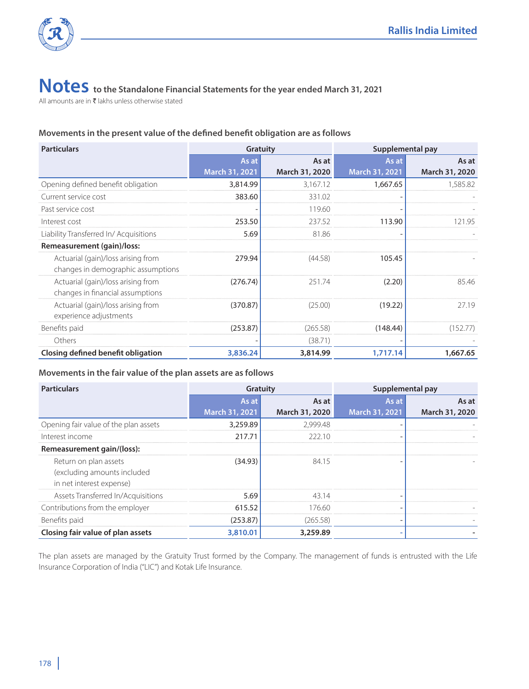

All amounts are in  $\bar{\tau}$  lakhs unless otherwise stated

## **Movements in the present value of the defined benefit obligation are as follows**

| <b>Particulars</b>                                                       | Gratuity       |                | Supplemental pay |                |  |
|--------------------------------------------------------------------------|----------------|----------------|------------------|----------------|--|
|                                                                          | As at          | As at          | As at            | As at          |  |
|                                                                          | March 31, 2021 | March 31, 2020 | March 31, 2021   | March 31, 2020 |  |
| Opening defined benefit obligation                                       | 3,814.99       | 3,167.12       | 1,667.65         | 1,585.82       |  |
| Current service cost                                                     | 383.60         | 331.02         |                  |                |  |
| Past service cost                                                        |                | 119.60         |                  |                |  |
| Interest cost                                                            | 253.50         | 237.52         | 113.90           | 121.95         |  |
| Liability Transferred In/Acquisitions                                    | 5.69           | 81.86          |                  |                |  |
| Remeasurement (gain)/loss:                                               |                |                |                  |                |  |
| Actuarial (gain)/loss arising from<br>changes in demographic assumptions | 279.94         | (44.58)        | 105.45           |                |  |
| Actuarial (gain)/loss arising from<br>changes in financial assumptions   | (276.74)       | 251.74         | (2.20)           | 85.46          |  |
| Actuarial (gain)/loss arising from<br>experience adjustments             | (370.87)       | (25.00)        | (19.22)          | 27.19          |  |
| Benefits paid                                                            | (253.87)       | (265.58)       | (148.44)         | (152.77)       |  |
| Others                                                                   |                | (38.71)        |                  |                |  |
| Closing defined benefit obligation                                       | 3,836.24       | 3,814.99       | 1,717.14         | 1,667.65       |  |

# **Movements in the fair value of the plan assets are as follows**

| <b>Particulars</b>                                                               | Gratuity       |                | Supplemental pay         |                |  |
|----------------------------------------------------------------------------------|----------------|----------------|--------------------------|----------------|--|
|                                                                                  | As at          | As at          | As at                    | As at          |  |
|                                                                                  | March 31, 2021 | March 31, 2020 | March 31, 2021           | March 31, 2020 |  |
| Opening fair value of the plan assets                                            | 3,259.89       | 2.999.48       |                          |                |  |
| Interest income                                                                  | 217.71         | 222.10         |                          |                |  |
| Remeasurement gain/(loss):                                                       |                |                |                          |                |  |
| Return on plan assets<br>(excluding amounts included<br>in net interest expense) | (34.93)        | 84.15          |                          |                |  |
| Assets Transferred In/Acquisitions                                               | 5.69           | 43 14          | $\overline{\phantom{a}}$ |                |  |
| Contributions from the employer                                                  | 615.52         | 176.60         |                          |                |  |
| Benefits paid                                                                    | (253.87)       | (265.58)       |                          |                |  |
| Closing fair value of plan assets                                                | 3,810.01       | 3,259.89       |                          |                |  |

The plan assets are managed by the Gratuity Trust formed by the Company. The management of funds is entrusted with the Life Insurance Corporation of India ("LIC") and Kotak Life Insurance.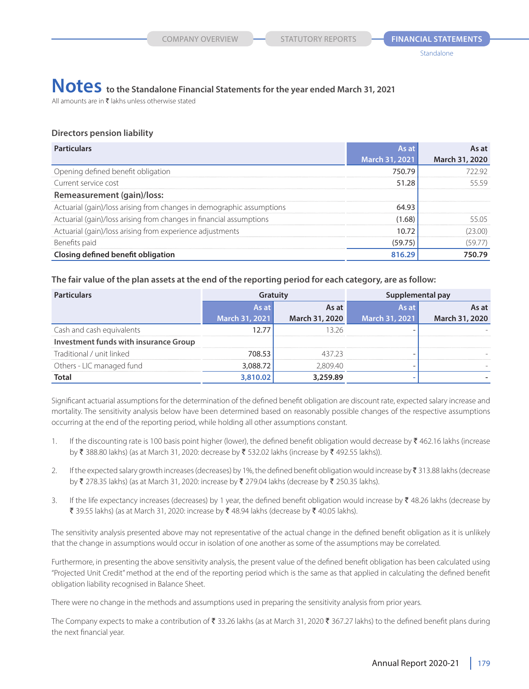# **Notes** to the Standalone Financial Statements for the year ended March 31, 2021

All amounts are in  $\bar{\tau}$  lakhs unless otherwise stated

### **Directors pension liability**

| <b>Particulars</b>                                                    | As at          | As at          |
|-----------------------------------------------------------------------|----------------|----------------|
|                                                                       | March 31, 2021 | March 31, 2020 |
| Opening defined benefit obligation                                    | 750.79         | 722 92         |
| Current service cost                                                  | 51 28          | 55 59          |
| Remeasurement (gain)/loss:                                            |                |                |
| Actuarial (gain)/loss arising from changes in demographic assumptions | 64.93          |                |
| Actuarial (gain)/loss arising from changes in financial assumptions   | (1.68)         | 55 05          |
| Actuarial (gain)/loss arising from experience adjustments             | 10.72          | 23.00)         |
| Benefits paid                                                         | (59.75)        | (59.77)        |
| Closing defined benefit obligation                                    | 816.29         | 750 79         |

**The fair value of the plan assets at the end of the reporting period for each category, are as follow:**

| iculars                               |                |                       | Supplemental pay |                |
|---------------------------------------|----------------|-----------------------|------------------|----------------|
|                                       | As at<br>As at |                       |                  |                |
|                                       | March 31, 2021 | <b>March 31, 2020</b> | March 31, 2021   | March 31, 2020 |
| Cash and cash equivalents             |                |                       |                  |                |
| Investment funds with insurance Group |                |                       |                  |                |
| Traditional / unit linked             | 708 53         | 437.23                |                  |                |
| Others - LIC managed fund             | 3.088.72       |                       |                  |                |
| Total                                 |                | 3.259.89              |                  |                |

Significant actuarial assumptions for the determination of the defined benefit obligation are discount rate, expected salary increase and mortality. The sensitivity analysis below have been determined based on reasonably possible changes of the respective assumptions occurring at the end of the reporting period, while holding all other assumptions constant.

- 1. If the discounting rate is 100 basis point higher (lower), the defined benefit obligation would decrease by  $\bar{\tau}$  462.16 lakhs (increase by ₹ 388.80 lakhs) (as at March 31, 2020: decrease by ₹ 532.02 lakhs (increase by ₹ 492.55 lakhs)).
- 2. If the expected salary growth increases (decreases) by 1%, the defined benefit obligation would increase by  $\bar{\tau}$  313.88 lakhs (decrease by ₹ 278.35 lakhs) (as at March 31, 2020: increase by ₹ 279.04 lakhs (decrease by ₹ 250.35 lakhs).
- 3. If the life expectancy increases (decreases) by 1 year, the defined benefit obligation would increase by  $\bar{\tau}$  48.26 lakhs (decrease by ₹ 39.55 lakhs) (as at March 31, 2020: increase by ₹ 48.94 lakhs (decrease by ₹ 40.05 lakhs).

The sensitivity analysis presented above may not representative of the actual change in the defined benefit obligation as it is unlikely that the change in assumptions would occur in isolation of one another as some of the assumptions may be correlated.

Furthermore, in presenting the above sensitivity analysis, the present value of the defined benefit obligation has been calculated using "Projected Unit Credit" method at the end of the reporting period which is the same as that applied in calculating the defined benefit obligation liability recognised in Balance Sheet.

There were no change in the methods and assumptions used in preparing the sensitivity analysis from prior years.

The Company expects to make a contribution of ₹ 33.26 lakhs (as at March 31, 2020 ₹ 367.27 lakhs) to the defined benefit plans during the next financial year.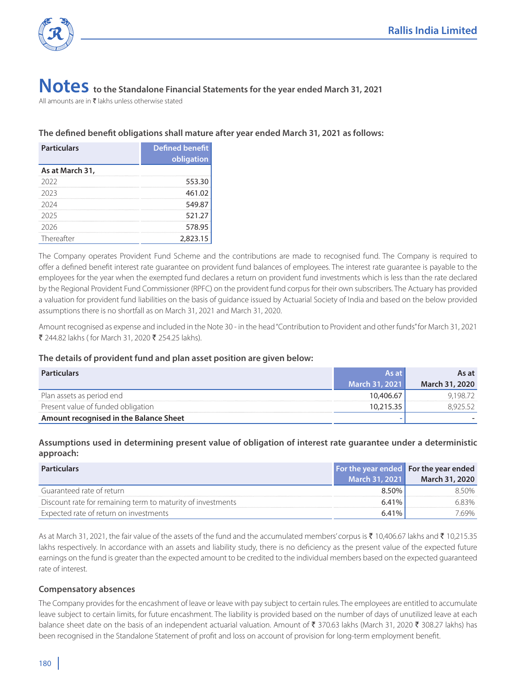

All amounts are in  $\bar{\tau}$  lakhs unless otherwise stated

## **The defined benefit obligations shall mature after year ended March 31, 2021 as follows:**

| <b>Particulars</b> | Defined benefit<br>obligation |
|--------------------|-------------------------------|
| As at March 31,    |                               |
| 2022               | 553.30                        |
| 2023               | 461.02                        |
| 2024               | 549.87                        |
| 2025               | 521.27                        |
| 2026               | 578.95                        |
| Thereafter         | 2,823.15                      |

The Company operates Provident Fund Scheme and the contributions are made to recognised fund. The Company is required to offer a defined benefit interest rate guarantee on provident fund balances of employees. The interest rate guarantee is payable to the employees for the year when the exempted fund declares a return on provident fund investments which is less than the rate declared by the Regional Provident Fund Commissioner (RPFC) on the provident fund corpus for their own subscribers. The Actuary has provided a valuation for provident fund liabilities on the basis of guidance issued by Actuarial Society of India and based on the below provided assumptions there is no shortfall as on March 31, 2021 and March 31, 2020.

Amount recognised as expense and included in the Note 30 - in the head "Contribution to Provident and other funds" for March 31, 2021 ₹ 244.82 lakhs ( for March 31, 2020 ₹ 254.25 lakhs).

# **The details of provident fund and plan asset position are given below:**

| <b>Particulars</b>                     | As at                 | As at          |
|----------------------------------------|-----------------------|----------------|
|                                        | <b>March 31, 2021</b> | March 31, 2020 |
| Plan assets as period end              | 10.406.67             | 9.198.72       |
| Present value of funded obligation     | 10.215.35             |                |
| Amount recognised in the Balance Sheet |                       |                |

## **Assumptions used in determining present value of obligation of interest rate guarantee under a deterministic approach:**

| <b>Particulars</b>                                          |                | For the year ended For the year ended |
|-------------------------------------------------------------|----------------|---------------------------------------|
|                                                             | March 31, 2021 | March 31, 2020                        |
| Guaranteed rate of return                                   | 8 50%          | 50%                                   |
| Discount rate for remaining term to maturity of investments | 641%           | ร 83%                                 |
| Expected rate of return on investments                      | 6.41%          | 69%                                   |

As at March 31, 2021, the fair value of the assets of the fund and the accumulated members' corpus is ₹ 10,406.67 lakhs and ₹ 10,215.35 lakhs respectively. In accordance with an assets and liability study, there is no deficiency as the present value of the expected future earnings on the fund is greater than the expected amount to be credited to the individual members based on the expected guaranteed rate of interest.

### **Compensatory absences**

The Company provides for the encashment of leave or leave with pay subject to certain rules. The employees are entitled to accumulate leave subject to certain limits, for future encashment. The liability is provided based on the number of days of unutilized leave at each balance sheet date on the basis of an independent actuarial valuation. Amount of ₹ 370.63 lakhs (March 31, 2020 ₹ 308.27 lakhs) has been recognised in the Standalone Statement of profit and loss on account of provision for long-term employment benefit.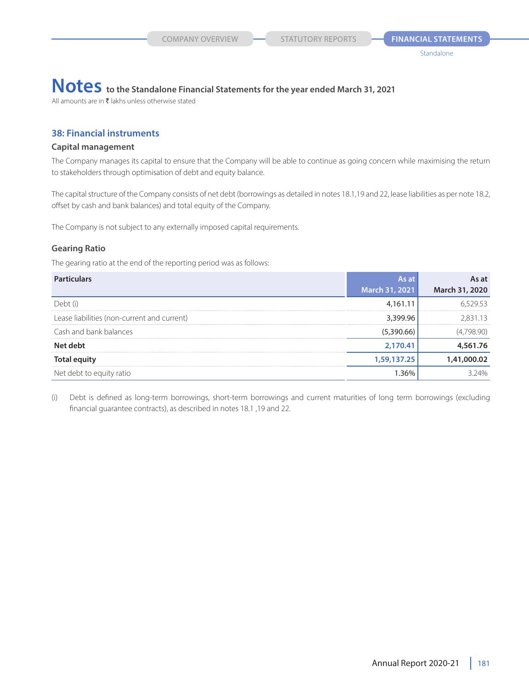All amounts are in  $\bar{\tau}$  lakhs unless otherwise stated

### **38: Financial instruments**

### **Capital management**

The Company manages its capital to ensure that the Company will be able to continue as going concern while maximising the return to stakeholders through optimisation of debt and equity balance.

The capital structure of the Company consists of net debt (borrowings as detailed in notes 18.1,19 and 22, lease liabilities as per note 18.2, offset by cash and bank balances) and total equity of the Company.

The Company is not subject to any externally imposed capital requirements.

### **Gearing Ratio**

The gearing ratio at the end of the reporting period was as follows:

| <b>Particulars</b>                          | As at          | As at          |
|---------------------------------------------|----------------|----------------|
|                                             | March 31, 2021 | March 31, 2020 |
| Debt (i)                                    | 4.161.11       | 29.53          |
| Lease liabilities (non-current and current) | 3.399.96       | 283113         |
| Cash and bank balances                      | (5.390.66)     | .798.90)       |
| Net debt                                    | 2,170.41       | 4,561.76       |
| <b>Total equity</b>                         | 1,59,137.25    | 1,41,000.02    |
| Net debt to equity ratio                    | 36%            | 3 24%          |

(i) Debt is defined as long-term borrowings, short-term borrowings and current maturities of long term borrowings (excluding financial guarantee contracts), as described in notes 18.1 ,19 and 22.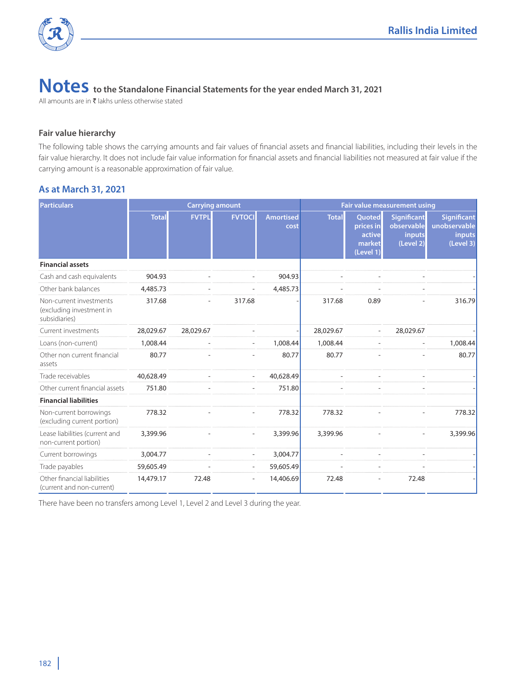

All amounts are in  $\bar{\tau}$  lakhs unless otherwise stated

### **Fair value hierarchy**

The following table shows the carrying amounts and fair values of financial assets and financial liabilities, including their levels in the fair value hierarchy. It does not include fair value information for financial assets and financial liabilities not measured at fair value if the carrying amount is a reasonable approximation of fair value.

# **As at March 31, 2021**

| <b>Particulars</b>                                                   |              |              | <b>Carrying amount</b><br>Fair value measurement using |                          |              |                                                     |                                                         |                                                    |
|----------------------------------------------------------------------|--------------|--------------|--------------------------------------------------------|--------------------------|--------------|-----------------------------------------------------|---------------------------------------------------------|----------------------------------------------------|
|                                                                      | <b>Total</b> | <b>FVTPL</b> | <b>FVTOCI</b>                                          | <b>Amortised</b><br>cost | <b>Total</b> | Quoted<br>prices in<br>active<br>market<br>(Level 1 | <b>Significant</b><br>observable<br>inputs<br>(Level 2) | Significant<br>unobservable<br>inputs<br>(Level 3) |
| <b>Financial assets</b>                                              |              |              |                                                        |                          |              |                                                     |                                                         |                                                    |
| Cash and cash equivalents                                            | 904.93       |              |                                                        | 904.93                   |              |                                                     |                                                         |                                                    |
| Other bank balances                                                  | 4,485.73     |              |                                                        | 4,485.73                 |              |                                                     |                                                         |                                                    |
| Non-current investments<br>(excluding investment in<br>subsidiaries) | 317.68       |              | 317.68                                                 |                          | 317.68       | 0.89                                                |                                                         | 316.79                                             |
| Current investments                                                  | 28,029.67    | 28,029.67    |                                                        |                          | 28,029.67    |                                                     | 28,029.67                                               |                                                    |
| Loans (non-current)                                                  | 1,008.44     |              |                                                        | 1,008.44                 | 1,008.44     |                                                     |                                                         | 1,008.44                                           |
| Other non current financial<br>assets                                | 80.77        |              |                                                        | 80.77                    | 80.77        |                                                     |                                                         | 80.77                                              |
| Trade receivables                                                    | 40,628.49    |              |                                                        | 40,628.49                |              |                                                     |                                                         |                                                    |
| Other current financial assets                                       | 751.80       |              |                                                        | 751.80                   |              |                                                     |                                                         |                                                    |
| <b>Financial liabilities</b>                                         |              |              |                                                        |                          |              |                                                     |                                                         |                                                    |
| Non-current borrowings<br>(excluding current portion)                | 778.32       |              |                                                        | 778.32                   | 778.32       |                                                     |                                                         | 778.32                                             |
| Lease liabilities (current and<br>non-current portion)               | 3,399.96     |              |                                                        | 3,399.96                 | 3,399.96     |                                                     |                                                         | 3,399.96                                           |
| Current borrowings                                                   | 3,004.77     |              |                                                        | 3,004.77                 |              |                                                     |                                                         |                                                    |
| Trade payables                                                       | 59,605.49    |              | $\overline{a}$                                         | 59,605.49                |              |                                                     |                                                         |                                                    |
| Other financial liabilities<br>(current and non-current)             | 14,479.17    | 72.48        |                                                        | 14,406.69                | 72.48        |                                                     | 72.48                                                   |                                                    |

There have been no transfers among Level 1, Level 2 and Level 3 during the year.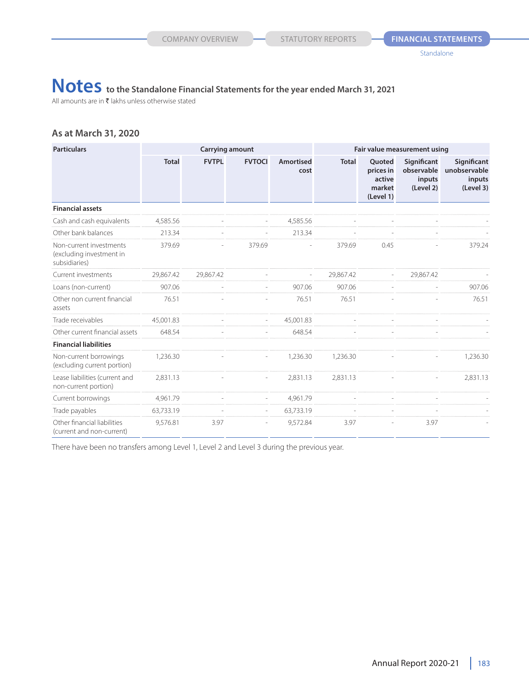All amounts are in  $\bar{\tau}$  lakhs unless otherwise stated

### **As at March 31, 2020**

| <b>Particulars</b>                                                   |              |              | <b>Carrying amount</b> |                   | Fair value measurement using |                                                             |                                                  |                                                    |
|----------------------------------------------------------------------|--------------|--------------|------------------------|-------------------|------------------------------|-------------------------------------------------------------|--------------------------------------------------|----------------------------------------------------|
|                                                                      | <b>Total</b> | <b>FVTPL</b> | <b>FVTOCI</b>          | Amortised<br>cost | <b>Total</b>                 | <b>Ouoted</b><br>prices in<br>active<br>market<br>(Level 1) | Significant<br>observable<br>inputs<br>(Level 2) | Significant<br>unobservable<br>inputs<br>(Level 3) |
| <b>Financial assets</b>                                              |              |              |                        |                   |                              |                                                             |                                                  |                                                    |
| Cash and cash equivalents                                            | 4,585.56     |              |                        | 4,585.56          |                              |                                                             |                                                  |                                                    |
| Other bank balances                                                  | 213.34       |              |                        | 213.34            |                              |                                                             |                                                  |                                                    |
| Non-current investments<br>(excluding investment in<br>subsidiaries) | 379.69       |              | 379.69                 |                   | 379.69                       | 0.45                                                        |                                                  | 379.24                                             |
| Current investments                                                  | 29,867.42    | 29,867.42    |                        |                   | 29,867.42                    |                                                             | 29,867.42                                        |                                                    |
| Loans (non-current)                                                  | 907.06       |              |                        | 907.06            | 907.06                       |                                                             |                                                  | 907.06                                             |
| Other non current financial<br>assets                                | 76.51        |              |                        | 76.51             | 76.51                        |                                                             |                                                  | 76.51                                              |
| Trade receivables                                                    | 45,001.83    |              |                        | 45,001.83         |                              |                                                             |                                                  |                                                    |
| Other current financial assets                                       | 648.54       |              |                        | 648.54            |                              |                                                             |                                                  |                                                    |
| <b>Financial liabilities</b>                                         |              |              |                        |                   |                              |                                                             |                                                  |                                                    |
| Non-current borrowings<br>(excluding current portion)                | 1.236.30     |              |                        | 1.236.30          | 1.236.30                     |                                                             |                                                  | 1,236.30                                           |
| Lease liabilities (current and<br>non-current portion)               | 2,831.13     |              |                        | 2,831.13          | 2,831.13                     |                                                             |                                                  | 2,831.13                                           |
| Current borrowings                                                   | 4,961.79     |              |                        | 4,961.79          |                              |                                                             |                                                  |                                                    |
| Trade payables                                                       | 63,733.19    |              | $\sim$                 | 63,733.19         |                              |                                                             |                                                  |                                                    |
| Other financial liabilities<br>(current and non-current)             | 9,576.81     | 3.97         |                        | 9,572.84          | 3.97                         |                                                             | 3.97                                             |                                                    |

There have been no transfers among Level 1, Level 2 and Level 3 during the previous year.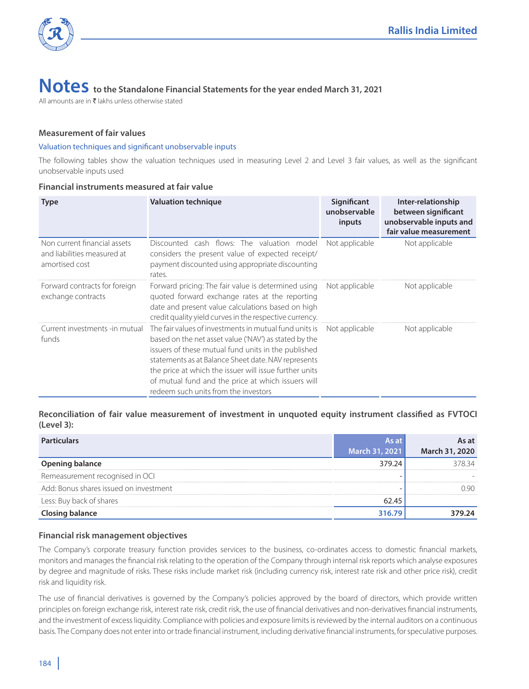

All amounts are in  $\bar{\tau}$  lakhs unless otherwise stated

### **Measurement of fair values**

### Valuation techniques and significant unobservable inputs

The following tables show the valuation techniques used in measuring Level 2 and Level 3 fair values, as well as the significant unobservable inputs used

### **Financial instruments measured at fair value**

| <b>Type</b>                                                                   | <b>Valuation technique</b>                                                                                                                                                                                                                                                                                                                                                            | Significant<br>unobservable<br>inputs | Inter-relationship<br>between significant<br>unobservable inputs and<br>fair value measurement |
|-------------------------------------------------------------------------------|---------------------------------------------------------------------------------------------------------------------------------------------------------------------------------------------------------------------------------------------------------------------------------------------------------------------------------------------------------------------------------------|---------------------------------------|------------------------------------------------------------------------------------------------|
| Non current financial assets<br>and liabilities measured at<br>amortised cost | Discounted cash flows: The valuation model<br>considers the present value of expected receipt/<br>payment discounted using appropriate discounting<br>rates.                                                                                                                                                                                                                          | Not applicable                        | Not applicable                                                                                 |
| Forward contracts for foreign<br>exchange contracts                           | Forward pricing: The fair value is determined using<br>quoted forward exchange rates at the reporting<br>date and present value calculations based on high<br>credit quality yield curves in the respective currency.                                                                                                                                                                 | Not applicable                        | Not applicable                                                                                 |
| Current investments -in mutual<br>funds                                       | The fair values of investments in mutual fund units is<br>based on the net asset value ('NAV') as stated by the<br>issuers of these mutual fund units in the published<br>statements as at Balance Sheet date. NAV represents<br>the price at which the issuer will issue further units<br>of mutual fund and the price at which issuers will<br>redeem such units from the investors | Not applicable                        | Not applicable                                                                                 |

### **Reconciliation of fair value measurement of investment in unquoted equity instrument classified as FVTOCI (Level 3):**

|                                        | <b>March 31, 2021</b> | March 31, 2020 |
|----------------------------------------|-----------------------|----------------|
| halance                                | 379.94                | २७८ २४         |
| Remeasurement recognised in OCI        |                       |                |
| Add: Bonus shares issued on investment |                       |                |
| Less: Buy back of shares               | 62.45                 |                |
| palance                                |                       | 79 J.A         |

### **Financial risk management objectives**

The Company's corporate treasury function provides services to the business, co-ordinates access to domestic financial markets, monitors and manages the financial risk relating to the operation of the Company through internal risk reports which analyse exposures by degree and magnitude of risks. These risks include market risk (including currency risk, interest rate risk and other price risk), credit risk and liquidity risk.

The use of financial derivatives is governed by the Company's policies approved by the board of directors, which provide written principles on foreign exchange risk, interest rate risk, credit risk, the use of financial derivatives and non-derivatives financial instruments, and the investment of excess liquidity. Compliance with policies and exposure limits is reviewed by the internal auditors on a continuous basis. The Company does not enter into or trade financial instrument, including derivative financial instruments, for speculative purposes.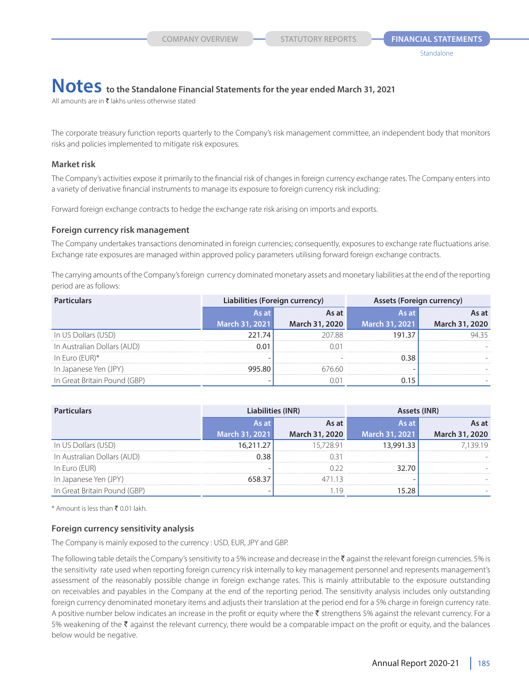All amounts are in  $\bar{\tau}$  lakhs unless otherwise stated

The corporate treasury function reports quarterly to the Company's risk management committee, an independent body that monitors risks and policies implemented to mitigate risk exposures.

#### **Market risk**

The Company's activities expose it primarily to the financial risk of changes in foreign currency exchange rates. The Company enters into a variety of derivative financial instruments to manage its exposure to foreign currency risk including:

Forward foreign exchange contracts to hedge the exchange rate risk arising on imports and exports.

#### **Foreign currency risk management**

The Company undertakes transactions denominated in foreign currencies; consequently, exposures to exchange rate fluctuations arise. Exchange rate exposures are managed within approved policy parameters utilising forward foreign exchange contracts.

The carrying amounts of the Company's foreign currency dominated monetary assets and monetary liabilities at the end of the reporting period are as follows:

| ticulars                     | Liabilities (Foreign currency)<br>Assets (Foreign currency) |                       |                       |                       |
|------------------------------|-------------------------------------------------------------|-----------------------|-----------------------|-----------------------|
|                              | As at<br>As at                                              |                       |                       |                       |
|                              | <b>March 31, 2021</b>                                       | <b>March 31, 2020</b> | <b>March 31, 2021</b> | <b>March 31, 2020</b> |
| In US Dollars (USD)          | 771 74                                                      | 207.88                |                       |                       |
| In Australian Dollars (AUD)  |                                                             |                       |                       |                       |
| In Euro (EUR)*               |                                                             |                       |                       |                       |
| In Japanese Yen (JPY)        | 995 80                                                      | 676 60                |                       |                       |
| In Great Britain Pound (GBP) |                                                             |                       |                       |                       |

|                              |                  | Liabilities (INR) | Assets (INR)          |                       |
|------------------------------|------------------|-------------------|-----------------------|-----------------------|
|                              | As at            | As at             |                       | دs at                 |
|                              | March 31, 2021 . | March 31, 2020    | <b>March 31, 2021</b> | <b>March 31, 2020</b> |
| In US Dollars (USD)          |                  | 78 Q.             | 13.991.33             |                       |
| In Australian Dollars (AUD)  |                  |                   |                       |                       |
| In Euro (EUR)                |                  |                   | 32 70                 |                       |
| In Japanese Yen (JPY)        |                  |                   |                       |                       |
| In Great Britain Pound (GBP) |                  |                   |                       |                       |

\* Amount is less than  $\bar{\mathfrak{e}}$  0.01 lakh.

#### **Foreign currency sensitivity analysis**

The Company is mainly exposed to the currency : USD, EUR, JPY and GBP.

The following table details the Company's sensitivity to a 5% increase and decrease in the  $\bar{\tau}$  against the relevant foreign currencies. 5% is the sensitivity rate used when reporting foreign currency risk internally to key management personnel and represents management's assessment of the reasonably possible change in foreign exchange rates. This is mainly attributable to the exposure outstanding on receivables and payables in the Company at the end of the reporting period. The sensitivity analysis includes only outstanding foreign currency denominated monetary items and adjusts their translation at the period end for a 5% charge in foreign currency rate. A positive number below indicates an increase in the profit or equity where the  $\bar{\tau}$  strengthens 5% against the relevant currency. For a 5% weakening of the  $\bar{\tau}$  against the relevant currency, there would be a comparable impact on the profit or equity, and the balances below would be negative.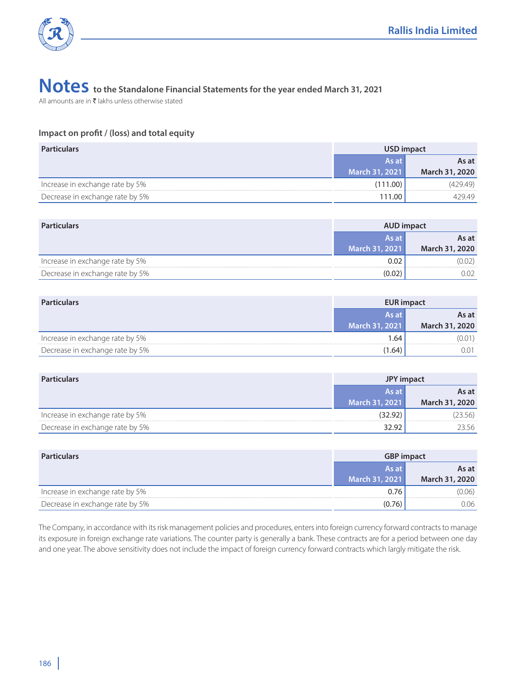

All amounts are in  $\bar{\tau}$  lakhs unless otherwise stated

### **Impact on profit / (loss) and total equity**

| <b>Particulars</b>              | USD impact            |                |
|---------------------------------|-----------------------|----------------|
|                                 | As at<br>As at        |                |
|                                 | <b>March 31, 2021</b> | March 31, 2020 |
| Increase in exchange rate by 5% | (111.00)              |                |
| Decrease in exchange rate by 5% | 111.00                |                |

| <b>Particulars</b>              | <b>AUD</b> impact |                |
|---------------------------------|-------------------|----------------|
|                                 | As at<br>As at    |                |
|                                 | March 31, 2021    | March 31, 2020 |
| Increase in exchange rate by 5% |                   |                |
| Decrease in exchange rate by 5% | 0.02              |                |

| <b>Particulars</b>              | <b>EUR</b> impact     |                       |
|---------------------------------|-----------------------|-----------------------|
|                                 | As at<br>As at        |                       |
|                                 | <b>March 31, 2021</b> | <b>March 31, 2020</b> |
| Increase in exchange rate by 5% | 1.64                  | (0.01)                |
| Decrease in exchange rate by 5% | (1.64)                |                       |

| <b>Particulars</b>              | <b>JPY</b> impact |                |
|---------------------------------|-------------------|----------------|
|                                 | As at<br>As at    |                |
|                                 | March 31, 2021    | March 31, 2020 |
| Increase in exchange rate by 5% | 32 92             |                |
| Decrease in exchange rate by 5% | 32.92             | 3.56           |

| <b>Particulars</b>              | <b>GBP</b> impact |                |
|---------------------------------|-------------------|----------------|
|                                 | As at<br>As at    |                |
|                                 | March 31, 2021    | March 31, 2020 |
| Increase in exchange rate by 5% |                   | J.06).         |
| Decrease in exchange rate by 5% | (0.76)            |                |

The Company, in accordance with its risk management policies and procedures, enters into foreign currency forward contracts to manage its exposure in foreign exchange rate variations. The counter party is generally a bank. These contracts are for a period between one day and one year. The above sensitivity does not include the impact of foreign currency forward contracts which largly mitigate the risk.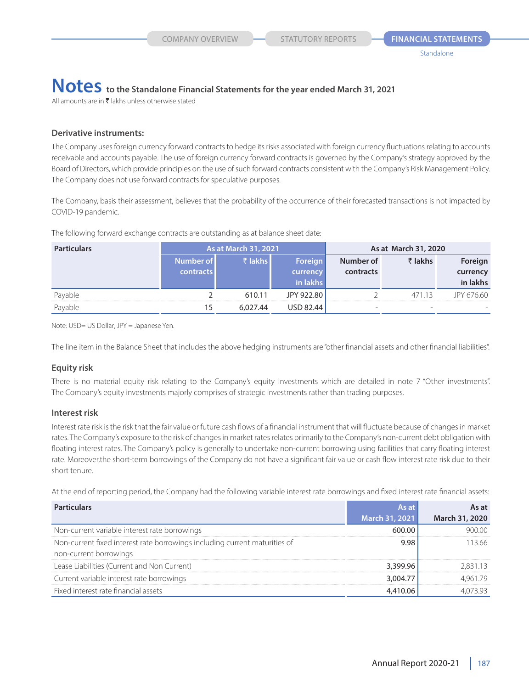All amounts are in  $\bar{\tau}$  lakhs unless otherwise stated

### **Derivative instruments:**

The Company uses foreign currency forward contracts to hedge its risks associated with foreign currency fluctuations relating to accounts receivable and accounts payable. The use of foreign currency forward contracts is governed by the Company's strategy approved by the Board of Directors, which provide principles on the use of such forward contracts consistent with the Company's Risk Management Policy. The Company does not use forward contracts for speculative purposes.

The Company, basis their assessment, believes that the probability of the occurrence of their forecasted transactions is not impacted by COVID-19 pandemic.

The following forward exchange contracts are outstanding as at balance sheet date:

| <b>Particulars</b> |            | <b>As at March 31, 2021</b> |                   |           | As at March 31, 2020 |                      |  |  |  |
|--------------------|------------|-----------------------------|-------------------|-----------|----------------------|----------------------|--|--|--|
|                    | Number of  | ₹ lakhs∣                    | Foreign           | Number of | ₹ lakhs              | Foreign              |  |  |  |
|                    | contracts) |                             | currency          | contracts |                      | currency<br>in lakhs |  |  |  |
|                    |            |                             | in lakhs          |           |                      |                      |  |  |  |
| Payable            |            | 610.11                      | <b>IPY 922 80</b> |           |                      | 67660                |  |  |  |
| Payable            | כ ו        | 6.027.44                    | 82.44 (           |           |                      |                      |  |  |  |

Note: USD= US Dollar; JPY = Japanese Yen.

The line item in the Balance Sheet that includes the above hedging instruments are "other financial assets and other financial liabilities".

### **Equity risk**

There is no material equity risk relating to the Company's equity investments which are detailed in note 7 "Other investments". The Company's equity investments majorly comprises of strategic investments rather than trading purposes.

### **Interest risk**

Interest rate risk is the risk that the fair value or future cash flows of a financial instrument that will fluctuate because of changes in market rates. The Company's exposure to the risk of changes in market rates relates primarily to the Company's non-current debt obligation with floating interest rates. The Company's policy is generally to undertake non-current borrowing using facilities that carry floating interest rate. Moreover,the short-term borrowings of the Company do not have a significant fair value or cash flow interest rate risk due to their short tenure.

At the end of reporting period, the Company had the following variable interest rate borrowings and fixed interest rate financial assets:

|                                                                                                      | March 31, 2021 | March 31, 2020 |
|------------------------------------------------------------------------------------------------------|----------------|----------------|
| Non-current variable interest rate borrowings                                                        |                | 900.00         |
| Non-current fixed interest rate borrowings including current maturities of<br>non-current borrowings |                | 1366.          |
| Lease Liabilities (Current and Non Current)                                                          | 3 399 96       |                |
| Current variable interest rate borrowings                                                            | 3.004.77       |                |
| Fixed interest rate financial assets                                                                 |                |                |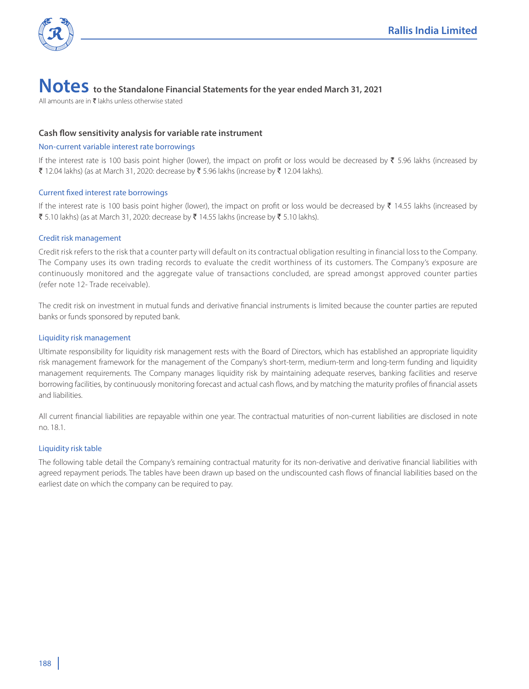

All amounts are in  $\bar{\tau}$  lakhs unless otherwise stated

### **Cash flow sensitivity analysis for variable rate instrument**

### Non-current variable interest rate borrowings

If the interest rate is 100 basis point higher (lower), the impact on profit or loss would be decreased by  $\bar{\tau}$  5.96 lakhs (increased by ₹ 12.04 lakhs) (as at March 31, 2020: decrease by ₹ 5.96 lakhs (increase by ₹ 12.04 lakhs).

### Current fixed interest rate borrowings

If the interest rate is 100 basis point higher (lower), the impact on profit or loss would be decreased by  $\bar{\tau}$  14.55 lakhs (increased by ₹ 5.10 lakhs) (as at March 31, 2020: decrease by ₹ 14.55 lakhs (increase by ₹ 5.10 lakhs).

### Credit risk management

Credit risk refers to the risk that a counter party will default on its contractual obligation resulting in financial loss to the Company. The Company uses its own trading records to evaluate the credit worthiness of its customers. The Company's exposure are continuously monitored and the aggregate value of transactions concluded, are spread amongst approved counter parties (refer note 12- Trade receivable).

The credit risk on investment in mutual funds and derivative financial instruments is limited because the counter parties are reputed banks or funds sponsored by reputed bank.

### Liquidity risk management

Ultimate responsibility for liquidity risk management rests with the Board of Directors, which has established an appropriate liquidity risk management framework for the management of the Company's short-term, medium-term and long-term funding and liquidity management requirements. The Company manages liquidity risk by maintaining adequate reserves, banking facilities and reserve borrowing facilities, by continuously monitoring forecast and actual cash flows, and by matching the maturity profiles of financial assets and liabilities.

All current financial liabilities are repayable within one year. The contractual maturities of non-current liabilities are disclosed in note no. 18.1.

#### Liquidity risk table

The following table detail the Company's remaining contractual maturity for its non-derivative and derivative financial liabilities with agreed repayment periods. The tables have been drawn up based on the undiscounted cash flows of financial liabilities based on the earliest date on which the company can be required to pay.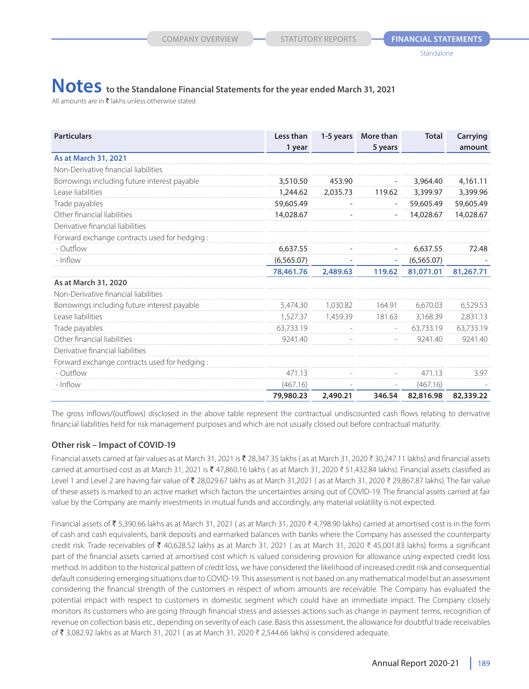# **Notes** to the Standalone Financial Statements for the year ended March 31, 2021

All amounts are in  $\bar{\tau}$  lakhs unless otherwise stated

| <b>Particulars</b>                           | Less than   | 1-5 years | More than         | <b>Total</b> | Carrying  |
|----------------------------------------------|-------------|-----------|-------------------|--------------|-----------|
|                                              | 1 year      |           | 5 years           |              | amount    |
| As at March 31, 2021                         |             |           |                   |              |           |
| Non-Derivative financial liabilities         |             |           |                   |              |           |
| Borrowings including future interest payable | 3,510.50    | 453.90    | $\qquad \qquad -$ | 3,964.40     | 4,161.11  |
| Lease liabilities                            | 1,244.62    | 2,035.73  | 119.62            | 3,399.97     | 3,399.96  |
| Trade payables                               | 59,605.49   |           | $\overline{a}$    | 59,605.49    | 59,605.49 |
| Other financial liabilities                  | 14,028.67   |           |                   | 14,028,67    | 14,028.67 |
| Derivative financial liabilities             |             |           |                   |              |           |
| Forward exchange contracts used for hedging: |             |           |                   |              |           |
| - Outflow                                    | 6,637.55    |           |                   | 6,637.55     | 72.48     |
| - Inflow                                     | (6, 565.07) |           | $\qquad \qquad -$ | (6, 565.07)  |           |
|                                              | 78,461.76   | 2,489.63  | 119.62            | 81,071.01    | 81,267.71 |
| As at March 31, 2020                         |             |           |                   |              |           |
| Non-Derivative financial liabilities         |             |           |                   |              |           |
| Borrowings including future interest payable | 5.474.30    | 1.030.82  | 164.91            | 6.670.03     | 6,529.53  |
| Lease liabilities                            | 1,527.37    | 1.459.39  | 181.63            | 3.168.39     | 2,831.13  |
| Trade payables                               | 63.733.19   |           | ÷                 | 63.733.19    | 63.733.19 |
| Other financial liabilities                  | 9241.40     |           |                   | 9241.40      | 9241.40   |
| Derivative financial liabilities             |             |           |                   |              |           |
| Forward exchange contracts used for hedging: |             |           |                   |              |           |
| - Outflow                                    | 471.13      |           |                   | 471.13       | 3.97      |
| - Inflow                                     | (467.16)    |           |                   | (467.16)     |           |
|                                              | 79,980.23   | 2,490.21  | 346.54            | 82,816.98    | 82,339.22 |

The gross inflows/(outflows) disclosed in the above table represent the contractual undiscounted cash flows relating to derivative financial liabilities held for risk management purposes and which are not usually closed out before contractual maturity.

### **Other risk – Impact of COVID-19**

Financial assets carried at fair values as at March 31, 2021 is ₹ 28,347.35 lakhs (as at March 31, 2020 ₹ 30,247.11 lakhs) and financial assets carried at amortised cost as at March 31, 2021 is  $\bar{\xi}$  47,860.16 lakhs (as at March 31, 2020  $\bar{\xi}$  51,432.84 lakhs). Financial assets classified as Level 1 and Level 2 are having fair value of ₹ 28,029.67 lakhs as at March 31,2021 (as at March 31, 2020 ₹ 29,867.87 lakhs). The fair value of these assets is marked to an active market which factors the uncertainties arising out of COVID-19. The financial assets carried at fair value by the Company are mainly investments in mutual funds and accordingly, any material volatility is not expected.

Financial assets of ₹ 5,390.66 lakhs as at March 31, 2021 (as at March 31, 2020 ₹ 4,798.90 lakhs) carried at amortised cost is in the form of cash and cash equivalents, bank deposits and earmarked balances with banks where the Company has assessed the counterparty credit risk. Trade receivables of ₹ 40,628.52 lakhs as at March 31, 2021 (as at March 31, 2020 ₹ 45,001.83 lakhs) forms a significant part of the financial assets carried at amortised cost which is valued considering provision for allowance using expected credit loss method. In addition to the historical pattern of credit loss, we have considered the likelihood of increased credit risk and consequential default considering emerging situations due to COVID-19. This assessment is not based on any mathematical model but an assessment considering the financial strength of the customers in respect of whom amounts are receivable. The Company has evaluated the potential impact with respect to customers in domestic segment which could have an immediate impact. The Company closely monitors its customers who are going through financial stress and assesses actions such as change in payment terms, recognition of revenue on collection basis etc., depending on severity of each case. Basis this assessment, the allowance for doubtful trade receivables of ` 3,082.92 lakhs as at March 31, 2021 ( as at March 31, 2020 ₹ 2,544.66 lakhs) is considered adequate.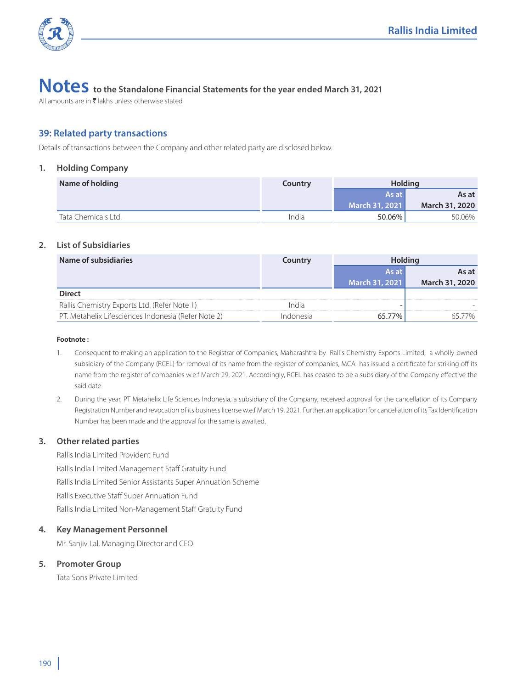

All amounts are in  $\bar{\tau}$  lakhs unless otherwise stated

## **39: Related party transactions**

Details of transactions between the Company and other related party are disclosed below.

### **1. Holding Company**

| Name of holding     | Country | <b>Holding</b> |                |
|---------------------|---------|----------------|----------------|
|                     |         | As at          | As at          |
|                     |         | March 31, 2021 | March 31, 2020 |
| Tata Chemicals Ltd. | India   | 50.06%         | 50.06%         |

### **2. List of Subsidiaries**

| Name of subsidiaries                                | Country | Holding               |                |
|-----------------------------------------------------|---------|-----------------------|----------------|
|                                                     |         | As at                 | As at          |
|                                                     |         | <b>March 31, 2021</b> | March 31, 2020 |
| <b>Direct</b>                                       |         |                       |                |
| Rallis Chemistry Exports Ltd. (Refer Note 1)        | ndia    |                       |                |
| PT. Metahelix Lifesciences Indonesia (Refer Note 2) |         | 65 77%                |                |

#### **Footnote :**

- 1. Consequent to making an application to the Registrar of Companies, Maharashtra by Rallis Chemistry Exports Limited, a wholly-owned subsidiary of the Company (RCEL) for removal of its name from the register of companies, MCA has issued a certificate for striking off its name from the register of companies w.e.f March 29, 2021. Accordingly, RCEL has ceased to be a subsidiary of the Company effective the said date.
- 2. During the year, PT Metahelix Life Sciences Indonesia, a subsidiary of the Company, received approval for the cancellation of its Company Registration Number and revocation of its business license w.e.f March 19, 2021. Further, an application for cancellation of its Tax Identification Number has been made and the approval for the same is awaited.

### **3. Other related parties**

Rallis India Limited Provident Fund Rallis India Limited Management Staff Gratuity Fund Rallis India Limited Senior Assistants Super Annuation Scheme Rallis Executive Staff Super Annuation Fund Rallis India Limited Non-Management Staff Gratuity Fund

### **4. Key Management Personnel**

Mr. Sanjiv Lal, Managing Director and CEO

### **5. Promoter Group**

Tata Sons Private Limited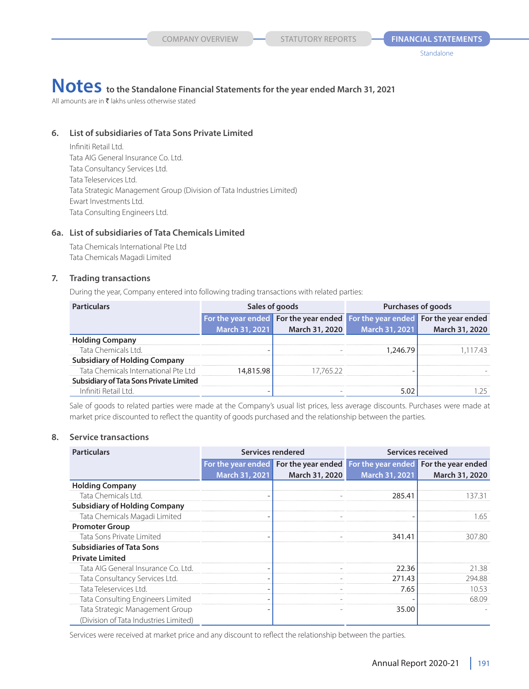All amounts are in  $\bar{\tau}$  lakhs unless otherwise stated

### **6. List of subsidiaries of Tata Sons Private Limited**

Infiniti Retail Ltd. Tata AIG General Insurance Co. Ltd. Tata Consultancy Services Ltd. Tata Teleservices Ltd. Tata Strategic Management Group (Division of Tata Industries Limited) Ewart Investments Ltd. Tata Consulting Engineers Ltd.

### **6a. List of subsidiaries of Tata Chemicals Limited**

Tata Chemicals International Pte Ltd Tata Chemicals Magadi Limited

### **7. Trading transactions**

During the year, Company entered into following trading transactions with related parties:

| <b>Particulars</b>                             | Sales of goods |                                                                             | Purchases of goods |                |
|------------------------------------------------|----------------|-----------------------------------------------------------------------------|--------------------|----------------|
|                                                |                | For the year ended For the year ended For the year ended For the year ended |                    |                |
|                                                | March 31, 2021 | March 31, 2020                                                              | March 31, 2021     | March 31, 2020 |
| <b>Holding Company</b>                         |                |                                                                             |                    |                |
| Tata Chemicals Ltd                             |                |                                                                             | 246.79             |                |
| <b>Subsidiary of Holding Company</b>           |                |                                                                             |                    |                |
| Tata Chemicals International Pte Ltd           |                |                                                                             |                    |                |
| <b>Subsidiary of Tata Sons Private Limited</b> |                |                                                                             |                    |                |
| finiti Retail I td                             |                |                                                                             |                    |                |

 Sale of goods to related parties were made at the Company's usual list prices, less average discounts. Purchases were made at market price discounted to reflect the quantity of goods purchased and the relationship between the parties.

### **8. Service transactions**

| <b>Particulars</b>                    |                | Services rendered                                                           |                | Services received |
|---------------------------------------|----------------|-----------------------------------------------------------------------------|----------------|-------------------|
|                                       |                | For the year ended For the year ended For the year ended For the year ended |                |                   |
|                                       | March 31, 2021 | March 31, 2020                                                              | March 31, 2021 | March 31, 2020    |
| <b>Holding Company</b>                |                |                                                                             |                |                   |
| Tata Chemicals Ltd.                   |                |                                                                             | 285.41         | 137.31            |
| <b>Subsidiary of Holding Company</b>  |                |                                                                             |                |                   |
| Tata Chemicals Magadi Limited         |                |                                                                             |                | 1.65              |
| <b>Promoter Group</b>                 |                |                                                                             |                |                   |
| Tata Sons Private Limited             |                |                                                                             | 341.41         | 307.80            |
| <b>Subsidiaries of Tata Sons</b>      |                |                                                                             |                |                   |
| <b>Private Limited</b>                |                |                                                                             |                |                   |
| Tata AIG General Insurance Co. Ltd.   |                |                                                                             | 22.36          | 21.38             |
| Tata Consultancy Services Ltd.        |                |                                                                             | 271.43         | 294.88            |
| Tata Teleservices Ltd.                |                |                                                                             | 7.65           | 10.53             |
| Tata Consulting Engineers Limited     |                |                                                                             |                | 68.09             |
| Tata Strategic Management Group       |                |                                                                             | 35.00          |                   |
| (Division of Tata Industries Limited) |                |                                                                             |                |                   |

Services were received at market price and any discount to reflect the relationship between the parties.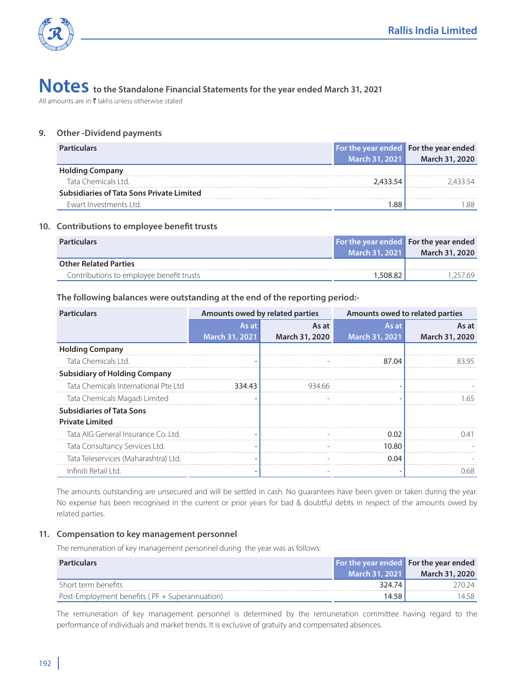

All amounts are in  $\bar{\tau}$  lakhs unless otherwise stated

### **9. Other -Dividend payments**

| <b>Particulars</b>                               | For the year ended For the year ended<br>March 31, 2021 | March 31, 2020 |
|--------------------------------------------------|---------------------------------------------------------|----------------|
| <b>Holding Company</b>                           |                                                         |                |
| Tata Chemicals I td.                             |                                                         |                |
| <b>Subsidiaries of Tata Sons Private Limited</b> |                                                         |                |
| Ewart Investments I td.                          |                                                         |                |

### **10. Contributions to employee benefit trusts**

| <b>Particulars</b>                       | March 31, 2021 | For the year ended For the year ended<br>March 31, 2020 |
|------------------------------------------|----------------|---------------------------------------------------------|
| <b>Other Related Parties</b>             |                |                                                         |
| Contributions to employee benefit trusts | 1.508.82       | , 757.69                                                |

### **The following balances were outstanding at the end of the reporting period:-**

| <b>Particulars</b>                   | Amounts owed by related parties |                | Amounts owed to related parties |                |
|--------------------------------------|---------------------------------|----------------|---------------------------------|----------------|
|                                      | As at                           | As at          | As at                           | As at          |
|                                      | March 31, 2021                  | March 31, 2020 | March 31, 2021                  | March 31, 2020 |
| <b>Holding Company</b>               |                                 |                |                                 |                |
| Tata Chemicals I td.                 |                                 |                | 87.04                           | 8395           |
| <b>Subsidiary of Holding Company</b> |                                 |                |                                 |                |
| Tata Chemicals International Pte Ltd | 334.43                          | 934.66         |                                 |                |
| Tata Chemicals Magadi Limited        |                                 |                |                                 | . 65           |
| <b>Subsidiaries of Tata Sons</b>     |                                 |                |                                 |                |
| <b>Private Limited</b>               |                                 |                |                                 |                |
| Tata AIG General Insurance Co. Ltd.  |                                 |                | 0.02                            | `) 4 °         |
| Tata Consultancy Services Ltd.       |                                 |                | 10.80                           |                |
| Tata Teleservices (Maharashtra) Ltd. |                                 |                | 0.04                            |                |
| Infiniti Retail Ltd.                 |                                 |                |                                 | 0.68           |

The amounts outstanding are unsecured and will be settled in cash. No guarantees have been given or taken during the year. No expense has been recognised in the current or prior years for bad & doubtful debts in respect of the amounts owed by related parties.

### **11. Compensation to key management personnel**

The remuneration of key management personnel during the year was as follows:

|        | For the year ended For the year ended |
|--------|---------------------------------------|
|        | March 31, 2020                        |
| 324.74 | 270.24.                               |
| 14.58  | 458                                   |
|        | March 31, 2021                        |

 The remuneration of key management personnel is determined by the remuneration committee having regard to the performance of individuals and market trends. It is exclusive of gratuity and compensated absences.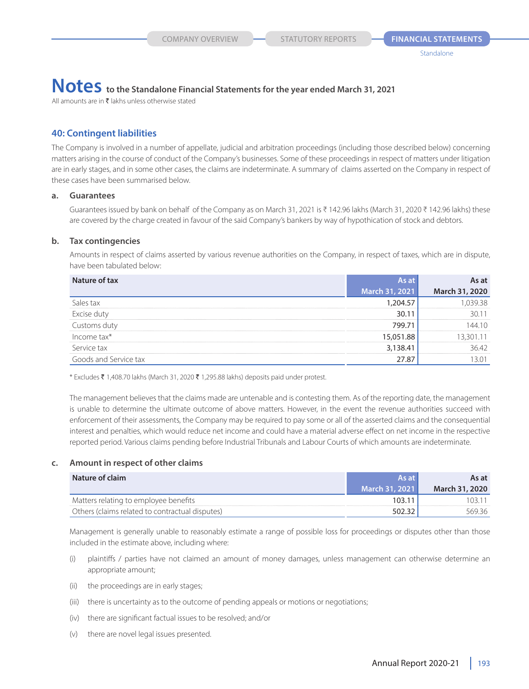All amounts are in  $\bar{\tau}$  lakhs unless otherwise stated

### **40: Contingent liabilities**

The Company is involved in a number of appellate, judicial and arbitration proceedings (including those described below) concerning matters arising in the course of conduct of the Company's businesses. Some of these proceedings in respect of matters under litigation are in early stages, and in some other cases, the claims are indeterminate. A summary of claims asserted on the Company in respect of these cases have been summarised below.

#### **a. Guarantees**

 Guarantees issued by bank on behalf of the Company as on March 31, 2021 is ₹ 142.96 lakhs (March 31, 2020 ₹ 142.96 lakhs) these are covered by the charge created in favour of the said Company's bankers by way of hypothication of stock and debtors.

#### **b. Tax contingencies**

 Amounts in respect of claims asserted by various revenue authorities on the Company, in respect of taxes, which are in dispute, have been tabulated below:

| Nature of tax      |                       |                |
|--------------------|-----------------------|----------------|
|                    | <b>March 31, 2021</b> | March 31, 2020 |
|                    |                       |                |
|                    |                       |                |
| Customs dutv       | 799 71                | 44 10          |
| Income tax*        | 15 051 88             |                |
| Service tax        | 1384 <sup>1</sup>     | . 42           |
| ds and Service tax | 7 R'                  |                |

\* Excludes  $\bar{\tau}$  1,408.70 lakhs (March 31, 2020  $\bar{\tau}$  1,295.88 lakhs) deposits paid under protest.

 The management believes that the claims made are untenable and is contesting them. As of the reporting date, the management is unable to determine the ultimate outcome of above matters. However, in the event the revenue authorities succeed with enforcement of their assessments, the Company may be required to pay some or all of the asserted claims and the consequential interest and penalties, which would reduce net income and could have a material adverse effect on net income in the respective reported period. Various claims pending before Industrial Tribunals and Labour Courts of which amounts are indeterminate.

#### **c. Amount in respect of other claims**

| Nature of claim                                 | As at                 | As at          |
|-------------------------------------------------|-----------------------|----------------|
|                                                 | <b>March 31, 2021</b> | March 31, 2020 |
| Matters relating to employee benefits           |                       |                |
| Others (claims related to contractual disputes) |                       | 569 36         |

 Management is generally unable to reasonably estimate a range of possible loss for proceedings or disputes other than those included in the estimate above, including where:

- (i) plaintiffs / parties have not claimed an amount of money damages, unless management can otherwise determine an appropriate amount;
- (ii) the proceedings are in early stages;
- (iii) there is uncertainty as to the outcome of pending appeals or motions or negotiations;
- (iv) there are significant factual issues to be resolved; and/or
- (v) there are novel legal issues presented.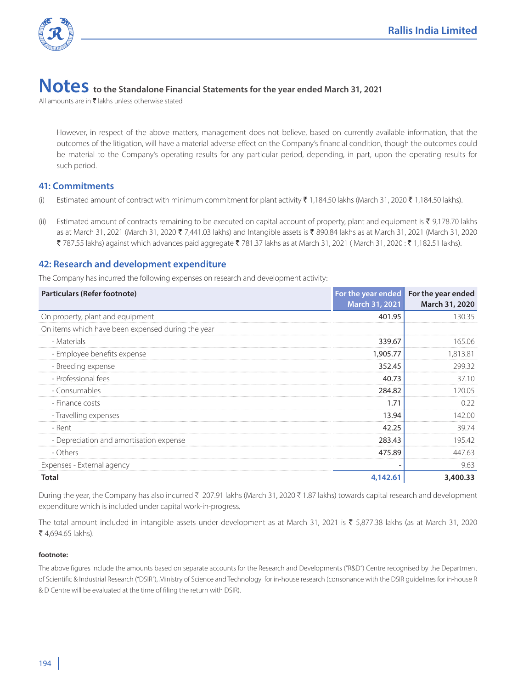

All amounts are in  $\bar{\tau}$  lakhs unless otherwise stated

 However, in respect of the above matters, management does not believe, based on currently available information, that the outcomes of the litigation, will have a material adverse effect on the Company's financial condition, though the outcomes could be material to the Company's operating results for any particular period, depending, in part, upon the operating results for such period.

### **41: Commitments**

- (i) Estimated amount of contract with minimum commitment for plant activity ₹ 1,184.50 lakhs (March 31, 2020 ₹ 1,184.50 lakhs).
- (ii) Estimated amount of contracts remaining to be executed on capital account of property, plant and equipment is  $\bar{\tau}$  9,178.70 lakhs as at March 31, 2021 (March 31, 2020 ₹ 7,441.03 lakhs) and Intangible assets is ₹ 890.84 lakhs as at March 31, 2021 (March 31, 2020 ₹ 787.55 lakhs) against which advances paid aggregate ₹ 781.37 lakhs as at March 31, 2021 (March 31, 2020 : ₹ 1,182.51 lakhs).

### **42: Research and development expenditure**

The Company has incurred the following expenses on research and development activity:

| Particulars (Refer footnote)                      | For the year ended | For the year ended |
|---------------------------------------------------|--------------------|--------------------|
|                                                   | March 31, 2021     | March 31, 2020     |
| On property, plant and equipment                  | 401.95             | 130.35             |
| On items which have been expensed during the year |                    |                    |
| - Materials                                       | 339.67             | 165.06             |
| - Employee benefits expense                       | 1,905.77           | 1,813.81           |
| - Breeding expense                                | 352.45             | 299.32             |
| - Professional fees                               | 40.73              | 37.10              |
| - Consumables                                     | 284.82             | 120.05             |
| - Finance costs                                   | 1.71               | 0.22               |
| - Travelling expenses                             | 13.94              | 142.00             |
| - Rent                                            | 42.25              | 39.74              |
| - Depreciation and amortisation expense           | 283.43             | 195.42             |
| - Others                                          | 475.89             | 447.63             |
| Expenses - External agency                        |                    | 9.63               |
| Total                                             | 4,142.61           | 3,400.33           |

During the year, the Company has also incurred ₹ 207.91 lakhs (March 31, 2020 ₹ 1.87 lakhs) towards capital research and development expenditure which is included under capital work-in-progress.

The total amount included in intangible assets under development as at March 31, 2021 is ₹ 5,877.38 lakhs (as at March 31, 2020 ₹ 4,694.65 lakhs).

#### **footnote:**

The above figures include the amounts based on separate accounts for the Research and Developments ("R&D") Centre recognised by the Department of Scientific & Industrial Research ("DSIR"), Ministry of Science and Technology for in-house research (consonance with the DSIR guidelines for in-house R & D Centre will be evaluated at the time of filing the return with DSIR).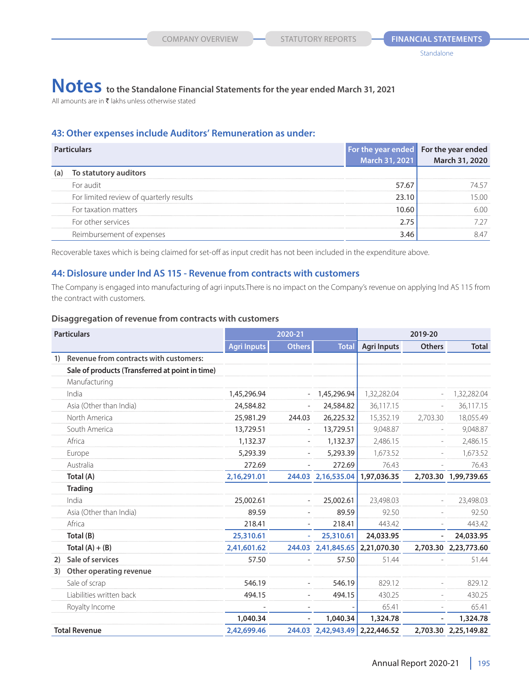All amounts are in  $\bar{\tau}$  lakhs unless otherwise stated

### **43: Other expenses include Auditors' Remuneration as under:**

|     | iculars                                 | For the year ended For the year ended | March 31, 2021 March 31, 2020 |
|-----|-----------------------------------------|---------------------------------------|-------------------------------|
| la. | To statutory auditors                   |                                       |                               |
|     | For audit                               | 57.67                                 |                               |
|     | For limited review of quarterly results |                                       |                               |
|     | For taxation matters                    |                                       |                               |
|     | For other services                      |                                       |                               |
|     | Reimbursement of expenses               |                                       |                               |

Recoverable taxes which is being claimed for set-off as input credit has not been included in the expenditure above.

### **44: Dislosure under Ind AS 115 - Revenue from contracts with customers**

The Company is engaged into manufacturing of agri inputs.There is no impact on the Company's revenue on applying Ind AS 115 from the contract with customers.

#### **Disaggregation of revenue from contracts with customers**

| <b>Particulars</b>                             |                                                 | 2020-21            |                          | 2019-20            |                    |                          |                      |
|------------------------------------------------|-------------------------------------------------|--------------------|--------------------------|--------------------|--------------------|--------------------------|----------------------|
|                                                |                                                 | <b>Agri Inputs</b> | <b>Others</b>            | <b>Total</b>       | <b>Agri Inputs</b> | <b>Others</b>            | <b>Total</b>         |
| $\left( \begin{matrix} 1 \end{matrix} \right)$ | <b>Revenue from contracts with customers:</b>   |                    |                          |                    |                    |                          |                      |
|                                                | Sale of products (Transferred at point in time) |                    |                          |                    |                    |                          |                      |
|                                                | Manufacturing                                   |                    |                          |                    |                    |                          |                      |
|                                                | India                                           | 1,45,296.94        |                          | 1,45,296.94        | 1,32,282.04        |                          | 1,32,282.04          |
|                                                | Asia (Other than India)                         | 24,584.82          |                          | 24,584.82          | 36,117.15          |                          | 36,117.15            |
|                                                | North America                                   | 25,981.29          | 244.03                   | 26,225.32          | 15,352.19          | 2,703.30                 | 18,055.49            |
|                                                | South America                                   | 13,729.51          | $\overline{\phantom{a}}$ | 13,729.51          | 9,048.87           | $\overline{\phantom{a}}$ | 9,048.87             |
|                                                | Africa                                          | 1,132.37           |                          | 1,132.37           | 2,486.15           | $\overline{\phantom{a}}$ | 2,486.15             |
|                                                | Europe                                          | 5,293.39           |                          | 5,293.39           | 1,673.52           | $\overline{\phantom{a}}$ | 1,673.52             |
|                                                | Australia                                       | 272.69             |                          | 272.69             | 76.43              |                          | 76.43                |
|                                                | Total (A)                                       | 2,16,291.01        |                          | 244.03 2,16,535.04 | 1,97,036.35        |                          | 2,703.30 1,99,739.65 |
|                                                | <b>Trading</b>                                  |                    |                          |                    |                    |                          |                      |
|                                                | India                                           | 25,002.61          |                          | 25,002.61          | 23,498.03          |                          | 23,498.03            |
|                                                | Asia (Other than India)                         | 89.59              |                          | 89.59              | 92.50              | $\overline{\phantom{a}}$ | 92.50                |
|                                                | Africa                                          | 218.41             |                          | 218.41             | 443.42             | $\overline{\phantom{a}}$ | 443.42               |
|                                                | Total (B)                                       | 25,310.61          | ÷                        | 25,310.61          | 24,033.95          | $\overline{\phantom{a}}$ | 24,033.95            |
|                                                | Total $(A) + (B)$                               | 2,41,601.62        |                          | 244.03 2,41,845.65 | 2,21,070.30        |                          | 2,703.30 2,23,773.60 |
| 2)                                             | Sale of services                                | 57.50              |                          | 57.50              | 51.44              |                          | 51.44                |
| 3)                                             | Other operating revenue                         |                    |                          |                    |                    |                          |                      |
|                                                | Sale of scrap                                   | 546.19             |                          | 546.19             | 829.12             |                          | 829.12               |
|                                                | Liabilities written back                        | 494.15             |                          | 494.15             | 430.25             |                          | 430.25               |
|                                                | Royalty Income                                  |                    |                          |                    | 65.41              |                          | 65.41                |
|                                                |                                                 | 1,040.34           | ٠                        | 1,040.34           | 1,324.78           | $\overline{\phantom{a}}$ | 1,324.78             |
|                                                | <b>Total Revenue</b>                            | 2,42,699.46        |                          | 244.03 2,42,943.49 | 2,22,446.52        |                          | 2,703.30 2,25,149.82 |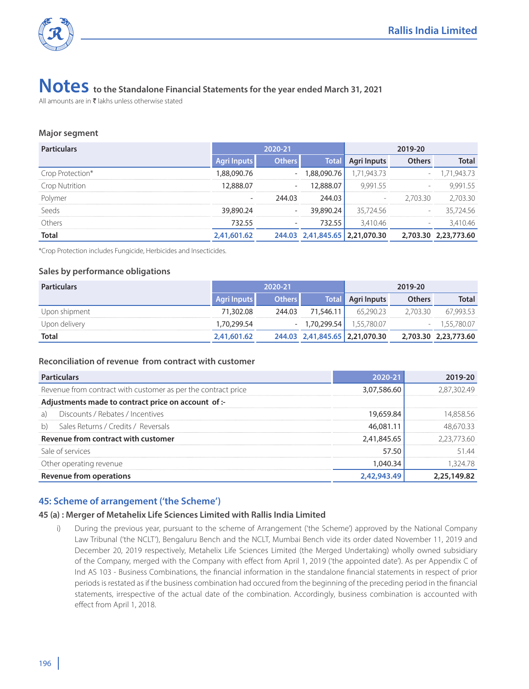

All amounts are in  $\bar{\tau}$  lakhs unless otherwise stated

### **Major segment**

| <b>Particulars</b> | 2020-21     |               |            | 2019-20                        |                          |                      |
|--------------------|-------------|---------------|------------|--------------------------------|--------------------------|----------------------|
|                    | 'Input:     | <b>Others</b> | Total      | Agri Inputs                    | <b>Others</b>            | otal                 |
| Crop Protection*   | .88,090.76  |               | .88.090.76 | .71.943.73                     | $\overline{\phantom{a}}$ |                      |
| Crop Nutrition     | 288807      |               |            | 9.991.55                       |                          |                      |
| Polymer            |             | 244.03        | 244.03     |                                | -703-30                  | ) 703 30             |
| Seeds              | 39,890.24   |               | 39.890.24  | 35.724.56                      | $\overline{\phantom{0}}$ | 724.56               |
| Others             | 732.55      |               | 732.55     | 3,410.46                       |                          | 10.46                |
| Total              | 2,41,601.62 |               |            | 244.03 2,41,845.65 2,21,070.30 |                          | 2,703.30 2,23,773.60 |

\*Crop Protection includes Fungicide, Herbicides and Insecticides.

### **Sales by performance obligations**

| <b>Particulars</b> | 2020-21            |               | 2019-20        |                                |               |                      |
|--------------------|--------------------|---------------|----------------|--------------------------------|---------------|----------------------|
|                    | <b>Agri Inputs</b> | <b>Others</b> | <b>Total</b>   | Agri Inputs                    | <b>Others</b> | Total                |
| Upon shipment      | 71,302.08          | 244.03        | 71,546.11      | 65 290 23                      | 2.703.30      | 67.993.53            |
| Upon delivery      | 1,70,299.54        |               | $-1,70,299.54$ | 1,55,780.07                    |               | 1,55,780.07          |
| <b>Total</b>       | 2,41,601.62        |               |                | 244.03 2,41,845.65 2,21,070.30 |               | 2,703.30 2,23,773.60 |

### **Reconciliation of revenue from contract with customer**

| <b>Particulars</b>                                            | 2020-21     | 2019-20     |
|---------------------------------------------------------------|-------------|-------------|
| Revenue from contract with customer as per the contract price | 3,07,586,60 | 2.87.302    |
| Adjustments made to contract price on account of :-           |             |             |
| Discounts / Rebates / Incentives<br>a)                        | 19.659.84   | 14 858 56   |
| Sales Returns / Credits / Reversals<br>b)                     | 46.081.11   |             |
| Revenue from contract with customer                           | 2,41,845.65 | 223 773 60  |
| Sale of services                                              | 57.50       | 51 44       |
| Other operating revenue                                       | .040.34 "   |             |
| Revenue from operations                                       |             | 2.25.149.82 |

### **45: Scheme of arrangement ('the Scheme')**

### **45 (a) : Merger of Metahelix Life Sciences Limited with Rallis India Limited**

i) During the previous year, pursuant to the scheme of Arrangement ('the Scheme') approved by the National Company Law Tribunal ('the NCLT'), Bengaluru Bench and the NCLT, Mumbai Bench vide its order dated November 11, 2019 and December 20, 2019 respectively, Metahelix Life Sciences Limited (the Merged Undertaking) wholly owned subsidiary of the Company, merged with the Company with effect from April 1, 2019 ('the appointed date'). As per Appendix C of Ind AS 103 - Business Combinations, the financial information in the standalone financial statements in respect of prior periods is restated as if the business combination had occured from the beginning of the preceding period in the financial statements, irrespective of the actual date of the combination. Accordingly, business combination is accounted with effect from April 1, 2018.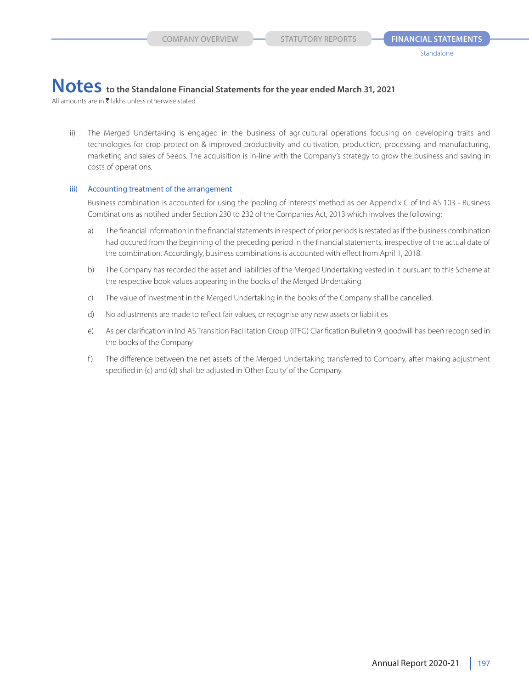All amounts are in  $\bar{\tau}$  lakhs unless otherwise stated

ii) The Merged Undertaking is engaged in the business of agricultural operations focusing on developing traits and technologies for crop protection & improved productivity and cultivation, production, processing and manufacturing, marketing and sales of Seeds. The acquisition is in-line with the Company's strategy to grow the business and saving in costs of operations.

#### iii) Accounting treatment of the arrangement

 Business combination is accounted for using the 'pooling of interests' method as per Appendix C of Ind AS 103 - Business Combinations as notified under Section 230 to 232 of the Companies Act, 2013 which involves the following:

- a) The financial information in the financial statements in respect of prior periods is restated as if the business combination had occured from the beginning of the preceding period in the financial statements, irrespective of the actual date of the combination. Accordingly, business combinations is accounted with effect from April 1, 2018.
- b) The Company has recorded the asset and liabilities of the Merged Undertaking vested in it pursuant to this Scheme at the respective book values appearing in the books of the Merged Undertaking.
- c) The value of investment in the Merged Undertaking in the books of the Company shall be cancelled.
- d) No adjustments are made to reflect fair values, or recognise any new assets or liabilities
- e) As per clarification in Ind AS Transition Facilitation Group (ITFG) Clarification Bulletin 9, goodwill has been recognised in the books of the Company
- f ) The difference between the net assets of the Merged Undertaking transferred to Company, after making adjustment specified in (c) and (d) shall be adjusted in 'Other Equity' of the Company.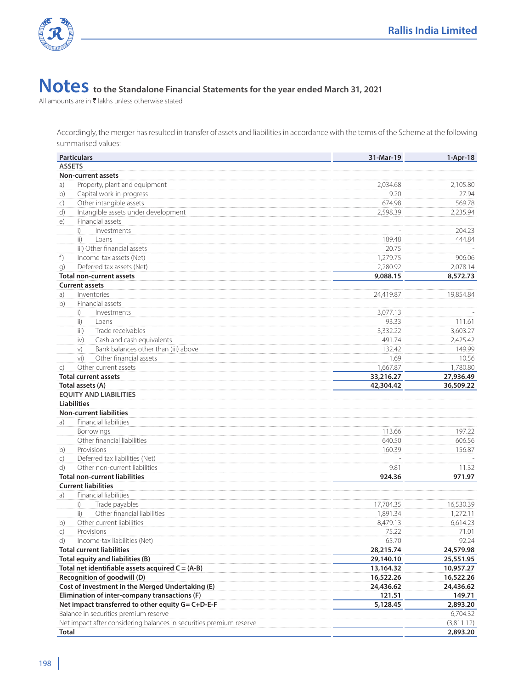

All amounts are in  $\bar{\tau}$  lakhs unless otherwise stated

 Accordingly, the merger has resulted in transfer of assets and liabilities in accordance with the terms of the Scheme at the following summarised values:

| <b>Particulars</b>                                                  | 31-Mar-19 | $1-Apr-18$ |
|---------------------------------------------------------------------|-----------|------------|
| <b>ASSETS</b>                                                       |           |            |
| Non-current assets                                                  |           |            |
| Property, plant and equipment<br>a)                                 | 2,034.68  | 2,105.80   |
| Capital work-in-progress<br>b)                                      | 9.20      | 27.94      |
| Other intangible assets<br>$\mathsf{C}$                             | 674.98    | 569.78     |
| Intangible assets under development<br>d)                           | 2.598.39  | 2,235.94   |
| Financial assets<br>e)                                              |           |            |
| i)<br>Investments                                                   |           | 204.23     |
| ii)<br>Loans                                                        | 189.48    | 444.84     |
| iii) Other financial assets                                         | 20.75     |            |
| Income-tax assets (Net)<br>f)                                       | 1,279.75  | 906.06     |
| Deferred tax assets (Net)<br>g)                                     | 2,280.92  | 2,078.14   |
| <b>Total non-current assets</b>                                     | 9,088.15  | 8,572.73   |
| <b>Current assets</b>                                               |           |            |
| a)<br>Inventories                                                   | 24,419.87 | 19,854.84  |
| b)<br>Financial assets                                              |           |            |
| i)<br>Investments                                                   | 3,077.13  |            |
| ii)<br>Loans                                                        | 93.33     | 111.61     |
| Trade receivables<br>iii)                                           | 3,332.22  | 3,603.27   |
| Cash and cash equivalents<br>iv)                                    | 491.74    | 2,425.42   |
| Bank balances other than (iii) above<br>V)                          | 132.42    | 149.99     |
| Other financial assets<br>vi)                                       | 1.69      | 10.56      |
| Other current assets<br>$\mathsf{C}$                                | 1,667.87  | 1,780.80   |
| <b>Total current assets</b>                                         | 33,216.27 | 27,936.49  |
| Total assets (A)                                                    | 42,304.42 | 36,509.22  |
| <b>EQUITY AND LIABILITIES</b>                                       |           |            |
| <b>Liabilities</b>                                                  |           |            |
| <b>Non-current liabilities</b>                                      |           |            |
| Financial liabilities<br>a)                                         |           |            |
| Borrowings                                                          | 113.66    | 197.22     |
| Other financial liabilities                                         | 640.50    | 606.56     |
| Provisions<br>b)                                                    | 160.39    | 156.87     |
| Deferred tax liabilities (Net)<br>$\mathsf{C}$                      |           |            |
| Other non-current liabilities<br>d)                                 | 9.81      | 11.32      |
| <b>Total non-current liabilities</b>                                | 924.36    | 971.97     |
| <b>Current liabilities</b>                                          |           |            |
| Financial liabilities<br>a)                                         |           |            |
| i)<br>Trade payables                                                | 17,704.35 | 16,530.39  |
| Other financial liabilities<br>ii)                                  | 1,891.34  | 1,272.11   |
| Other current liabilities<br>b)                                     | 8.479.13  | 6,614.23   |
| Provisions<br>$\mathsf{C}$                                          | 75.22     | 71.01      |
| Income-tax liabilities (Net)<br>d)                                  | 65.70     | 92.24      |
| <b>Total current liabilities</b>                                    | 28,215.74 | 24,579.98  |
| Total equity and liabilities (B)                                    | 29,140.10 | 25,551.95  |
| Total net identifiable assets acquired $C = (A-B)$                  | 13,164.32 | 10,957.27  |
| Recognition of goodwill (D)                                         | 16,522.26 | 16,522.26  |
| Cost of investment in the Merged Undertaking (E)                    | 24,436.62 | 24,436.62  |
| Elimination of inter-company transactions (F)                       | 121.51    | 149.71     |
| Net impact transferred to other equity G= C+D-E-F                   | 5,128.45  | 2,893.20   |
| Balance in securities premium reserve                               |           | 6,704.32   |
| Net impact after considering balances in securities premium reserve |           | (3,811.12) |
| <b>Total</b>                                                        |           | 2,893.20   |
|                                                                     |           |            |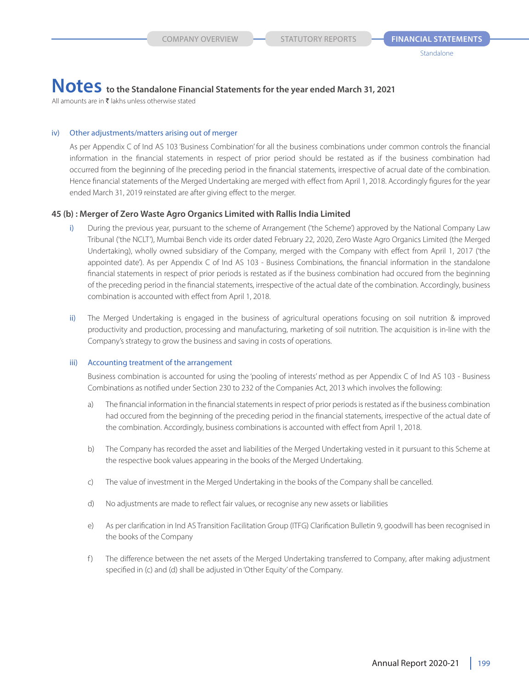All amounts are in  $\bar{\tau}$  lakhs unless otherwise stated

#### iv) Other adjustments/matters arising out of merger

 As per Appendix C of Ind AS 103 'Business Combination' for all the business combinations under common controls the financial information in the financial statements in respect of prior period should be restated as if the business combination had occurred from the beginning of Ihe preceding period in the financial statements, irrespective of acrual date of the combination. Hence financial statements of the Merged Undertaking are merged with effect from April 1, 2018. Accordingly figures for the year ended March 31, 2019 reinstated are after giving effect to the merger.

#### **45 (b) : Merger of Zero Waste Agro Organics Limited with Rallis India Limited**

- i) During the previous year, pursuant to the scheme of Arrangement ('the Scheme') approved by the National Company Law Tribunal ('the NCLT'), Mumbai Bench vide its order dated February 22, 2020, Zero Waste Agro Organics Limited (the Merged Undertaking), wholly owned subsidiary of the Company, merged with the Company with effect from April 1, 2017 ('the appointed date'). As per Appendix C of Ind AS 103 - Business Combinations, the financial information in the standalone financial statements in respect of prior periods is restated as if the business combination had occured from the beginning of the preceding period in the financial statements, irrespective of the actual date of the combination. Accordingly, business combination is accounted with effect from April 1, 2018.
- ii) The Merged Undertaking is engaged in the business of agricultural operations focusing on soil nutrition & improved productivity and production, processing and manufacturing, marketing of soil nutrition. The acquisition is in-line with the Company's strategy to grow the business and saving in costs of operations.

#### iii) Accounting treatment of the arrangement

 Business combination is accounted for using the 'pooling of interests' method as per Appendix C of Ind AS 103 - Business Combinations as notified under Section 230 to 232 of the Companies Act, 2013 which involves the following:

- a) The financial information in the financial statements in respect of prior periods is restated as if the business combination had occured from the beginning of the preceding period in the financial statements, irrespective of the actual date of the combination. Accordingly, business combinations is accounted with effect from April 1, 2018.
- b) The Company has recorded the asset and liabilities of the Merged Undertaking vested in it pursuant to this Scheme at the respective book values appearing in the books of the Merged Undertaking.
- c) The value of investment in the Merged Undertaking in the books of the Company shall be cancelled.
- d) No adjustments are made to reflect fair values, or recognise any new assets or liabilities
- e) As per clarification in Ind AS Transition Facilitation Group (ITFG) Clarification Bulletin 9, goodwill has been recognised in the books of the Company
- f ) The difference between the net assets of the Merged Undertaking transferred to Company, after making adjustment specified in (c) and (d) shall be adjusted in 'Other Equity' of the Company.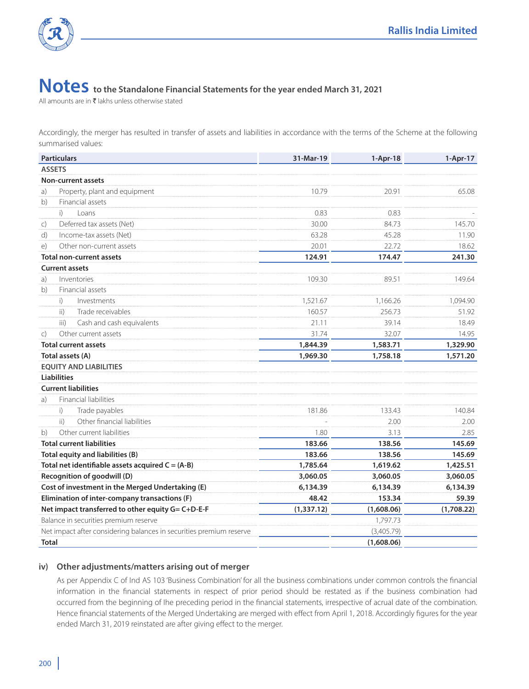

All amounts are in  $\bar{\tau}$  lakhs unless otherwise stated

Accordingly, the merger has resulted in transfer of assets and liabilities in accordance with the terms of the Scheme at the following summarised values:

| <b>Particulars</b>                                                  | 31-Mar-19   | $1-Apr-18$ | $1-Apr-17$ |
|---------------------------------------------------------------------|-------------|------------|------------|
| <b>ASSETS</b>                                                       |             |            |            |
| <b>Non-current assets</b>                                           |             |            |            |
| Property, plant and equipment<br>a)                                 | 10.79       | 20.91      | 65.08      |
| Financial assets<br>b)                                              |             |            |            |
| $\mathsf{i}$<br><b>Loans</b>                                        | 0.83        | 0.83       |            |
| Deferred tax assets (Net)<br>$\mathsf{C}$                           | 30.00       | 84.73      | 145.70     |
| Income-tax assets (Net)<br>d)                                       | 63.28       | 45.28      | 11.90      |
| Other non-current assets<br>e)                                      | 20.01       | 22.72      | 18.62      |
| <b>Total non-current assets</b>                                     | 124.91      | 174.47     | 241.30     |
| <b>Current assets</b>                                               |             |            |            |
| Inventories<br>a)                                                   | 109.30      | 89.51      | 149.64     |
| Financial assets<br>b)                                              |             |            |            |
| i)<br>Investments                                                   | 1,521.67    | 1,166.26   | 1,094.90   |
| Trade receivables<br>$\mathsf{ii}$                                  | 160.57      | 256.73     | 51.92      |
| iii)<br>Cash and cash equivalents                                   | 21.11       | 39.14      | 18.49      |
| Other current assets<br>$\mathsf{C}$                                | 31.74       | 32.07      | 14.95      |
| <b>Total current assets</b>                                         | 1,844.39    | 1,583.71   | 1,329.90   |
| Total assets (A)                                                    | 1,969.30    | 1,758.18   | 1,571.20   |
| <b>EOUITY AND LIABILITIES</b>                                       |             |            |            |
| <b>Liabilities</b>                                                  |             |            |            |
| <b>Current liabilities</b>                                          |             |            |            |
| <b>Financial liabilities</b><br>a)                                  |             |            |            |
| $\mathsf{i}$<br>Trade payables                                      | 181.86      | 133.43     | 140.84     |
| Other financial liabilities<br>ii)                                  |             | 2.00       | 2.00       |
| Other current liabilities<br>b)                                     | 1.80        | 3.13       | 2.85       |
| <b>Total current liabilities</b>                                    | 183.66      | 138.56     | 145.69     |
| Total equity and liabilities (B)                                    | 183.66      | 138.56     | 145.69     |
| Total net identifiable assets acquired $C = (A-B)$                  | 1,785.64    | 1,619.62   | 1,425.51   |
| Recognition of goodwill (D)                                         | 3,060.05    | 3,060.05   | 3,060.05   |
| Cost of investment in the Merged Undertaking (E)                    | 6,134.39    | 6,134.39   | 6,134.39   |
| Elimination of inter-company transactions (F)                       | 48.42       | 153.34     | 59.39      |
| Net impact transferred to other equity G= C+D-E-F                   | (1, 337.12) | (1,608.06) | (1,708.22) |
| Balance in securities premium reserve                               |             | 1,797.73   |            |
| Net impact after considering balances in securities premium reserve |             | (3,405.79) |            |
| <b>Total</b>                                                        |             | (1,608.06) |            |

### **iv) Other adjustments/matters arising out of merger**

 As per Appendix C of Ind AS 103 'Business Combination' for all the business combinations under common controls the financial information in the financial statements in respect of prior period should be restated as if the business combination had occurred from the beginning of Ihe preceding period in the financial statements, irrespective of acrual date of the combination. Hence financial statements of the Merged Undertaking are merged with effect from April 1, 2018. Accordingly figures for the year ended March 31, 2019 reinstated are after giving effect to the merger.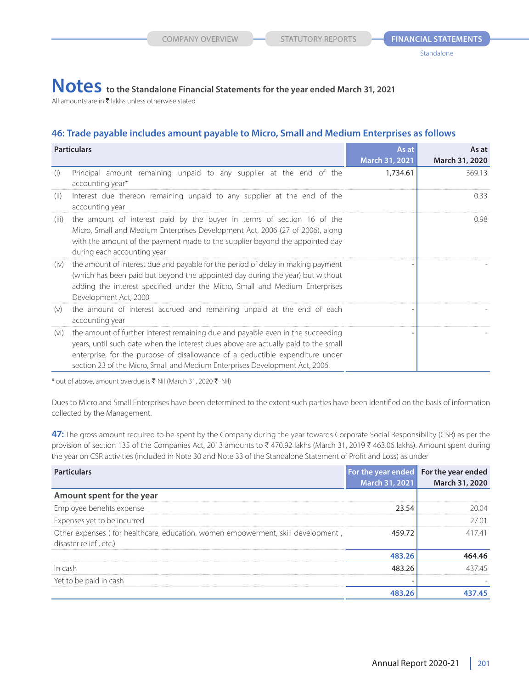All amounts are in  $\bar{\tau}$  lakhs unless otherwise stated

### **46: Trade payable includes amount payable to Micro, Small and Medium Enterprises as follows**

| <b>Particulars</b> |                                                                                                                                                                                                                                                                                                                                        | As at<br>March 31, 2021 | As at<br>March 31, 2020 |
|--------------------|----------------------------------------------------------------------------------------------------------------------------------------------------------------------------------------------------------------------------------------------------------------------------------------------------------------------------------------|-------------------------|-------------------------|
| (i)                | Principal amount remaining unpaid to any supplier at the end of the<br>accounting year*                                                                                                                                                                                                                                                | 1,734.61                | 369.13                  |
| (ii)               | Interest due thereon remaining unpaid to any supplier at the end of the<br>accounting year                                                                                                                                                                                                                                             |                         | 0.33                    |
| (iii)              | the amount of interest paid by the buyer in terms of section 16 of the<br>Micro, Small and Medium Enterprises Development Act, 2006 (27 of 2006), along<br>with the amount of the payment made to the supplier beyond the appointed day<br>during each accounting year                                                                 |                         | 0.98                    |
| (iv)               | the amount of interest due and payable for the period of delay in making payment<br>(which has been paid but beyond the appointed day during the year) but without<br>adding the interest specified under the Micro, Small and Medium Enterprises<br>Development Act, 2000                                                             |                         |                         |
| (v)                | the amount of interest accrued and remaining unpaid at the end of each<br>accounting year                                                                                                                                                                                                                                              |                         |                         |
| (vi)               | the amount of further interest remaining due and payable even in the succeeding<br>years, until such date when the interest dues above are actually paid to the small<br>enterprise, for the purpose of disallowance of a deductible expenditure under<br>section 23 of the Micro, Small and Medium Enterprises Development Act, 2006. |                         |                         |

\* out of above, amount overdue is  $\bar{\tau}$  Nil (March 31, 2020  $\bar{\tau}$  Nil)

Dues to Micro and Small Enterprises have been determined to the extent such parties have been identified on the basis of information collected by the Management.

**47:** The gross amount required to be spent by the Company during the year towards Corporate Social Responsibility (CSR) as per the provision of section 135 of the Companies Act, 2013 amounts to ₹ 470.92 lakhs (March 31, 2019 ₹ 463.06 lakhs). Amount spent during the year on CSR activities (included in Note 30 and Note 33 of the Standalone Statement of Profit and Loss) as under

| <b>Particulars</b>                                                                                         | For the year ended For the year ended | March 31, 2021 March 31, 2020 |
|------------------------------------------------------------------------------------------------------------|---------------------------------------|-------------------------------|
| Amount spent for the year                                                                                  |                                       |                               |
| Employee benefits expense                                                                                  | 23.54                                 | 20.04                         |
| Expenses yet to be incurred                                                                                |                                       | 27 O 1                        |
| Other expenses (for healthcare, education, women empowerment, skill development,<br>disaster relief, etc.) | 45972                                 | 41741                         |
|                                                                                                            | 483.26                                | 464.46                        |
| In cash                                                                                                    | 48326                                 |                               |
| Yet to be paid in cash                                                                                     |                                       |                               |
|                                                                                                            |                                       |                               |